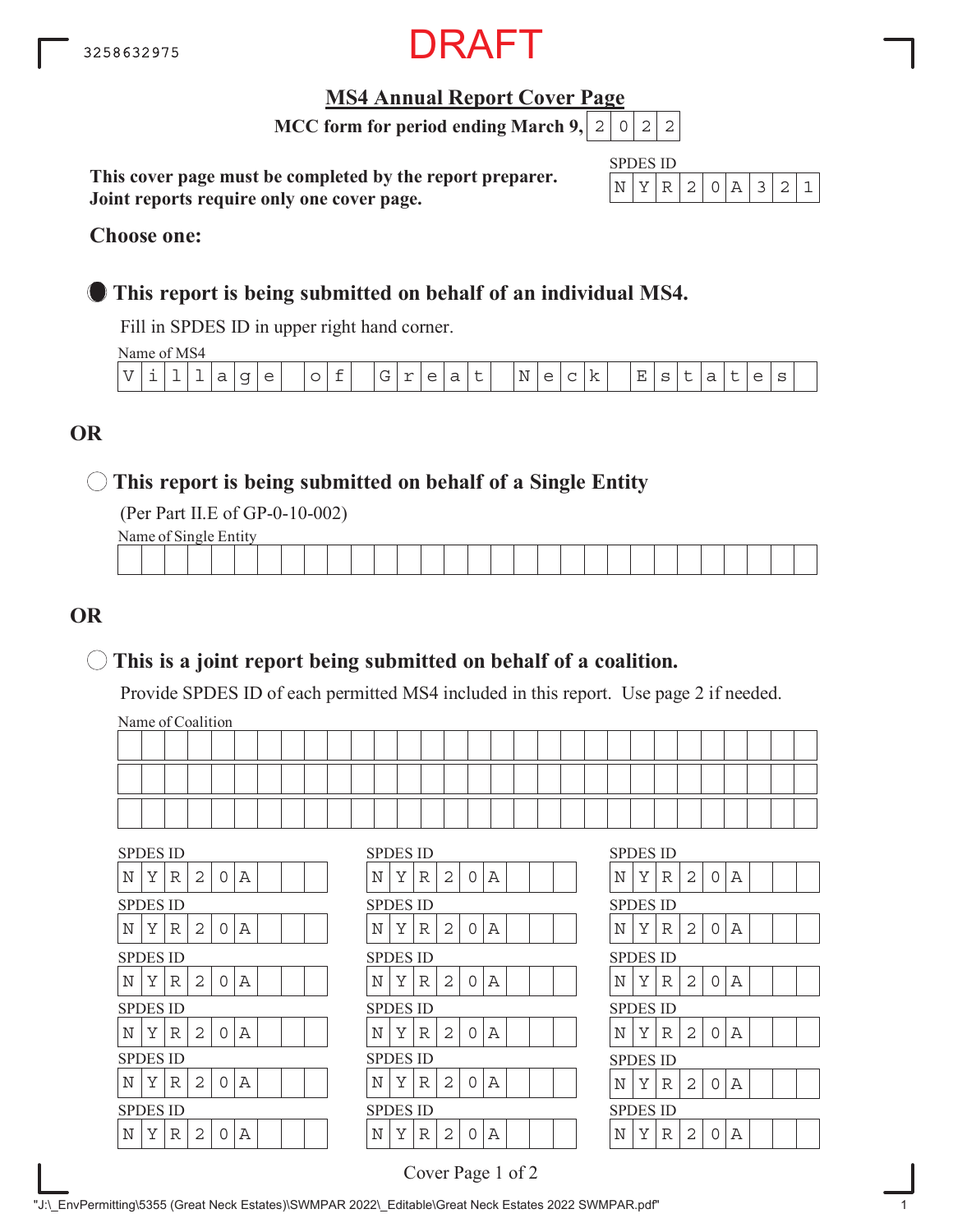

## **MS4 Annual Report Cover Page**

**MCC form for period ending March 9,**  $|2|0|2|2$ 

**This cover page must be completed by the report preparer. Joint reports require only one cover page.**

| SPDI | H, | S 11) |               |  |  |  |
|------|----|-------|---------------|--|--|--|
|      |    | ↩     | $\mathcal{D}$ |  |  |  |

#### **Choose one:**

## **This report is being submitted on behalf of an individual MS4.**

Fill in SPDES ID in upper right hand corner.

Name of MS4

| $ -$<br>$\mathcal{U}$ | -- | $\sim$ | - | $\overline{\phantom{0}}$<br>d | $\sim$<br>$\overline{\phantom{0}}$ | $\sim$<br>$\sim$ | $\overline{\phantom{0}}$ | $\sim$ | $\sim$<br>◡ | $\sim$<br>- | $\overline{\phantom{a}}$<br>╰ | -<br>ີ | -<br>ے | N | ◠<br>_<br>$\sim$ | ∼ | -- | Ε<br>- | ∼ | $\overline{\phantom{0}}$ | ∽ | ∽ | ◡ |  |
|-----------------------|----|--------|---|-------------------------------|------------------------------------|------------------|--------------------------|--------|-------------|-------------|-------------------------------|--------|--------|---|------------------|---|----|--------|---|--------------------------|---|---|---|--|
|                       |    |        |   |                               |                                    |                  |                          |        |             |             |                               |        |        |   |                  |   |    |        |   |                          |   |   |   |  |

## **OR**

## **This report is being submitted on behalf of a Single Entity**

(Per Part II.E of GP-0-10-002)

Name of Single Entity

|  |  |  |  |  |  |  | the contract of the contract of the contract of |  |  |  |  | ________ | the contract of the contract of the contract of |  |
|--|--|--|--|--|--|--|-------------------------------------------------|--|--|--|--|----------|-------------------------------------------------|--|
|  |  |  |  |  |  |  |                                                 |  |  |  |  |          |                                                 |  |

## **OR**

## **This is a joint report being submitted on behalf of a coalition.**

Provide SPDES ID of each permitted MS4 included in this report. Use page 2 if needed.

Name of Coalition

|  |  |  |  |  |  |  |  |  |  |  |  |  |  | ____ |
|--|--|--|--|--|--|--|--|--|--|--|--|--|--|------|
|  |  |  |  |  |  |  |  |  |  |  |  |  |  |      |

| <b>SPDES ID</b>                                | <b>SPDES ID</b>                                | <b>SPDES ID</b>                                |
|------------------------------------------------|------------------------------------------------|------------------------------------------------|
| N<br>Y<br>2<br>0<br>R<br>Α                     | Y<br>2<br>R<br>Α<br>N<br>$\Omega$              | N<br>Y<br>2<br>$\mathbf 0$<br>R<br>Α           |
| <b>SPDES ID</b>                                | <b>SPDES ID</b>                                | <b>SPDES ID</b>                                |
| Υ<br>$\Omega$<br>N<br>2<br>Α<br>R              | $\overline{2}$<br>Υ<br>A<br>N<br>R<br>$\Omega$ | Υ<br>N<br>0<br>R<br>2<br>Α                     |
| <b>SPDES ID</b>                                | <b>SPDES ID</b>                                | <b>SPDES ID</b>                                |
| 0<br>N<br>Υ<br>2<br>Α<br>R                     | Y<br>$\overline{2}$<br>N<br>Α<br>R<br>O        | N<br>Υ<br>0<br>R<br>2<br>Α                     |
| <b>SPDES ID</b>                                | <b>SPDES ID</b>                                | <b>SPDES ID</b>                                |
| $\mathbf N$<br>Y<br>R<br>2<br>0<br>Α           | 2<br>A<br>Y<br>N<br>R<br>$\Omega$              | N<br>Y<br>2<br>0<br>R<br>Α                     |
| <b>SPDES ID</b>                                | <b>SPDES ID</b>                                | <b>SPDES ID</b>                                |
| $\mathbf N$<br>Y<br>2<br>Α<br>R<br>$\Omega$    | Y<br>N<br>2<br>Α<br>R<br>$\Omega$              | Υ<br>N<br>R<br>2<br>$\Omega$<br>Α              |
| <b>SPDES ID</b>                                | <b>SPDES ID</b>                                | <b>SPDES ID</b>                                |
| N<br>Y<br>$\overline{2}$<br>$\Omega$<br>Α<br>R | Y<br>$\overline{2}$<br>A<br>N<br>$\mathbb{R}$  | N<br>Y<br>$\overline{2}$<br>$\Omega$<br>Α<br>R |

Cover Page 1 of 2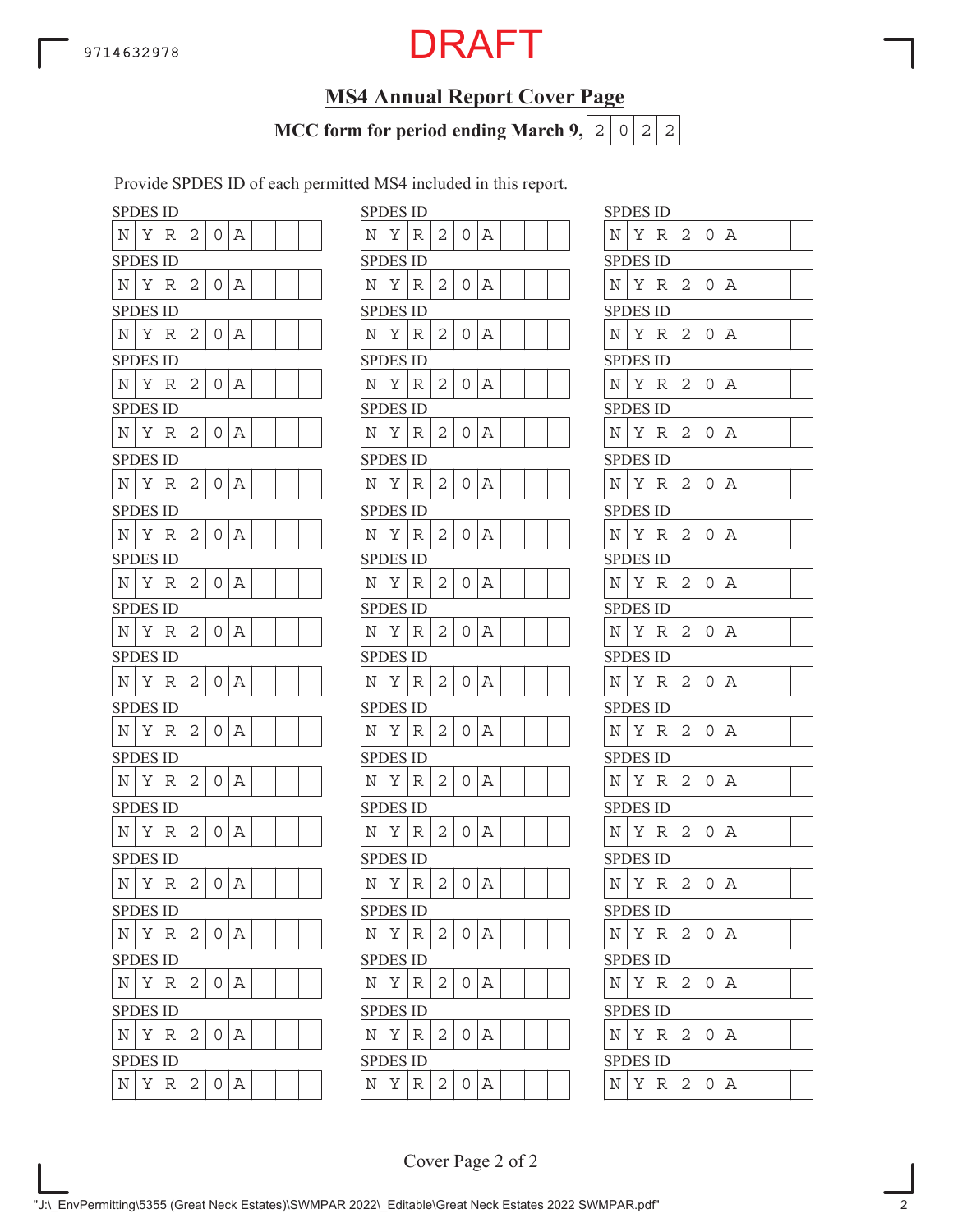## **MS4 Annual Report Cover Page**

**MCC form for period ending March 9,**  $|2|0|2|2$ 

Provide SPDES ID of each permitted MS4 included in this report.

| SPDES ID        |   |   |   |   |   |  |                    | <b>SPDES ID</b> |   |
|-----------------|---|---|---|---|---|--|--------------------|-----------------|---|
| N               | Υ | R | 2 | 0 | Α |  | N                  | Υ               | R |
| <b>SPDES ID</b> |   |   |   |   |   |  |                    | <b>SPDES ID</b> |   |
| N               | Υ | R | 2 | 0 | Α |  | N                  | Υ               | R |
| <b>SPDES ID</b> |   |   |   |   |   |  |                    | <b>SPDES ID</b> |   |
| N               | Υ | R | 2 | 0 | Α |  | Ν                  | Υ               | R |
| SPDES ID        |   |   |   |   |   |  |                    | SPDES ID        |   |
| N               | Υ | R | 2 | 0 | Α |  | N                  | Υ               | R |
| SPDES ID        |   |   |   |   |   |  |                    | <b>SPDES ID</b> |   |
| N               | Υ | R | 2 | 0 | Α |  | N                  | Υ               | R |
| SPDES ID        |   |   |   |   |   |  |                    | SPDES ID        |   |
| N               | Υ | R | 2 | 0 | Α |  | N                  | Υ               | R |
| SPDES ID        |   |   |   |   |   |  |                    | <b>SPDES ID</b> |   |
| N               | Υ | R | 2 | 0 | Α |  | N                  | Υ               | R |
| <b>SPDES ID</b> |   |   |   |   |   |  |                    | <b>SPDES ID</b> |   |
| N               | Υ | R | 2 | 0 | Α |  | N                  | Υ               | R |
| <b>SPDES ID</b> |   |   |   |   |   |  |                    | <b>SPDES ID</b> |   |
| N               | Υ | R | 2 | 0 | Α |  | N                  | Υ               | R |
| <b>SPDES ID</b> |   |   |   |   |   |  |                    | <b>SPDES ID</b> |   |
| N               | Υ | R | 2 | 0 | Α |  | N                  | Υ               | R |
| <b>SPDES ID</b> |   |   |   |   |   |  |                    | <b>SPDES ID</b> |   |
| Ν               | Υ | R | 2 | 0 | Α |  | N                  | Υ               | R |
| <b>SPDES ID</b> |   |   |   |   |   |  |                    | <b>SPDES ID</b> |   |
| N               | Υ | R | 2 | 0 | Α |  | N                  | Υ               | R |
| <b>SPDES ID</b> |   |   |   |   |   |  |                    | <b>SPDES ID</b> |   |
| Ν               | Υ | R | 2 | 0 | Α |  | Ν                  | Υ               | R |
| SPDES ID        |   |   |   |   |   |  |                    | <b>SPDES ID</b> |   |
| N               | Υ | R | 2 | 0 | Α |  | N                  | Υ               | R |
| <b>SPDES ID</b> |   |   |   |   |   |  |                    | SPDES ID        |   |
| Ν               | Υ | R | 2 | 0 | Α |  | Ν                  | Υ               | R |
| <b>SPDES ID</b> |   |   |   |   |   |  |                    | <b>SPDES ID</b> |   |
| Ν               | Υ | R | 2 | 0 | Α |  | Ν                  | Υ               | R |
| <b>SPDES ID</b> |   |   |   |   |   |  |                    | SPDES ID        |   |
| Ν               | Υ | R | 2 | 0 | Α |  | Ν                  | Υ               | R |
| <b>SPDES ID</b> |   |   |   |   |   |  |                    | <b>SPDES ID</b> |   |
| N               | Υ | R | 2 | 0 | Α |  | $\overline{\rm N}$ | Υ               | R |

|   | SPDES ID        |             |   |   |   |  |            | <b>SPDES ID</b> |             |   |   |   |  |  | <b>SPDES ID</b> |   |             |   |                |   |
|---|-----------------|-------------|---|---|---|--|------------|-----------------|-------------|---|---|---|--|--|-----------------|---|-------------|---|----------------|---|
| N | Υ               | R           | 2 | 0 | Α |  | Ν          | Υ               | R           | 2 | 0 | Α |  |  | N               | Υ | R           | 2 | 0              | Α |
|   | <b>SPDES ID</b> |             |   |   |   |  |            | <b>SPDES ID</b> |             |   |   |   |  |  | <b>SPDES ID</b> |   |             |   |                |   |
| Ν | Υ               | R           | 2 | 0 | Α |  | Ν          | Υ               | R           | 2 | 0 | Α |  |  | N               | Υ | R           | 2 | 0              | Α |
|   | <b>SPDES ID</b> |             |   |   |   |  |            | <b>SPDES ID</b> |             |   |   |   |  |  | <b>SPDES ID</b> |   |             |   |                |   |
| Ν | Υ               | R           | 2 | 0 | Α |  | N          | Υ               | R           | 2 | 0 | Α |  |  | Ν               | Υ | R           | 2 | 0              | Α |
|   | SPDES ID        |             |   |   |   |  |            | <b>SPDES ID</b> |             |   |   |   |  |  | <b>SPDES ID</b> |   |             |   |                |   |
| N | Υ               | R           | 2 | 0 | А |  | Ν          | Y               | R           | 2 | 0 | Α |  |  | Ν               | Υ | R           | 2 | $\overline{O}$ | Α |
|   | <b>SPDES ID</b> |             |   |   |   |  |            | <b>SPDES ID</b> |             |   |   |   |  |  | <b>SPDES ID</b> |   |             |   |                |   |
| N | Υ               | R           | 2 | 0 | Α |  | Ν          | Υ               | R           | 2 | 0 | Α |  |  | Ν               | Υ | R           | 2 | 0              | Α |
|   | <b>SPDES ID</b> |             |   |   |   |  |            | <b>SPDES ID</b> |             |   |   |   |  |  | <b>SPDES ID</b> |   |             |   |                |   |
| Ν | Υ               | R           | 2 | 0 | Α |  | N          | Υ               | R           | 2 | 0 | Α |  |  | Ν               | Υ | R           | 2 | 0              | А |
|   | <b>SPDES ID</b> |             |   |   |   |  |            | <b>SPDES ID</b> |             |   |   |   |  |  | <b>SPDES ID</b> |   |             |   |                |   |
| N | Y               | R           | 2 | 0 | А |  | N          | Y               | R           | 2 | 0 | Α |  |  | N               | Y | $\mathbb R$ | 2 | $\overline{O}$ | A |
|   | <b>SPDES ID</b> |             |   |   |   |  |            | <b>SPDES ID</b> |             |   |   |   |  |  | <b>SPDES ID</b> |   |             |   |                |   |
| N | Υ               | R           | 2 | 0 | Α |  | Ν          | Υ               | R           | 2 | 0 | Α |  |  | N               | Υ | R           | 2 | 0              | А |
|   | <b>SPDES ID</b> |             |   |   |   |  |            | <b>SPDES ID</b> |             |   |   |   |  |  | <b>SPDES ID</b> |   |             |   |                |   |
| Ν | Υ               | R           | 2 | U | Α |  | N          | Υ               | R           | 2 | 0 | Α |  |  | Ν               | Υ | R           | 2 | 0              | Α |
|   | <b>SPDES ID</b> |             |   |   |   |  |            | <b>SPDES ID</b> |             |   |   |   |  |  | <b>SPDES ID</b> |   |             |   |                |   |
| N | Υ               | $\mathbb R$ | 2 | 0 | Α |  | N          | Υ               | R           | 2 | 0 | Α |  |  | N               | Υ | R           | 2 | $\overline{O}$ | А |
|   | <b>SPDES ID</b> |             |   |   |   |  |            | <b>SPDES ID</b> |             |   |   |   |  |  | <b>SPDES ID</b> |   |             |   |                |   |
| N | Υ               | R           | 2 | 0 | Α |  | Ν          | Υ               | R           | 2 | 0 | Α |  |  | N               | Υ | R           | 2 | $\overline{O}$ | Α |
|   | <b>SPDES ID</b> |             |   |   |   |  |            | <b>SPDES ID</b> |             |   |   |   |  |  | <b>SPDES ID</b> |   |             |   |                |   |
| Ν | Υ               | R           | 2 | 0 | Α |  | N          | Υ               | R           | 2 | 0 | Α |  |  | Ν               | Υ | R           | 2 | 0              | Α |
|   | <b>SPDES ID</b> |             |   |   |   |  |            | <b>SPDES ID</b> |             |   |   |   |  |  | <b>SPDES ID</b> |   |             |   |                |   |
| N | Υ               | R           | 2 | 0 | Α |  | N          | Y               | R           | 2 | 0 | Α |  |  | N               | Y | R           | 2 | $0 \mid A$     |   |
|   | <b>SPDES ID</b> |             |   |   |   |  |            | <b>SPDES ID</b> |             |   |   |   |  |  | <b>SPDES ID</b> |   |             |   |                |   |
| Ν | Υ               | R           | 2 | 0 | Α |  | N          | Υ               | R           | 2 | 0 | Α |  |  | N               | Υ | R           | 2 | 0              | А |
|   | <b>SPDES ID</b> |             |   |   |   |  |            | <b>SPDES ID</b> |             |   |   |   |  |  | <b>SPDES ID</b> |   |             |   |                |   |
| N | Υ               | $\mathbb R$ | 2 | 0 | Α |  | $_{\rm N}$ | Υ               | $\mathbb R$ | 2 | 0 | Α |  |  | Ν               | Υ | R           | 2 | 0              | Α |
|   | <b>SPDES ID</b> |             |   |   |   |  |            | <b>SPDES ID</b> |             |   |   |   |  |  | <b>SPDES ID</b> |   |             |   |                |   |
| Ν | Υ               | R           | 2 | 0 | Α |  | Ν          | Υ               | R           | 2 | 0 | Α |  |  | Ν               | Υ | R           | 2 | 0              | Α |
|   | <b>SPDES ID</b> |             |   |   |   |  |            | <b>SPDES ID</b> |             |   |   |   |  |  | <b>SPDES ID</b> |   |             |   |                |   |
| Ν | Υ               | R           | 2 | 0 | Α |  | N          | Υ               | R           | 2 | 0 | Α |  |  | Ν               | Υ | R           | 2 | $\Omega$       | А |
|   | <b>SPDES ID</b> |             |   |   |   |  |            | <b>SPDES ID</b> |             |   |   |   |  |  | <b>SPDES ID</b> |   |             |   |                |   |
| Ν | $\rm Y$         | $\mathbb R$ | 2 | 0 | Α |  | $_{\rm N}$ | $\mathbf Y$     | $\mathbb R$ | 2 | 0 | Α |  |  | $\rm N$         | Y | $\mathbb R$ | 2 | 0              | Α |
|   |                 |             |   |   |   |  |            |                 |             |   |   |   |  |  |                 |   |             |   |                |   |

| $\overline{2}$<br>Α<br>Υ<br>0<br>N<br>R<br>SPDES<br>ID<br>N<br>Υ<br>2<br>Α<br>R<br>0<br>SPDES ID<br>$\overline{\rm N}$<br>Υ<br>2<br>R<br>0<br>Α<br>SPDES ID<br>$\overline{c}$<br>Y<br>Α<br>Ν<br>0<br>R<br>SPDES ID<br>$\overline{c}$<br>0<br>Α<br>Ν<br>Υ<br>R<br><b>SPDES ID</b><br>Υ<br>N<br>R<br>Α<br>2<br>0<br>SPDES ID<br>$\overline{2}$<br>A<br>0<br>Ν<br>Υ<br>R<br><b>SPDES ID</b><br>N<br>2<br>0<br>A<br>Y<br>R<br><b>SPDES</b><br>ID<br>Υ<br>N<br>R<br>A<br>2<br>0<br>SPDES ID<br>2<br>Ν<br>Υ<br>R<br>0<br>Α<br>SPDES ID<br>$\overline{c}$<br>0<br>Α<br>N<br>Υ<br>R<br><b>SPDES ID</b><br>Υ<br>N<br>R<br>A<br>2<br>0<br>SPDES ID<br>$\overline{2}$<br>A<br>Ν<br>Υ<br>0<br>R<br><b>SPDES ID</b><br>Y<br>N<br>Ą<br>R<br>2<br>0<br><b>SPDES ID</b><br>Υ<br>$\overline{c}$<br>Α<br>N<br>0<br>R<br><b>SPDES ID</b><br>$\overline{c}$<br>0<br>A<br>Ν<br>Υ<br>R<br>SPI<br>DES ID<br>N<br>Υ<br>R<br>0<br>Α<br>2<br>SPDES<br>ID<br>$\overline{c}$<br>Α<br>N<br>Υ<br>0<br>R | SPDES ID |  |  |  |  |
|---------------------------------------------------------------------------------------------------------------------------------------------------------------------------------------------------------------------------------------------------------------------------------------------------------------------------------------------------------------------------------------------------------------------------------------------------------------------------------------------------------------------------------------------------------------------------------------------------------------------------------------------------------------------------------------------------------------------------------------------------------------------------------------------------------------------------------------------------------------------------------------------------------------------------------------------------------------------------|----------|--|--|--|--|
|                                                                                                                                                                                                                                                                                                                                                                                                                                                                                                                                                                                                                                                                                                                                                                                                                                                                                                                                                                           |          |  |  |  |  |
|                                                                                                                                                                                                                                                                                                                                                                                                                                                                                                                                                                                                                                                                                                                                                                                                                                                                                                                                                                           |          |  |  |  |  |
|                                                                                                                                                                                                                                                                                                                                                                                                                                                                                                                                                                                                                                                                                                                                                                                                                                                                                                                                                                           |          |  |  |  |  |
|                                                                                                                                                                                                                                                                                                                                                                                                                                                                                                                                                                                                                                                                                                                                                                                                                                                                                                                                                                           |          |  |  |  |  |
|                                                                                                                                                                                                                                                                                                                                                                                                                                                                                                                                                                                                                                                                                                                                                                                                                                                                                                                                                                           |          |  |  |  |  |
|                                                                                                                                                                                                                                                                                                                                                                                                                                                                                                                                                                                                                                                                                                                                                                                                                                                                                                                                                                           |          |  |  |  |  |
|                                                                                                                                                                                                                                                                                                                                                                                                                                                                                                                                                                                                                                                                                                                                                                                                                                                                                                                                                                           |          |  |  |  |  |
|                                                                                                                                                                                                                                                                                                                                                                                                                                                                                                                                                                                                                                                                                                                                                                                                                                                                                                                                                                           |          |  |  |  |  |
|                                                                                                                                                                                                                                                                                                                                                                                                                                                                                                                                                                                                                                                                                                                                                                                                                                                                                                                                                                           |          |  |  |  |  |
|                                                                                                                                                                                                                                                                                                                                                                                                                                                                                                                                                                                                                                                                                                                                                                                                                                                                                                                                                                           |          |  |  |  |  |
|                                                                                                                                                                                                                                                                                                                                                                                                                                                                                                                                                                                                                                                                                                                                                                                                                                                                                                                                                                           |          |  |  |  |  |
|                                                                                                                                                                                                                                                                                                                                                                                                                                                                                                                                                                                                                                                                                                                                                                                                                                                                                                                                                                           |          |  |  |  |  |
|                                                                                                                                                                                                                                                                                                                                                                                                                                                                                                                                                                                                                                                                                                                                                                                                                                                                                                                                                                           |          |  |  |  |  |
|                                                                                                                                                                                                                                                                                                                                                                                                                                                                                                                                                                                                                                                                                                                                                                                                                                                                                                                                                                           |          |  |  |  |  |
|                                                                                                                                                                                                                                                                                                                                                                                                                                                                                                                                                                                                                                                                                                                                                                                                                                                                                                                                                                           |          |  |  |  |  |
|                                                                                                                                                                                                                                                                                                                                                                                                                                                                                                                                                                                                                                                                                                                                                                                                                                                                                                                                                                           |          |  |  |  |  |
|                                                                                                                                                                                                                                                                                                                                                                                                                                                                                                                                                                                                                                                                                                                                                                                                                                                                                                                                                                           |          |  |  |  |  |
|                                                                                                                                                                                                                                                                                                                                                                                                                                                                                                                                                                                                                                                                                                                                                                                                                                                                                                                                                                           |          |  |  |  |  |
|                                                                                                                                                                                                                                                                                                                                                                                                                                                                                                                                                                                                                                                                                                                                                                                                                                                                                                                                                                           |          |  |  |  |  |
|                                                                                                                                                                                                                                                                                                                                                                                                                                                                                                                                                                                                                                                                                                                                                                                                                                                                                                                                                                           |          |  |  |  |  |
|                                                                                                                                                                                                                                                                                                                                                                                                                                                                                                                                                                                                                                                                                                                                                                                                                                                                                                                                                                           |          |  |  |  |  |
|                                                                                                                                                                                                                                                                                                                                                                                                                                                                                                                                                                                                                                                                                                                                                                                                                                                                                                                                                                           |          |  |  |  |  |
|                                                                                                                                                                                                                                                                                                                                                                                                                                                                                                                                                                                                                                                                                                                                                                                                                                                                                                                                                                           |          |  |  |  |  |
|                                                                                                                                                                                                                                                                                                                                                                                                                                                                                                                                                                                                                                                                                                                                                                                                                                                                                                                                                                           |          |  |  |  |  |
|                                                                                                                                                                                                                                                                                                                                                                                                                                                                                                                                                                                                                                                                                                                                                                                                                                                                                                                                                                           |          |  |  |  |  |
|                                                                                                                                                                                                                                                                                                                                                                                                                                                                                                                                                                                                                                                                                                                                                                                                                                                                                                                                                                           |          |  |  |  |  |
|                                                                                                                                                                                                                                                                                                                                                                                                                                                                                                                                                                                                                                                                                                                                                                                                                                                                                                                                                                           |          |  |  |  |  |
|                                                                                                                                                                                                                                                                                                                                                                                                                                                                                                                                                                                                                                                                                                                                                                                                                                                                                                                                                                           |          |  |  |  |  |
|                                                                                                                                                                                                                                                                                                                                                                                                                                                                                                                                                                                                                                                                                                                                                                                                                                                                                                                                                                           |          |  |  |  |  |
|                                                                                                                                                                                                                                                                                                                                                                                                                                                                                                                                                                                                                                                                                                                                                                                                                                                                                                                                                                           |          |  |  |  |  |
|                                                                                                                                                                                                                                                                                                                                                                                                                                                                                                                                                                                                                                                                                                                                                                                                                                                                                                                                                                           |          |  |  |  |  |
|                                                                                                                                                                                                                                                                                                                                                                                                                                                                                                                                                                                                                                                                                                                                                                                                                                                                                                                                                                           |          |  |  |  |  |
|                                                                                                                                                                                                                                                                                                                                                                                                                                                                                                                                                                                                                                                                                                                                                                                                                                                                                                                                                                           |          |  |  |  |  |
|                                                                                                                                                                                                                                                                                                                                                                                                                                                                                                                                                                                                                                                                                                                                                                                                                                                                                                                                                                           |          |  |  |  |  |
|                                                                                                                                                                                                                                                                                                                                                                                                                                                                                                                                                                                                                                                                                                                                                                                                                                                                                                                                                                           |          |  |  |  |  |

Cover Page 2 of 2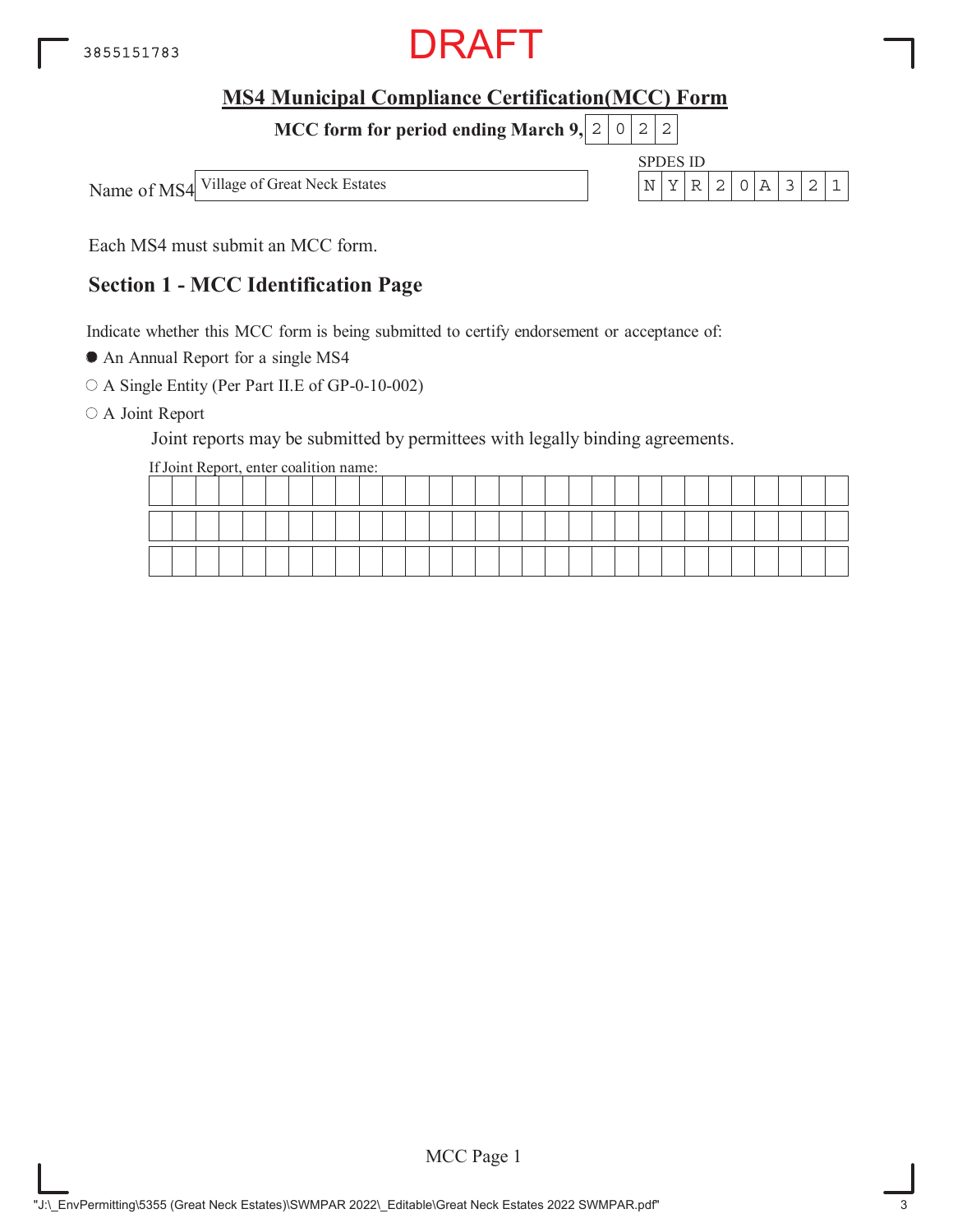

**MCC form for period ending March 9, 2 0 2 2** 

Name of MS4 Village of Great Neck Estates  $\vert N \vert Y \vert R \vert 2 \vert 0 \vert A \vert 3 \vert 2 \vert 1$ 

SPDES ID



Each MS4 must submit an MCC form.

## **Section 1 - MCC Identification Page**

Indicate whether this MCC form is being submitted to certify endorsement or acceptance of:

An Annual Report for a single MS4

A Single Entity (Per Part II.E of GP-0-10-002)

O A Joint Report

Joint reports may be submitted by permittees with legally binding agreements.

If Joint Report, enter coalition name:

|  |  |       |  |  |  |  |  |  |  |  |  |  |  | _____ | ____ |
|--|--|-------|--|--|--|--|--|--|--|--|--|--|--|-------|------|
|  |  | _____ |  |  |  |  |  |  |  |  |  |  |  |       |      |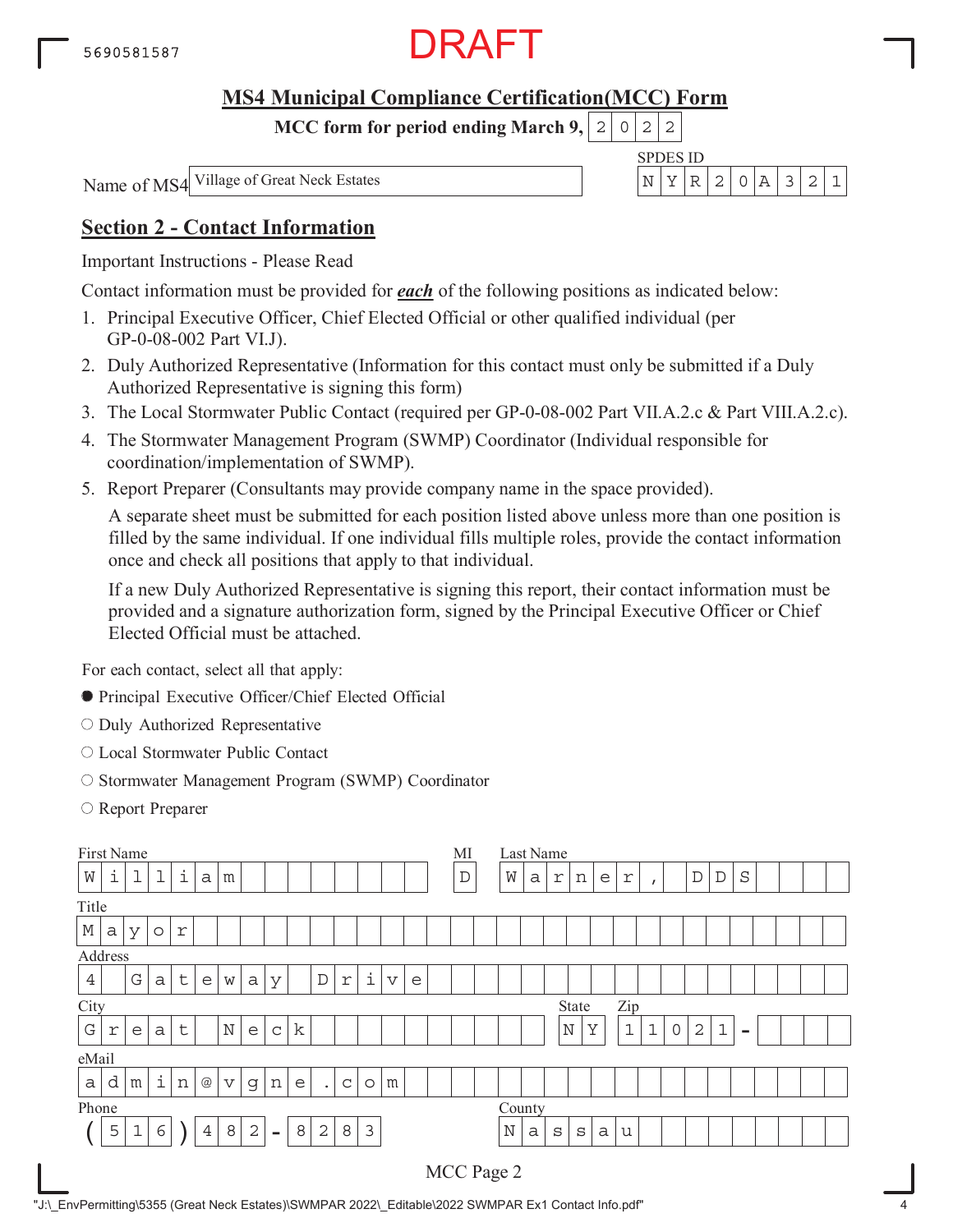

**MCC form for period ending March 9,**  $0$ | 2| 2

Name of MS4 Village of Great Neck Estates

|  | $\Box$ |  |  |  |
|--|--------|--|--|--|
|  |        |  |  |  |

## **Section 2 - Contact Information**

Important Instructions - Please Read

Contact information must be provided for *each* of the following positions as indicated below:

- 1. Principal Executive Officer, Chief Elected Official or other qualified individual (per GP-0-08-002 Part VI.J).
- 2. Duly Authorized Representative (Information for this contact must only be submitted if a Duly Authorized Representative is signing this form)
- 3. The Local Stormwater Public Contact (required per GP-0-08-002 Part VII.A.2.c & Part VIII.A.2.c).
- 4. The Stormwater Management Program (SWMP) Coordinator (Individual responsible for coordination/implementation of SWMP).
- 5. Report Preparer (Consultants may provide company name in the space provided).

A separate sheet must be submitted for each position listed above unless more than one position is filled by the same individual. If one individual fills multiple roles, provide the contact information once and check all positions that apply to that individual.

If a new Duly Authorized Representative is signing this report, their contact information must be provided and a signature authorization form, signed by the Principal Executive Officer or Chief Elected Official must be attached.

For each contact, select all that apply:

- Principal Executive Officer/Chief Elected Official
- O Duly Authorized Representative
- Local Stormwater Public Contact
- O Stormwater Management Program (SWMP) Coordinator
- Report Preparer

|                | First Name<br>МI<br>Last Name<br>i<br>i<br>1<br>1<br>$\mathbf{D}$<br>M<br>$\mathbb D$<br>$\rm S$<br>$\mathbb D$<br>$\mathsf{a}$<br>a<br>r<br>n<br>e<br>r<br>m<br>$\mathbf{r}$<br>a<br>У<br>r<br>$\circlearrowright$<br>i<br>$\mathsf{t}$<br>$\mathbf D$<br>G<br>$\boldsymbol{\nabla}$<br>$\ensuremath{\mathbf{r}}$<br>a<br>a<br>e<br>У<br>e<br>W<br>Zip<br>State<br>$\mathbf k$<br>$\mathbb N$<br>Y<br>$\mathbf{1}$<br>$\mathbf 1$<br>2<br>$\mathbf{1}$<br>$\mathbb N$<br>$\sf t$<br>$\mathbf 0$<br>$\epsilon$<br>$\mathsf C$<br>$\Upsilon$<br>a<br>e<br>$\equiv$<br>i<br>d<br>$@$<br>n<br>n<br>m<br>e<br>C<br>m<br>$\triangledown$<br>$\mathsf g$<br>$\circ$<br>$\bullet$ |             |   |  |                |   |            |          |   |                |   |                |  |  |  |            |             |   |              |              |   |   |  |  |  |  |  |
|----------------|----------------------------------------------------------------------------------------------------------------------------------------------------------------------------------------------------------------------------------------------------------------------------------------------------------------------------------------------------------------------------------------------------------------------------------------------------------------------------------------------------------------------------------------------------------------------------------------------------------------------------------------------------------------------------|-------------|---|--|----------------|---|------------|----------|---|----------------|---|----------------|--|--|--|------------|-------------|---|--------------|--------------|---|---|--|--|--|--|--|
| W              |                                                                                                                                                                                                                                                                                                                                                                                                                                                                                                                                                                                                                                                                            |             |   |  |                |   |            |          |   |                |   |                |  |  |  |            |             |   |              |              |   |   |  |  |  |  |  |
| Title          |                                                                                                                                                                                                                                                                                                                                                                                                                                                                                                                                                                                                                                                                            |             |   |  |                |   |            |          |   |                |   |                |  |  |  |            |             |   |              |              |   |   |  |  |  |  |  |
| $\mathbb M$    |                                                                                                                                                                                                                                                                                                                                                                                                                                                                                                                                                                                                                                                                            |             |   |  |                |   |            |          |   |                |   |                |  |  |  |            |             |   |              |              |   |   |  |  |  |  |  |
|                |                                                                                                                                                                                                                                                                                                                                                                                                                                                                                                                                                                                                                                                                            |             |   |  |                |   |            |          |   |                |   |                |  |  |  |            |             |   |              |              |   |   |  |  |  |  |  |
| $\overline{4}$ |                                                                                                                                                                                                                                                                                                                                                                                                                                                                                                                                                                                                                                                                            |             |   |  |                |   |            |          |   |                |   |                |  |  |  |            |             |   |              |              |   |   |  |  |  |  |  |
| City           | Address                                                                                                                                                                                                                                                                                                                                                                                                                                                                                                                                                                                                                                                                    |             |   |  |                |   |            |          |   |                |   |                |  |  |  |            |             |   |              |              |   |   |  |  |  |  |  |
| ${\bf G}$      | County                                                                                                                                                                                                                                                                                                                                                                                                                                                                                                                                                                                                                                                                     |             |   |  |                |   |            |          |   |                |   |                |  |  |  |            |             |   |              |              |   |   |  |  |  |  |  |
| eMail          |                                                                                                                                                                                                                                                                                                                                                                                                                                                                                                                                                                                                                                                                            |             |   |  |                |   |            |          |   |                |   |                |  |  |  |            |             |   |              |              |   |   |  |  |  |  |  |
| $\mathsf{a}$   |                                                                                                                                                                                                                                                                                                                                                                                                                                                                                                                                                                                                                                                                            |             |   |  |                |   |            |          |   |                |   |                |  |  |  |            |             |   |              |              |   |   |  |  |  |  |  |
| Phone          |                                                                                                                                                                                                                                                                                                                                                                                                                                                                                                                                                                                                                                                                            |             |   |  |                |   |            |          |   |                |   |                |  |  |  |            |             |   |              |              |   |   |  |  |  |  |  |
|                | 5                                                                                                                                                                                                                                                                                                                                                                                                                                                                                                                                                                                                                                                                          | $\mathbf 1$ | 6 |  | $\overline{4}$ | 8 | $\sqrt{2}$ | $\equiv$ | 8 | $\overline{2}$ | 8 | $\mathfrak{Z}$ |  |  |  |            | $\mathbf N$ | a | $\mathtt{s}$ | $\mathtt{s}$ | a | u |  |  |  |  |  |
|                |                                                                                                                                                                                                                                                                                                                                                                                                                                                                                                                                                                                                                                                                            |             |   |  |                |   |            |          |   |                |   |                |  |  |  | MCC Page 2 |             |   |              |              |   |   |  |  |  |  |  |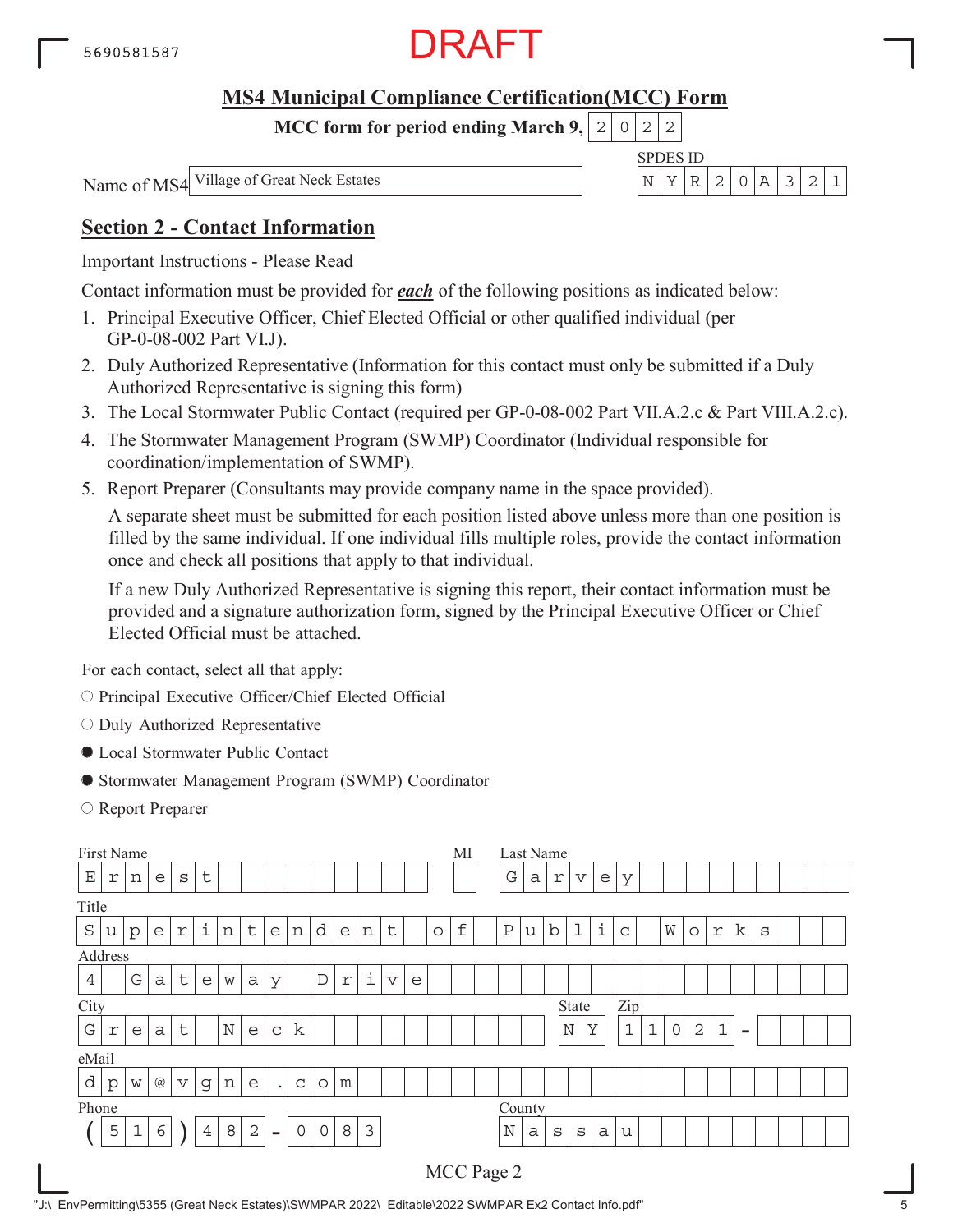

**MCC form for period ending March 9,**  $0$ | 2| 2

Name of MS4 Village of Great Neck Estates

|  | $\Box$ |  |  |  |
|--|--------|--|--|--|
|  |        |  |  |  |

## **Section 2 - Contact Information**

Important Instructions - Please Read

Contact information must be provided for *each* of the following positions as indicated below:

- 1. Principal Executive Officer, Chief Elected Official or other qualified individual (per GP-0-08-002 Part VI.J).
- 2. Duly Authorized Representative (Information for this contact must only be submitted if a Duly Authorized Representative is signing this form)
- 3. The Local Stormwater Public Contact (required per GP-0-08-002 Part VII.A.2.c & Part VIII.A.2.c).
- 4. The Stormwater Management Program (SWMP) Coordinator (Individual responsible for coordination/implementation of SWMP).
- 5. Report Preparer (Consultants may provide company name in the space provided).

A separate sheet must be submitted for each position listed above unless more than one position is filled by the same individual. If one individual fills multiple roles, provide the contact information once and check all positions that apply to that individual.

If a new Duly Authorized Representative is signing this report, their contact information must be provided and a signature authorization form, signed by the Principal Executive Officer or Chief Elected Official must be attached.

For each contact, select all that apply:

- O Principal Executive Officer/Chief Elected Official
- $\circ$  Duly Authorized Representative
- Local Stormwater Public Contact
- Stormwater Management Program (SWMP) Coordinator
- Report Preparer

| First Name     |                                                                                                                                                                       |             |                 |                         |                |   |                |                |              |             |   |                |   |  |         | МI                 |              |   | Last Name    |             |   |              |   |         |            |    |   |  |  |
|----------------|-----------------------------------------------------------------------------------------------------------------------------------------------------------------------|-------------|-----------------|-------------------------|----------------|---|----------------|----------------|--------------|-------------|---|----------------|---|--|---------|--------------------|--------------|---|--------------|-------------|---|--------------|---|---------|------------|----|---|--|--|
| $\mathbf E$    | r                                                                                                                                                                     | n           | e               | S                       | t              |   |                |                |              |             |   |                |   |  |         |                    | G            | a | r            | $\mathbf v$ | e | У            |   |         |            |    |   |  |  |
| Title          |                                                                                                                                                                       |             |                 |                         |                |   |                |                |              |             |   |                |   |  |         |                    |              |   |              |             |   |              |   |         |            |    |   |  |  |
| $\rm S$        | u                                                                                                                                                                     | p           | e               | $\mathfrak{\textbf{r}}$ | i              | n | t              | e              | n            | d           | e | n              | t |  | $\circ$ | $\pmb{\mathtt{f}}$ | $\, {\bf P}$ | u | b            | $\mathbf 1$ | i | $\mathsf{C}$ | W | $\circ$ | $\Upsilon$ | k. | S |  |  |
| Address        |                                                                                                                                                                       |             |                 |                         |                |   |                |                |              |             |   |                |   |  |         |                    |              |   |              |             |   |              |   |         |            |    |   |  |  |
| $\overline{4}$ | i<br>$\mathsf{t}$<br>$\mathbf D$<br>G<br>$\boldsymbol{\nabla}$<br>$\ensuremath{\mathbf{r}}$<br>a<br>a<br>e<br>У<br>e<br>W<br>Zip<br>State                             |             |                 |                         |                |   |                |                |              |             |   |                |   |  |         |                    |              |   |              |             |   |              |   |         |            |    |   |  |  |
| City           |                                                                                                                                                                       |             |                 |                         |                |   |                |                |              |             |   |                |   |  |         |                    |              |   |              |             |   |              |   |         |            |    |   |  |  |
| ${\bf G}$      | k<br>$\mathbb N$<br>Y<br>$\mathbf{1}$<br>$\mathbf 1$<br>$\mathbf{2}$<br>$\mathbf{1}$<br>$\mathbb N$<br>t<br>0<br>$\mathsf C$<br>e<br>$\Upsilon$<br>a<br>e<br>$\equiv$ |             |                 |                         |                |   |                |                |              |             |   |                |   |  |         |                    |              |   |              |             |   |              |   |         |            |    |   |  |  |
| eMail          |                                                                                                                                                                       |             |                 |                         |                |   |                |                |              |             |   |                |   |  |         |                    |              |   |              |             |   |              |   |         |            |    |   |  |  |
| d              | $\mathbf{p}$                                                                                                                                                          | W           | $^{\copyright}$ | $\mathbf v$             | g              | n | e              | $\bullet$      | $\mathsf{C}$ | $\circ$     | m |                |   |  |         |                    |              |   |              |             |   |              |   |         |            |    |   |  |  |
| Phone          |                                                                                                                                                                       |             |                 |                         |                |   |                |                |              |             |   |                |   |  |         |                    | County       |   |              |             |   |              |   |         |            |    |   |  |  |
|                | 5                                                                                                                                                                     | $\mathbf 1$ | 6               |                         | $\overline{4}$ | 8 | $\overline{2}$ | $\blacksquare$ | $\mathbf 0$  | $\mathbf 0$ | 8 | $\mathfrak{Z}$ |   |  |         |                    | N            | a | $\mathtt{s}$ | S           | a | u            |   |         |            |    |   |  |  |
|                |                                                                                                                                                                       |             |                 |                         |                |   |                |                |              |             |   |                |   |  |         |                    | MCC Page 2   |   |              |             |   |              |   |         |            |    |   |  |  |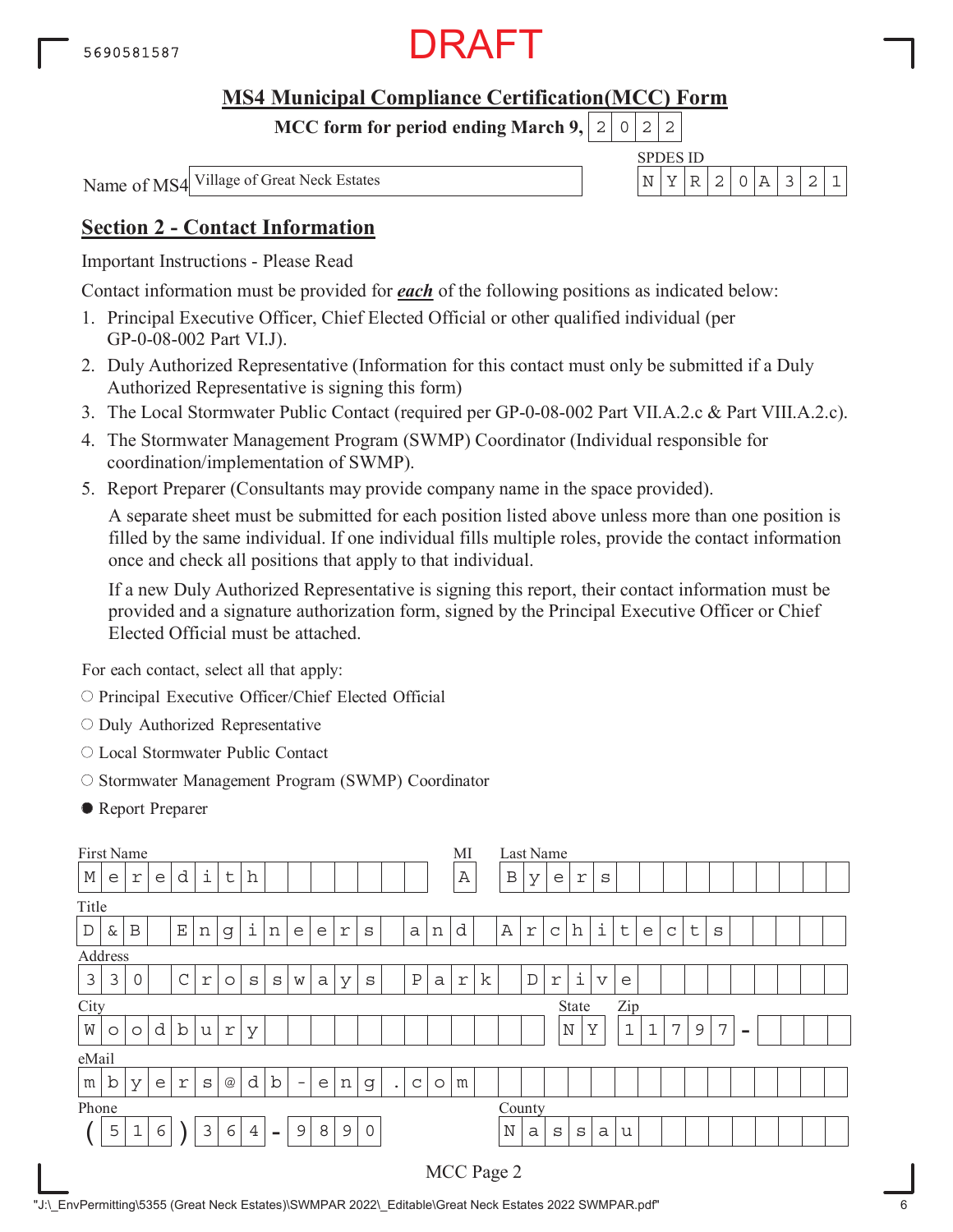

**MCC form for period ending March 9,**  $0$ | 2| 2

Name of MS4 Village of Great Neck Estates

| $Z_{\rm F}$ | 11) |  |  |  |
|-------------|-----|--|--|--|
|             |     |  |  |  |

## **Section 2 - Contact Information**

Important Instructions - Please Read

Contact information must be provided for *each* of the following positions as indicated below:

- 1. Principal Executive Officer, Chief Elected Official or other qualified individual (per GP-0-08-002 Part VI.J).
- 2. Duly Authorized Representative (Information for this contact must only be submitted if a Duly Authorized Representative is signing this form)
- 3. The Local Stormwater Public Contact (required per GP-0-08-002 Part VII.A.2.c & Part VIII.A.2.c).
- 4. The Stormwater Management Program (SWMP) Coordinator (Individual responsible for coordination/implementation of SWMP).
- 5. Report Preparer (Consultants may provide company name in the space provided).

A separate sheet must be submitted for each position listed above unless more than one position is filled by the same individual. If one individual fills multiple roles, provide the contact information once and check all positions that apply to that individual.

If a new Duly Authorized Representative is signing this report, their contact information must be provided and a signature authorization form, signed by the Principal Executive Officer or Chief Elected Official must be attached.

For each contact, select all that apply:

- O Principal Executive Officer/Chief Elected Official
- $\circ$  Duly Authorized Representative
- Local Stormwater Public Contact
- O Stormwater Management Program (SWMP) Coordinator
- Report Preparer

|             |                                                                                                                                                                                                                           | First Name   |   |             |   |                 |                |                          |                          |   |               |         |           |   |         | MI           |              | Last Name |             |              |   |         |   |             |             |   |  |  |  |
|-------------|---------------------------------------------------------------------------------------------------------------------------------------------------------------------------------------------------------------------------|--------------|---|-------------|---|-----------------|----------------|--------------------------|--------------------------|---|---------------|---------|-----------|---|---------|--------------|--------------|-----------|-------------|--------------|---|---------|---|-------------|-------------|---|--|--|--|
| $\mathbb M$ | e                                                                                                                                                                                                                         | r            | e | d           | i | t               | h              |                          |                          |   |               |         |           |   |         | $\, {\bf A}$ | $\, {\bf B}$ | У         | e           | r            | S |         |   |             |             |   |  |  |  |
| Title       |                                                                                                                                                                                                                           |              |   |             |   |                 |                |                          |                          |   |               |         |           |   |         |              |              |           |             |              |   |         |   |             |             |   |  |  |  |
| $\mathbb D$ | &                                                                                                                                                                                                                         | $\, {\bf B}$ |   | $\mathbf E$ | n | g               | $\dot{1}$      | n                        | e                        | e | r             | S       |           | a | n       | d            | $\mathbb A$  | r         | $\mathsf C$ | h            | i | $\sf t$ | e | $\mathsf C$ | $\mathsf t$ | S |  |  |  |
| Address     |                                                                                                                                                                                                                           |              |   |             |   |                 |                |                          |                          |   |               |         |           |   |         |              |              |           |             |              |   |         |   |             |             |   |  |  |  |
| 3           | $\dot{\mathtt{l}}$<br>$\mathsf C$<br>k<br>3<br>Ρ<br>$\mathbb D$<br>0<br>$\overline{\mathbf{V}}$<br>$\mathfrak{\textbf{r}}$<br>$\Upsilon$<br>a<br>$\Upsilon$<br>S<br>S<br>S<br>W<br>a<br>У<br>$\circ$<br>e<br>Zip<br>State |              |   |             |   |                 |                |                          |                          |   |               |         |           |   |         |              |              |           |             |              |   |         |   |             |             |   |  |  |  |
| City        |                                                                                                                                                                                                                           |              |   |             |   |                 |                |                          |                          |   |               |         |           |   |         |              |              |           |             |              |   |         |   |             |             |   |  |  |  |
| W           | d<br>$\mathbf b$<br>$\mathbf{1}$<br>Y<br>$\mathbf 1$<br>7<br>$\mathbb N$<br>7<br>9<br>u<br>r<br>У<br>$\circ$<br>$\circ$<br>$\,$                                                                                           |              |   |             |   |                 |                |                          |                          |   |               |         |           |   |         |              |              |           |             |              |   |         |   |             |             |   |  |  |  |
| eMail       |                                                                                                                                                                                                                           |              |   |             |   |                 |                |                          |                          |   |               |         |           |   |         |              |              |           |             |              |   |         |   |             |             |   |  |  |  |
| m           | $\mathbf b$                                                                                                                                                                                                               | У            | e | r           | S | $^{\copyright}$ | d              | b                        | $\overline{\phantom{0}}$ | e | n             | g       | $\bullet$ | C | $\circ$ | m            |              |           |             |              |   |         |   |             |             |   |  |  |  |
| Phone       |                                                                                                                                                                                                                           |              |   |             |   |                 |                |                          |                          |   |               |         |           |   |         |              | County       |           |             |              |   |         |   |             |             |   |  |  |  |
|             | 5                                                                                                                                                                                                                         | 1            | 6 |             | 3 | 6               | $\overline{4}$ | $\overline{\phantom{0}}$ | 9                        | 8 | $\mathcal{G}$ | $\circ$ |           |   |         |              | $\mathbb N$  | a         | S           | $\mathtt{s}$ | a | u       |   |             |             |   |  |  |  |
|             |                                                                                                                                                                                                                           |              |   |             |   |                 |                |                          |                          |   |               |         |           |   |         |              | MCC Page 2   |           |             |              |   |         |   |             |             |   |  |  |  |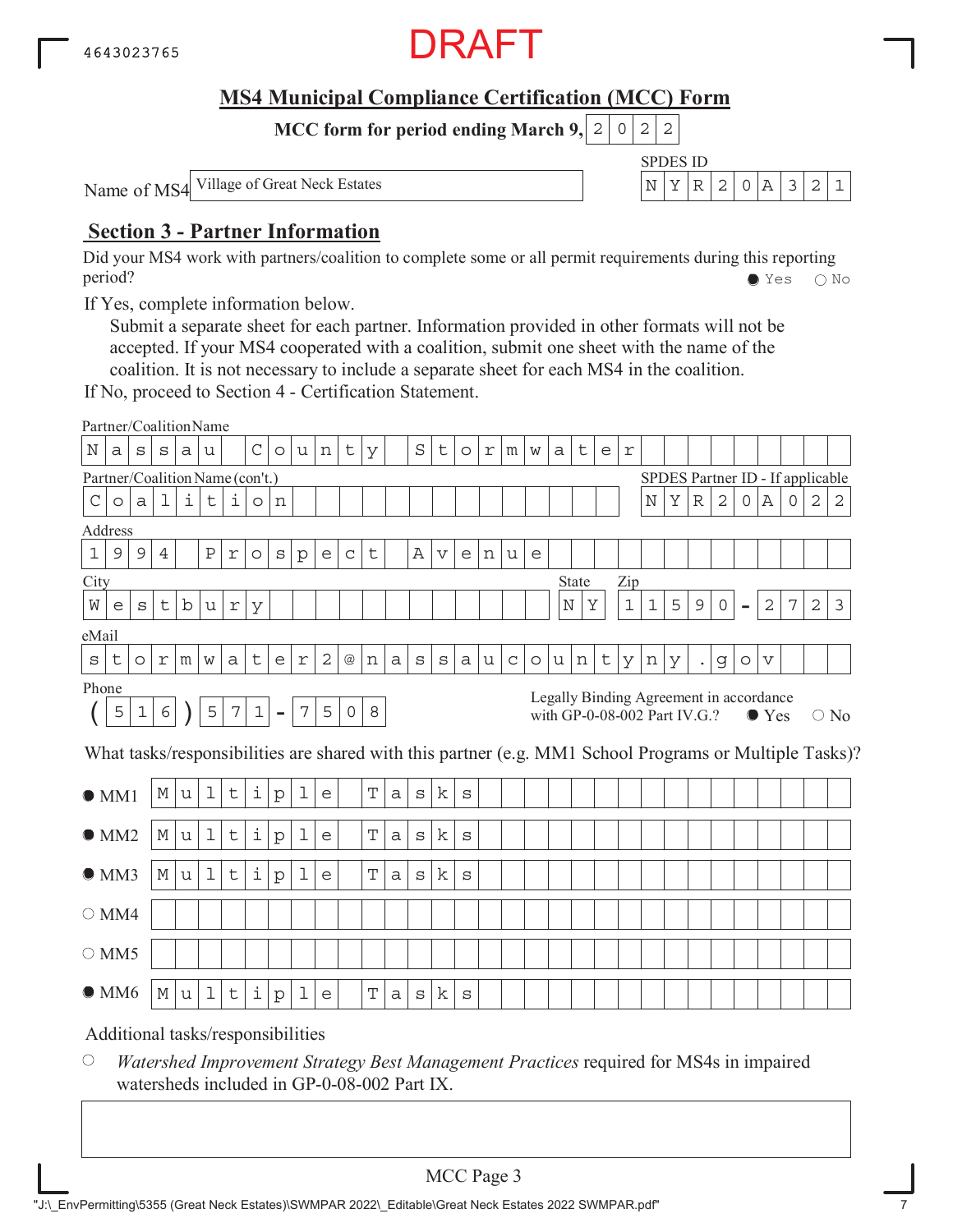

SPDES ID

**MCC form for period ending March 9, 2 0 2 2** 

Name of MS4 Village of Great Neck Estates N YR 2 0A 321

## **Section 3 - Partner Information**

Did your MS4 work with partners/coalition to complete some or all permit requirements during this reporting period? Yes No

If Yes, complete information below.

Submit a separate sheet for each partner. Information provided in other formats will not be accepted. If your MS4 cooperated with a coalition, submit one sheet with the name of the coalition. It is not necessary to include a separate sheet for each MS4 in the coalition.

If No, proceed to Section 4 - Certification Statement.

|               | Partner/CoalitionName             |              |            |             |             |                  |             |                |                |                |             |             |   |              |                 |             |   |             |         |   |                                                                         |   |             |             |                                  |                      |   |                |                 |             |   |                                                                                                        |
|---------------|-----------------------------------|--------------|------------|-------------|-------------|------------------|-------------|----------------|----------------|----------------|-------------|-------------|---|--------------|-----------------|-------------|---|-------------|---------|---|-------------------------------------------------------------------------|---|-------------|-------------|----------------------------------|----------------------|---|----------------|-----------------|-------------|---|--------------------------------------------------------------------------------------------------------|
| Ν             | а                                 | S            | S          | а           | u           |                  | $\mathsf C$ | $\circ$        | u              | n              | t           | У           |   | $\rm S$      | t               | $\circ$     | r | m           | W       | а | t                                                                       | e | $\mathbf r$ |             |                                  |                      |   |                |                 |             |   |                                                                                                        |
|               | Partner/Coalition Name (con't.)   |              |            |             |             |                  |             |                |                |                |             |             |   |              |                 |             |   |             |         |   |                                                                         |   |             |             | SPDES Partner ID - If applicable |                      |   |                |                 |             |   |                                                                                                        |
| $\mathcal{C}$ | $\circ$                           | $\mathsf{a}$ | 1          | i           | $\mathsf t$ | i                | $\circ$     | n              |                |                |             |             |   |              |                 |             |   |             |         |   |                                                                         |   |             | $_{\rm N}$  | Υ                                | $\mathbb R$          | 2 | 0              | Α               | $\mathbf 0$ | 2 | 2                                                                                                      |
|               | Address                           |              |            |             |             |                  |             |                |                |                |             |             |   |              |                 |             |   |             |         |   |                                                                         |   |             |             |                                  |                      |   |                |                 |             |   |                                                                                                        |
| $1\,$         | $\mathcal{G}$                     | 9            | 4          |             | Ρ           | r                | $\circ$     | $\rm s$        | $\mathbf{p}$   | e              | $\mathsf C$ | t           |   | Α            | $\triangledown$ | e           | n | u           | e       |   |                                                                         |   |             |             |                                  |                      |   |                |                 |             |   |                                                                                                        |
| City          |                                   |              |            |             |             |                  |             |                |                |                |             |             |   |              |                 |             |   |             |         |   | State                                                                   |   | Zip         |             |                                  |                      |   |                |                 |             |   |                                                                                                        |
| W             | e                                 | S            | セ          | $\mathbf b$ | u           | $\,$ $\,$ $\,$   | У           |                |                |                |             |             |   |              |                 |             |   |             |         |   | Ν<br>Υ                                                                  |   | $1\,$       | $\mathbf 1$ | 5                                | 9                    | 0 | $\overline{a}$ | $\mathbf{2}$    | 7           | 2 | 3                                                                                                      |
| eMail         |                                   |              |            |             |             |                  |             |                |                |                |             |             |   |              |                 |             |   |             |         |   |                                                                         |   |             |             |                                  |                      |   |                |                 |             |   |                                                                                                        |
| $\mathbf S$   | t                                 | $\circ$      | r          | m           | W           | a                | t           | e              | $\,$ $\,$ $\,$ | $\overline{c}$ | @           | n           | a | $\mathtt{s}$ | S               | a           | u | $\mathsf C$ | $\circ$ | u | n                                                                       | t | У           | n           | У                                | $\ddot{\phantom{0}}$ | g | $\circ$        | $\triangledown$ |             |   |                                                                                                        |
| Phone         |                                   |              |            |             |             |                  |             |                |                |                |             |             |   |              |                 |             |   |             |         |   |                                                                         |   |             |             |                                  |                      |   |                |                 |             |   |                                                                                                        |
|               | 5                                 | $\mathbf 1$  | $\epsilon$ |             | 5           | $\boldsymbol{7}$ | $\mathbf 1$ | $\blacksquare$ | $\overline{7}$ | 5              | $\circ$     | 8           |   |              |                 |             |   |             |         |   | Legally Binding Agreement in accordance<br>with GP-0-08-002 Part IV.G.? |   |             |             |                                  |                      |   |                | $\bullet$ Yes   |             |   | $\bigcirc$ No                                                                                          |
|               |                                   |              |            |             |             |                  |             |                |                |                |             |             |   |              |                 |             |   |             |         |   |                                                                         |   |             |             |                                  |                      |   |                |                 |             |   | What tasks/responsibilities are shared with this partner (e.g. MM1 School Programs or Multiple Tasks)? |
|               | OM1                               |              | М          | u           | $\mathbf 1$ | t                | i           | $\mathbf{p}$   | 1              | e              |             | T           | a | $\mathtt{s}$ | k               | $\mathbf S$ |   |             |         |   |                                                                         |   |             |             |                                  |                      |   |                |                 |             |   |                                                                                                        |
|               | OMM2                              |              | М          | u           | $\mathbf 1$ | $\sf t$          | i           | ${\rm p}$      | 1              | e              |             | Т           | a | $\mathtt{s}$ | k               | $\rm s$     |   |             |         |   |                                                                         |   |             |             |                                  |                      |   |                |                 |             |   |                                                                                                        |
|               | OMM3                              |              | М          | u           | 1           | t                | i           | $\mathbf{p}$   | 1              | e              |             | $\mathbf T$ | a | $\mathtt{s}$ | k               | $\rm s$     |   |             |         |   |                                                                         |   |             |             |                                  |                      |   |                |                 |             |   |                                                                                                        |
|               | $\bigcirc$ MM4                    |              |            |             |             |                  |             |                |                |                |             |             |   |              |                 |             |   |             |         |   |                                                                         |   |             |             |                                  |                      |   |                |                 |             |   |                                                                                                        |
|               | $\circ$ MM5                       |              |            |             |             |                  |             |                |                |                |             |             |   |              |                 |             |   |             |         |   |                                                                         |   |             |             |                                  |                      |   |                |                 |             |   |                                                                                                        |
|               | $\bullet$ MM6                     |              | М          | u           | $\mathbf 1$ | t                | i           | ${\rm p}$      | 1              | e              |             | Т           | a | S            | k               | S           |   |             |         |   |                                                                         |   |             |             |                                  |                      |   |                |                 |             |   |                                                                                                        |
|               | Additional tasks/responsibilities |              |            |             |             |                  |             |                |                |                |             |             |   |              |                 |             |   |             |         |   |                                                                         |   |             |             |                                  |                      |   |                |                 |             |   |                                                                                                        |

#### $\bigcirc$ *Watershed Improvement Strategy Best Management Practices* required for MS4s in impaired watersheds included in GP-0-08-002 Part IX.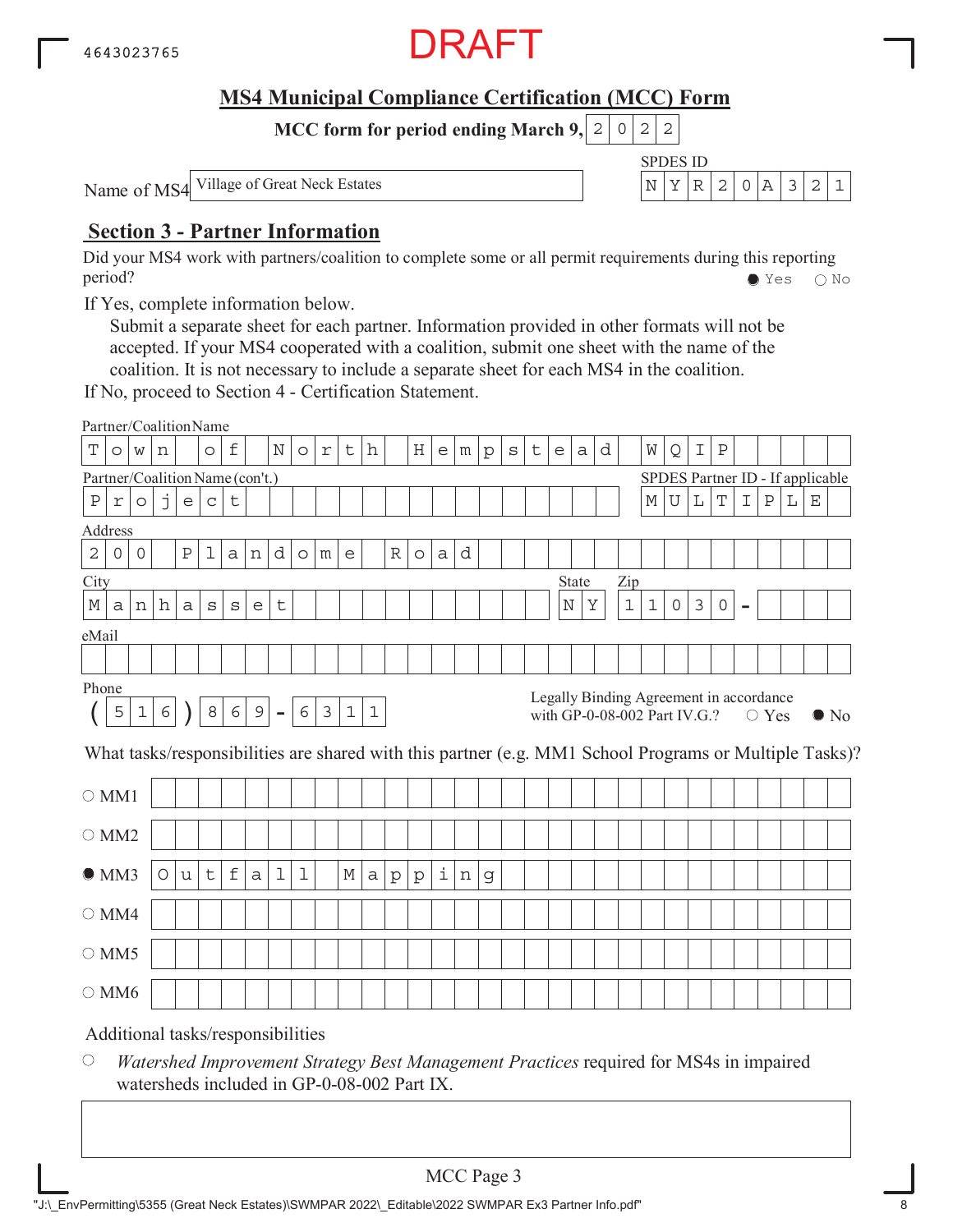

SPDES ID

**MCC form for period ending March 9, 2 0 2 2** 

Name of MS4 Village of Great Neck Estates N YR 2 0A 321

## **Section 3 - Partner Information**

Did your MS4 work with partners/coalition to complete some or all permit requirements during this reporting period? Yes No

If Yes, complete information below.

Submit a separate sheet for each partner. Information provided in other formats will not be accepted. If your MS4 cooperated with a coalition, submit one sheet with the name of the coalition. It is not necessary to include a separate sheet for each MS4 in the coalition.

If No, proceed to Section 4 - Certification Statement.

| Partner/CoalitionName           |            |             |   |                           |                                   |             |             |             |            |   |             |             |              |              |   |   |              |         |   |                              |       |   |       |             |           |                |                                         |                |                |   |             |                                                                                                        |
|---------------------------------|------------|-------------|---|---------------------------|-----------------------------------|-------------|-------------|-------------|------------|---|-------------|-------------|--------------|--------------|---|---|--------------|---------|---|------------------------------|-------|---|-------|-------------|-----------|----------------|-----------------------------------------|----------------|----------------|---|-------------|--------------------------------------------------------------------------------------------------------|
| Т                               | $\circ$    | W           | n |                           | $\circ$                           | f           |             | $\mathbf N$ | $\circ$    | r | t           | h           |              | Η            | e | m | $\mathbf{p}$ | $\rm s$ | t | e                            | a     | d |       | W           | Q         | I              | $\rm P$                                 |                |                |   |             |                                                                                                        |
| Partner/Coalition Name (con't.) |            |             |   |                           |                                   |             |             |             |            |   |             |             |              |              |   |   |              |         |   |                              |       |   |       |             |           |                | SPDES Partner ID - If applicable        |                |                |   |             |                                                                                                        |
| $\, {\bf P}$                    | $\Upsilon$ | $\circ$     | j | $\mathop{\rm e}\nolimits$ | $\mathsf C$                       | t           |             |             |            |   |             |             |              |              |   |   |              |         |   |                              |       |   |       | $\mathbb M$ | ${\bf U}$ | L              | $\mathbf T$                             | I              | $\, {\bf P}$   | L | $\mathbf E$ |                                                                                                        |
| Address                         |            |             |   |                           |                                   |             |             |             |            |   |             |             |              |              |   |   |              |         |   |                              |       |   |       |             |           |                |                                         |                |                |   |             |                                                                                                        |
| $\overline{c}$                  | $\circ$    | $\circ$     |   | $\rm P$                   | 1                                 | a           | n           | d           | $\circ$    | m | e           |             | $\mathbb R$  | $\circ$      | a | d |              |         |   |                              |       |   |       |             |           |                |                                         |                |                |   |             |                                                                                                        |
| City                            |            |             |   |                           |                                   |             |             |             |            |   |             |             |              |              |   |   |              |         |   |                              | State |   | Zip   |             |           |                |                                         |                |                |   |             |                                                                                                        |
| М                               | a          | n           | h | a                         | $\rm s$                           | $\rm s$     | e           | t           |            |   |             |             |              |              |   |   |              |         |   | $\rm N$                      | Υ     |   | $1\,$ | $1\,$       | 0         | $\mathfrak{Z}$ | 0                                       | $\blacksquare$ |                |   |             |                                                                                                        |
| eMail                           |            |             |   |                           |                                   |             |             |             |            |   |             |             |              |              |   |   |              |         |   |                              |       |   |       |             |           |                |                                         |                |                |   |             |                                                                                                        |
|                                 |            |             |   |                           |                                   |             |             |             |            |   |             |             |              |              |   |   |              |         |   |                              |       |   |       |             |           |                |                                         |                |                |   |             |                                                                                                        |
| Phone                           |            |             |   |                           |                                   |             |             |             |            |   |             |             |              |              |   |   |              |         |   |                              |       |   |       |             |           |                |                                         |                |                |   |             |                                                                                                        |
|                                 | 5          | $\mathbf 1$ | 6 |                           | 8                                 | 6           | $\mathsf 9$ | $\equiv$    | $\epsilon$ | 3 | $\mathbf 1$ | $\mathbf 1$ |              |              |   |   |              |         |   | with GP-0-08-002 Part IV.G.? |       |   |       |             |           |                | Legally Binding Agreement in accordance |                | $\bigcirc$ Yes |   |             | $\bullet$ No                                                                                           |
|                                 |            |             |   |                           |                                   |             |             |             |            |   |             |             |              |              |   |   |              |         |   |                              |       |   |       |             |           |                |                                         |                |                |   |             | What tasks/responsibilities are shared with this partner (e.g. MM1 School Programs or Multiple Tasks)? |
| $\bigcirc$ MM1                  |            |             |   |                           |                                   |             |             |             |            |   |             |             |              |              |   |   |              |         |   |                              |       |   |       |             |           |                |                                         |                |                |   |             |                                                                                                        |
| $\bigcirc$ MM2                  |            |             |   |                           |                                   |             |             |             |            |   |             |             |              |              |   |   |              |         |   |                              |       |   |       |             |           |                |                                         |                |                |   |             |                                                                                                        |
| OMM3                            |            |             | O | u                         | t                                 | $\mathbf f$ | a           | 1           | 1          |   | М           | a           | $\mathbf{p}$ | $\mathbf{p}$ | i | n | g            |         |   |                              |       |   |       |             |           |                |                                         |                |                |   |             |                                                                                                        |
| $\bigcirc$ MM4                  |            |             |   |                           |                                   |             |             |             |            |   |             |             |              |              |   |   |              |         |   |                              |       |   |       |             |           |                |                                         |                |                |   |             |                                                                                                        |
| $\circ$ MM5                     |            |             |   |                           |                                   |             |             |             |            |   |             |             |              |              |   |   |              |         |   |                              |       |   |       |             |           |                |                                         |                |                |   |             |                                                                                                        |
| $\bigcirc$ MM6                  |            |             |   |                           |                                   |             |             |             |            |   |             |             |              |              |   |   |              |         |   |                              |       |   |       |             |           |                |                                         |                |                |   |             |                                                                                                        |
|                                 |            |             |   |                           | Additional tasks/responsibilities |             |             |             |            |   |             |             |              |              |   |   |              |         |   |                              |       |   |       |             |           |                |                                         |                |                |   |             |                                                                                                        |

 $\bigcirc$ *Watershed Improvement Strategy Best Management Practices* required for MS4s in impaired watersheds included in GP-0-08-002 Part IX.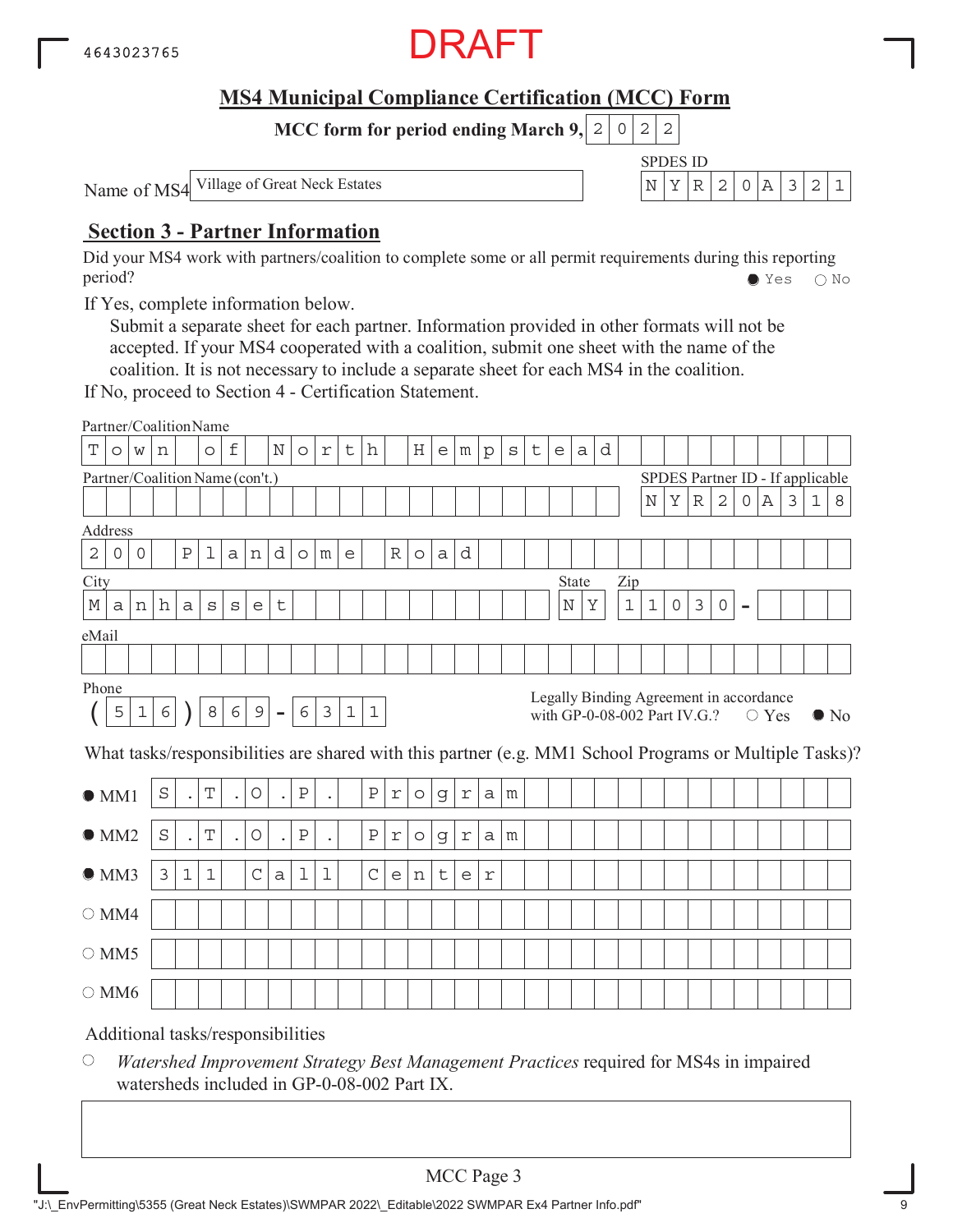

SPDES ID

**MCC form for period ending March 9, 2 0 2 2** 

Name of MS4 Village of Great Neck Estates N YR 2 0A 321

## **Section 3 - Partner Information**

Did your MS4 work with partners/coalition to complete some or all permit requirements during this reporting period? Yes No

If Yes, complete information below.

Submit a separate sheet for each partner. Information provided in other formats will not be accepted. If your MS4 cooperated with a coalition, submit one sheet with the name of the coalition. It is not necessary to include a separate sheet for each MS4 in the coalition.

If No, proceed to Section 4 - Certification Statement.

|                |                     |             |            |             | Partner/CoalitionName             |                      |                |                |                     |                      |             |              |                                   |         |             |                                   |              |              |   |   |         |                                                                         |       |             |                                  |                |              |                |                |                |              |                                                                                                        |
|----------------|---------------------|-------------|------------|-------------|-----------------------------------|----------------------|----------------|----------------|---------------------|----------------------|-------------|--------------|-----------------------------------|---------|-------------|-----------------------------------|--------------|--------------|---|---|---------|-------------------------------------------------------------------------|-------|-------------|----------------------------------|----------------|--------------|----------------|----------------|----------------|--------------|--------------------------------------------------------------------------------------------------------|
| Т              | $\circ$             | W           | n          |             | $\circ$                           | f                    |                | N              | $\circ$             | $\Upsilon$           | t           | h            |                                   | Η       | e           | m                                 | $\mathbf{p}$ | $\mathtt{s}$ | t | e | a       | d                                                                       |       |             |                                  |                |              |                |                |                |              |                                                                                                        |
|                |                     |             |            |             | Partner/Coalition Name (con't.)   |                      |                |                |                     |                      |             |              |                                   |         |             |                                   |              |              |   |   |         |                                                                         |       |             | SPDES Partner ID - If applicable |                |              |                |                |                |              |                                                                                                        |
|                |                     |             |            |             |                                   |                      |                |                |                     |                      |             |              |                                   |         |             |                                   |              |              |   |   |         |                                                                         |       | $\mathbf N$ | Υ                                | $\mathbb R$    | 2            | 0              | Α              | $\mathfrak{Z}$ | $\mathbf{1}$ | 8                                                                                                      |
| Address        |                     |             |            |             |                                   |                      |                |                |                     |                      |             |              |                                   |         |             |                                   |              |              |   |   |         |                                                                         |       |             |                                  |                |              |                |                |                |              |                                                                                                        |
| $\mathbf 2$    | $\mathsf{O}\xspace$ | $\circ$     |            | Ρ           | 1                                 | $\mathsf{a}$         | n              | d              | $\circlearrowright$ | m                    | e           |              | $\mathbb R$                       | $\circ$ | a           | d                                 |              |              |   |   |         |                                                                         |       |             |                                  |                |              |                |                |                |              |                                                                                                        |
| City           |                     |             |            |             |                                   |                      |                |                |                     |                      |             |              |                                   |         |             |                                   |              |              |   |   | State   |                                                                         | Zip   |             |                                  |                |              |                |                |                |              |                                                                                                        |
| М              | a                   | n           | h          | a           | S                                 | $\rm s$              | e              | t              |                     |                      |             |              |                                   |         |             |                                   |              |              |   |   | $\rm N$ | Υ                                                                       | $1\,$ | $\mathbf 1$ | $\mathsf{O}\xspace$              | $\mathfrak{Z}$ | $\mathsf{O}$ | $\blacksquare$ |                |                |              |                                                                                                        |
| eMail          |                     |             |            |             |                                   |                      |                |                |                     |                      |             |              |                                   |         |             |                                   |              |              |   |   |         |                                                                         |       |             |                                  |                |              |                |                |                |              |                                                                                                        |
|                |                     |             |            |             |                                   |                      |                |                |                     |                      |             |              |                                   |         |             |                                   |              |              |   |   |         |                                                                         |       |             |                                  |                |              |                |                |                |              |                                                                                                        |
| Phone          |                     |             |            |             |                                   |                      |                |                |                     |                      |             |              |                                   |         |             |                                   |              |              |   |   |         |                                                                         |       |             |                                  |                |              |                |                |                |              |                                                                                                        |
|                | 5                   | $\mathbf 1$ | $\epsilon$ |             | 8                                 | 6                    | $\overline{9}$ | $\blacksquare$ | 6                   | 3                    | $\mathbf 1$ | $\mathbf 1$  |                                   |         |             |                                   |              |              |   |   |         | Legally Binding Agreement in accordance<br>with GP-0-08-002 Part IV.G.? |       |             |                                  |                |              |                | $\bigcirc$ Yes |                |              | $\bullet$ No                                                                                           |
|                |                     |             |            |             |                                   |                      |                |                |                     |                      |             |              |                                   |         |             |                                   |              |              |   |   |         |                                                                         |       |             |                                  |                |              |                |                |                |              | What tasks/responsibilities are shared with this partner (e.g. MM1 School Programs or Multiple Tasks)? |
| $\bullet$ MM1  |                     |             | S          | $\bullet$   | T                                 | $\ddot{\phantom{0}}$ | O              | $\bullet$      | $\, {\bf P}$        |                      |             | $\, {\bf P}$ | $\mathfrak{\textbf{r}}$           | $\circ$ | g           | $\Upsilon$                        | a            | m            |   |   |         |                                                                         |       |             |                                  |                |              |                |                |                |              |                                                                                                        |
| OMM2           |                     |             | $\rm S$    | $\bullet$   | T                                 | $\ddot{\phantom{0}}$ | $\bigcirc$     | $\bullet$      | $\, {\bf P}$        | $\ddot{\phantom{0}}$ |             | $\, {\bf P}$ | $\Upsilon$                        | $\circ$ | g           | $\Upsilon$                        | a            | m            |   |   |         |                                                                         |       |             |                                  |                |              |                |                |                |              |                                                                                                        |
| OMM3           |                     |             | 3          | $\mathbf 1$ | $\mathbf{1}$                      |                      | $\mathsf C$    | $\mathsf{a}$   | 1                   | 1                    |             | $\mathsf C$  | $\mathsf{e}% _{t}\left( t\right)$ | n       | $\mathsf t$ | $\mathsf{e}% _{t}\left( t\right)$ | $\Upsilon$   |              |   |   |         |                                                                         |       |             |                                  |                |              |                |                |                |              |                                                                                                        |
| $\bigcirc$ MM4 |                     |             |            |             |                                   |                      |                |                |                     |                      |             |              |                                   |         |             |                                   |              |              |   |   |         |                                                                         |       |             |                                  |                |              |                |                |                |              |                                                                                                        |
| $\circ$ MM5    |                     |             |            |             |                                   |                      |                |                |                     |                      |             |              |                                   |         |             |                                   |              |              |   |   |         |                                                                         |       |             |                                  |                |              |                |                |                |              |                                                                                                        |
| $\bigcirc$ MM6 |                     |             |            |             |                                   |                      |                |                |                     |                      |             |              |                                   |         |             |                                   |              |              |   |   |         |                                                                         |       |             |                                  |                |              |                |                |                |              |                                                                                                        |
|                |                     |             |            |             | Additional tasks/responsibilities |                      |                |                |                     |                      |             |              |                                   |         |             |                                   |              |              |   |   |         |                                                                         |       |             |                                  |                |              |                |                |                |              |                                                                                                        |

 $\bigcirc$ *Watershed Improvement Strategy Best Management Practices* required for MS4s in impaired watersheds included in GP-0-08-002 Part IX.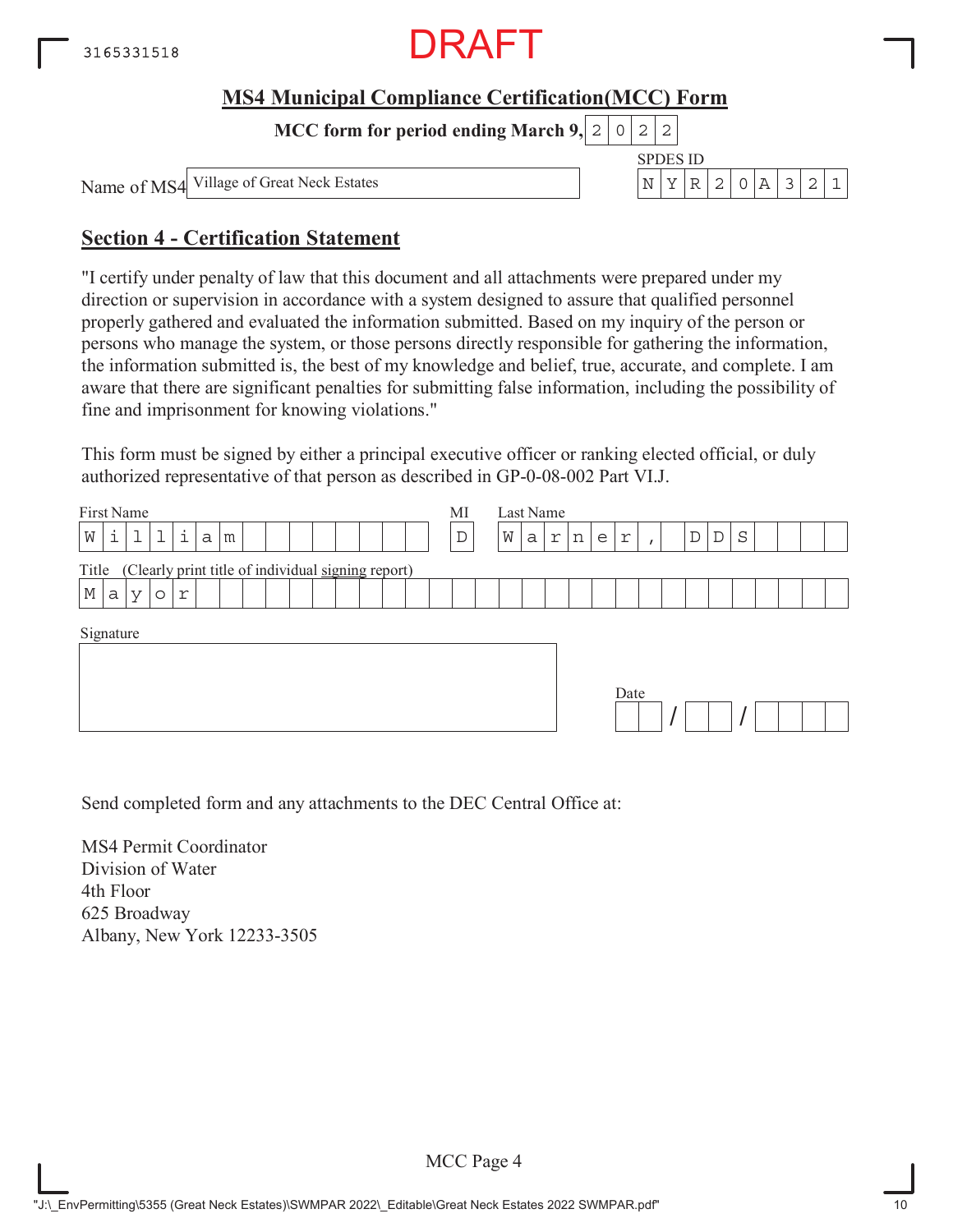

**MCC form for period ending March 9,**  $0|2|2$ 

Village of Great Neck Estates  $\begin{bmatrix} \nN & Y & R & 2 & 0 & A & 3 & 2 & 1\n\end{bmatrix}$ 

SPDES ID

Name of MS4

## **Section 4 - Certification Statement**

"I certify under penalty of law that this document and all attachments were prepared under my direction or supervision in accordance with a system designed to assure that qualified personnel properly gathered and evaluated the information submitted. Based on my inquiry of the person or persons who manage the system, or those persons directly responsible for gathering the information, the information submitted is, the best of my knowledge and belief, true, accurate, and complete. I am aware that there are significant penalties for submitting false information, including the possibility of fine and imprisonment for knowing violations."

This form must be signed by either a principal executive officer or ranking elected official, or duly authorized representative of that person as described in GP-0-08-002 Part VI.J.

| First Name<br>i<br>$\mathbf{i}$<br>1<br>W<br>a<br>m         | МI<br>$\mathbb D$ | Last Name<br>W<br>S<br>D<br>D<br>r<br>a<br>n<br>r<br>e<br>$\mathbf{r}$ |
|-------------------------------------------------------------|-------------------|------------------------------------------------------------------------|
| (Clearly print title of individual signing report)<br>Title |                   |                                                                        |
| $\mathbb M$<br>a<br>r<br>$\vee$<br>$\circ$                  |                   |                                                                        |
| Signature                                                   |                   | Date                                                                   |

Send completed form and any attachments to the DEC Central Office at:

MS4 Permit Coordinator Division of Water 4th Floor 625 Broadway Albany, New York 12233-3505

MCC Page 4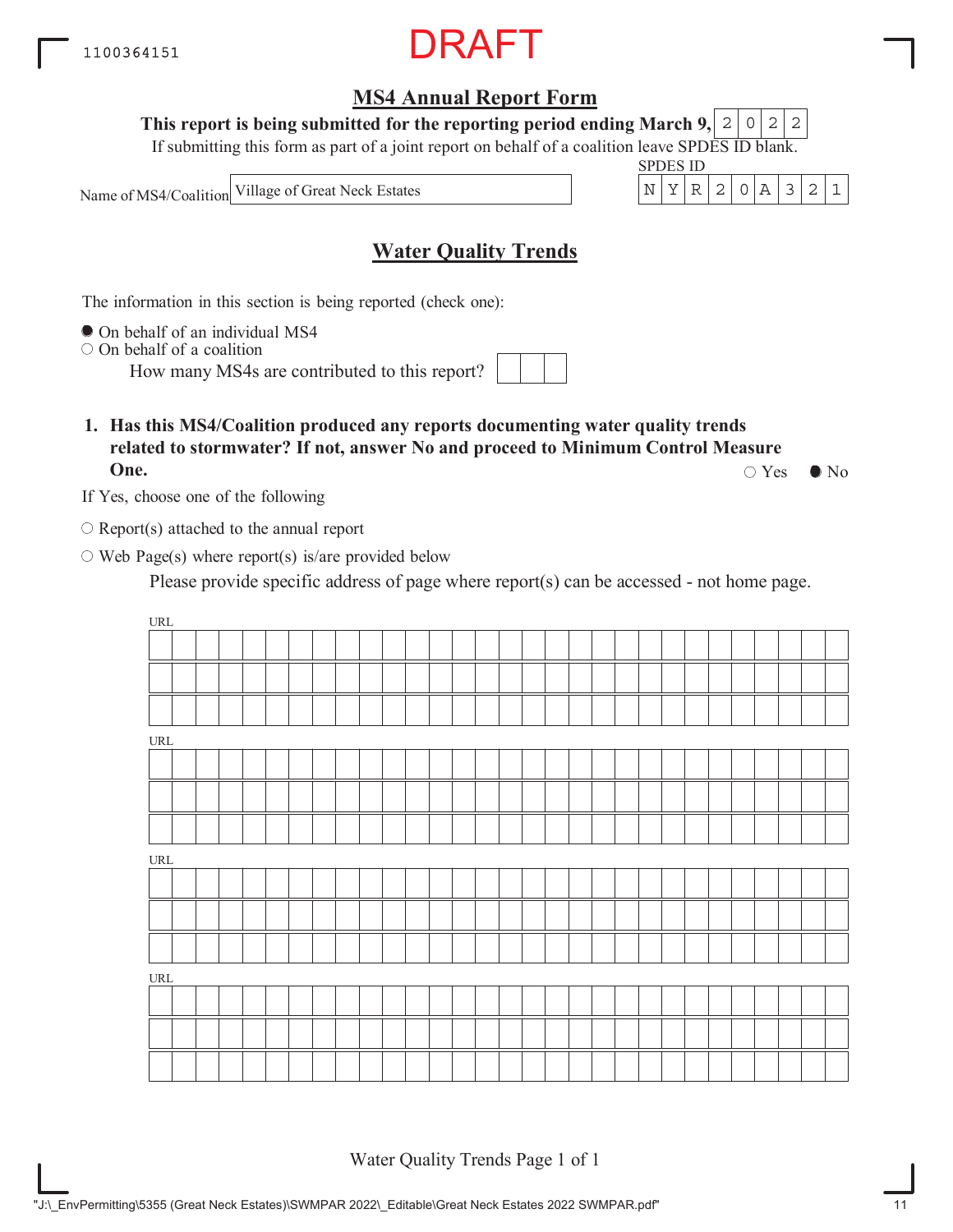"J:\\_EnvPermitting\5355 (Great Neck Estates)\SWMPAR 2022\\_Editable\Great Neck Estates 2022 SWMPAR.pdf" 11

## **MS4 Annual Report Form**

This report is being submitted for the reporting period ending March 9,  $\mid$  2  $\mid$  0  $\mid$  2  $\mid$  2

If submitting this form as part of a joint report on behalf of a coalition leave SPDES ID blank.

Name of MS4/Coalition

## **Water Quality Trends**

The information in this section is being reported (check one):

 $\bullet$  On behalf of an individual MS4

 $\circ$  On behalf of a coalition

How many MS4s are contributed to this report?

**1. Has this MS4/Coalition produced any reports documenting water quality trends related to stormwater? If not, answer No and proceed to Minimum Control Measure One.**  $\circ$  Yes  $\bullet$  No

If Yes, choose one of the following

 $\bigcirc$  Report(s) attached to the annual report

 $\circ$  Web Page(s) where report(s) is/are provided below

Please provide specific address of page where report(s) can be accessed - not home page.

URL URL URL URL

Water Quality Trends Page 1 of 1



SPDES ID Village of Great Neck Estates  $\vert N \vert Y \vert R \vert 2 \vert 0 \vert A \vert 3 \vert 2 \vert 1$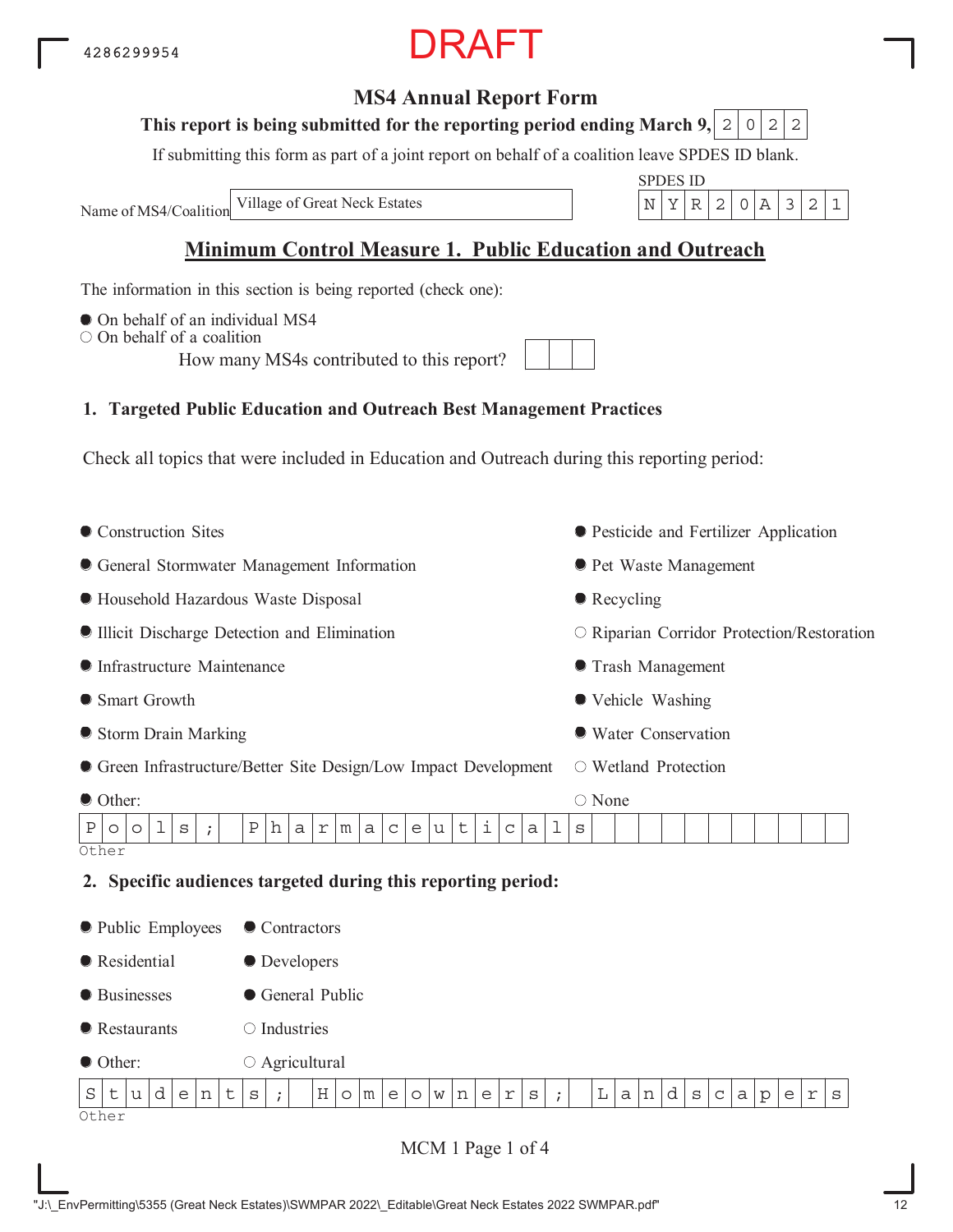## **MS4 Annual Report Form**

#### This report is being submitted for the reporting period ending March 9,  $\mid$  2  $\mid$  0  $\mid$  2  $\mid$  2

If submitting this form as part of a joint report on behalf of a coalition leave SPDES ID blank.

Name of MS4/Coalition

SPDES ID Village of Great Neck Estates N YR 2 0A 321

## **Minimum Control Measure 1. Public Education and Outreach**

The information in this section is being reported (check one):

- $\bullet$  On behalf of an individual MS4
- $\bigcirc$  On behalf of a coalition

How many MS4s contributed to this report?

## **1. Targeted Public Education and Outreach Best Management Practices**

Check all topics that were included in Education and Outreach during this reporting period:

• Construction Sites General Stormwater Management Information Household Hazardous Waste Disposal Illicit Discharge Detection and Elimination Infrastructure Maintenance ● Smart Growth Storm Drain Marking Green Infrastructure/Better Site Design/Low Impact Development Other: Pesticide and Fertilizer Application **• Pet Waste Management** • Recycling O Riparian Corridor Protection/Restoration Trash Management Vehicle Washing Water Conservation Wetland Protection ○ None **Other 2. Specific audiences targeted during this reporting period:** • Public Employees **Residential** ● Businesses **•** Restaurants ● Other: ● Contractors **O** Developers General Public  $\bigcirc$  Industries  $\circ$  Agricultural  $P|o|o|1|s|$ ; Pharmaceuticals  $S$ t $|u|d|e|n|t|s|$ ; | Ho $|m|e|o|w|n|e|r|s|$ ; | La $|n|d|s|c|a|p|e|r|s$ 

Other

MCM 1 Page 1 of 4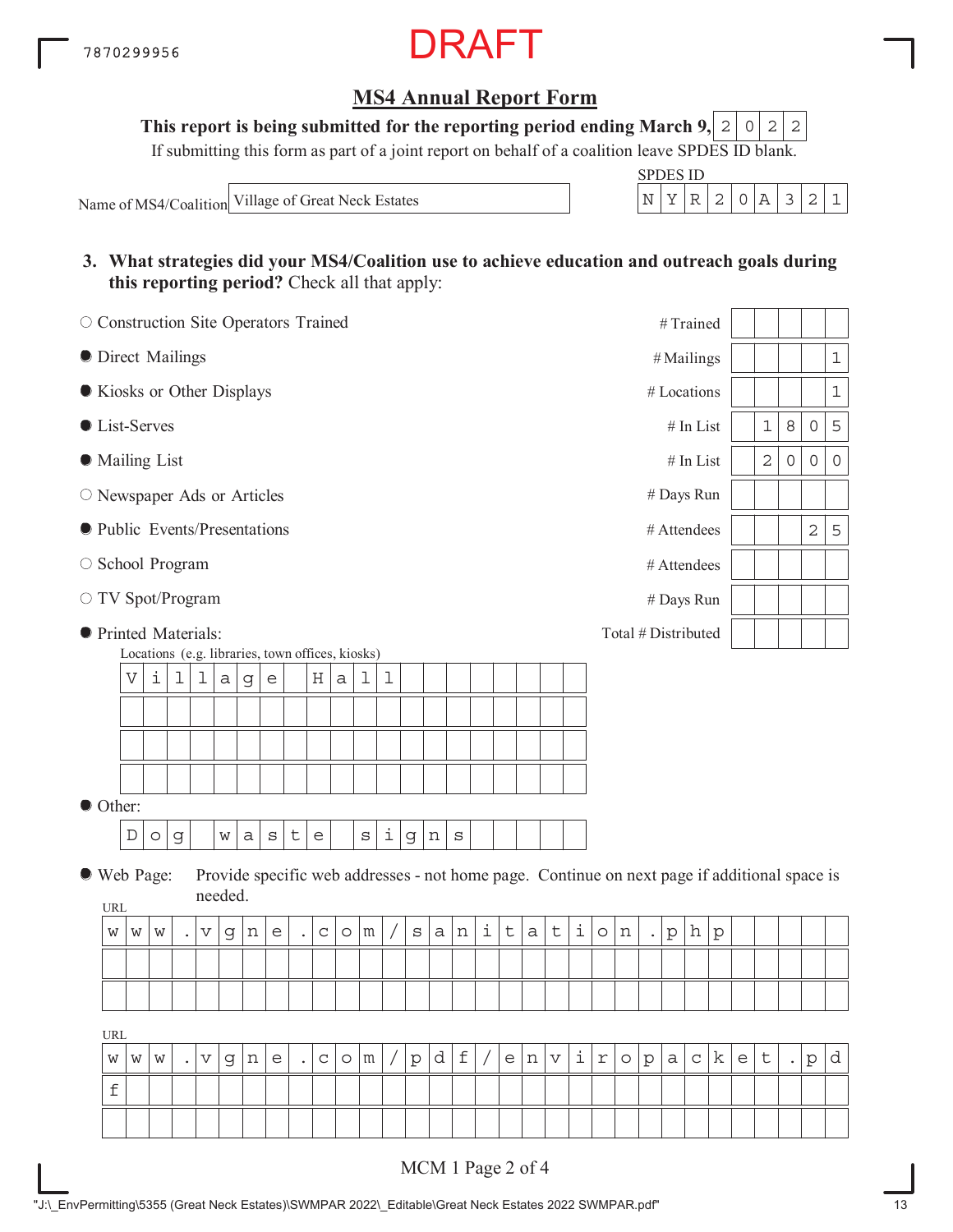

**This report is being submitted for the reporting period ending March 9, 2 0 2 2** 

If submitting this form as part of a joint report on behalf of a coalition leave SPDES ID blank.

Name of MS4/Coalition Village of Great Neck Estates

| <b>SPDES</b> | S 11) |  |  |  |
|--------------|-------|--|--|--|
|              |       |  |  |  |

**3. What strategies did your MS4/Coalition use to achieve education and outreach goals during this reporting period?** Check all that apply:

| O Construction Site Operators Trained |                                                                                                                      |   |           |                       |         |   |                           |           |             |         |                 |  |           |              |                |                     |         |              |             |                    |            |         |                      | #Trained            |              |         |   |                |                     |                                                                                              |              |
|---------------------------------------|----------------------------------------------------------------------------------------------------------------------|---|-----------|-----------------------|---------|---|---------------------------|-----------|-------------|---------|-----------------|--|-----------|--------------|----------------|---------------------|---------|--------------|-------------|--------------------|------------|---------|----------------------|---------------------|--------------|---------|---|----------------|---------------------|----------------------------------------------------------------------------------------------|--------------|
| <b>O</b> Direct Mailings              |                                                                                                                      |   |           |                       |         |   |                           |           |             |         |                 |  |           |              |                |                     |         |              |             |                    |            |         |                      | # Mailings          |              |         |   |                |                     |                                                                                              | $\mathbf 1$  |
| Kiosks or Other Displays              |                                                                                                                      |   |           |                       |         |   |                           |           |             |         |                 |  |           |              |                |                     |         |              |             |                    |            |         |                      | # Locations         |              |         |   |                |                     |                                                                                              | $\mathbf 1$  |
| <b>C</b> List-Serves                  |                                                                                                                      |   |           |                       |         |   |                           |           |             |         |                 |  |           |              |                |                     |         |              |             |                    |            |         |                      |                     | $\#$ In List |         |   | $\mathbf 1$    | 8                   | $\mathsf{O}$                                                                                 | 5            |
| • Mailing List                        |                                                                                                                      |   |           |                       |         |   |                           |           |             |         |                 |  |           |              |                |                     |         |              |             |                    |            |         |                      |                     | $#$ In List  |         |   | $\overline{2}$ | $\mathsf{O}\xspace$ | $\mathsf{O}\xspace$                                                                          | $\mathsf{O}$ |
| O Newspaper Ads or Articles           |                                                                                                                      |   |           |                       |         |   |                           |           |             |         |                 |  |           |              |                |                     |         |              |             |                    |            |         |                      | # Days Run          |              |         |   |                |                     |                                                                                              |              |
| lacktriangleright Presentations       |                                                                                                                      |   |           |                       |         |   |                           |           |             |         |                 |  |           |              |                |                     |         |              |             |                    |            |         |                      | # Attendees         |              |         |   |                |                     | $\mathbf 2$                                                                                  | 5            |
| ○ School Program                      |                                                                                                                      |   |           |                       |         |   |                           |           |             |         |                 |  |           |              |                |                     |         |              |             |                    |            |         |                      | # Attendees         |              |         |   |                |                     |                                                                                              |              |
| ○ TV Spot/Program                     |                                                                                                                      |   |           |                       |         |   |                           |           |             |         |                 |  |           |              |                |                     |         |              |             |                    |            |         |                      | # Days Run          |              |         |   |                |                     |                                                                                              |              |
| <b>•</b> Printed Materials:           |                                                                                                                      |   |           |                       |         |   |                           |           |             |         |                 |  |           |              |                |                     |         |              |             |                    |            |         |                      | Total # Distributed |              |         |   |                |                     |                                                                                              |              |
|                                       | Locations (e.g. libraries, town offices, kiosks)                                                                     |   |           |                       |         |   |                           |           |             |         |                 |  |           |              |                |                     |         |              |             |                    |            |         |                      |                     |              |         |   |                |                     |                                                                                              |              |
|                                       | $\mathbf 1$<br>V<br>i<br>1<br>Η<br>1<br>T<br>a<br>$\mathop{\rm e}\nolimits$<br>$\mathsf a$<br>$\mathbf G$            |   |           |                       |         |   |                           |           |             |         |                 |  |           |              |                |                     |         |              |             |                    |            |         |                      |                     |              |         |   |                |                     |                                                                                              |              |
|                                       |                                                                                                                      |   |           |                       |         |   |                           |           |             |         |                 |  |           |              |                |                     |         |              |             |                    |            |         |                      |                     |              |         |   |                |                     |                                                                                              |              |
|                                       |                                                                                                                      |   |           |                       |         |   |                           |           |             |         |                 |  |           |              |                |                     |         |              |             |                    |            |         |                      |                     |              |         |   |                |                     |                                                                                              |              |
|                                       |                                                                                                                      |   |           |                       |         |   |                           |           |             |         |                 |  |           |              |                |                     |         |              |             |                    |            |         |                      |                     |              |         |   |                |                     |                                                                                              |              |
|                                       | Other:<br>i<br>t<br>D<br>$\rm s$<br>$\rm S$<br>a<br>$\mathsf{e}$<br>$\rm s$<br>$\circ$<br>g<br>W<br>$\mathsf d$<br>n |   |           |                       |         |   |                           |           |             |         |                 |  |           |              |                |                     |         |              |             |                    |            |         |                      |                     |              |         |   |                |                     |                                                                                              |              |
| ● Web Page:                           |                                                                                                                      |   |           |                       |         |   |                           |           |             |         |                 |  |           |              |                |                     |         |              |             |                    |            |         |                      |                     |              |         |   |                |                     | Provide specific web addresses - not home page. Continue on next page if additional space is |              |
| URL                                   |                                                                                                                      |   |           |                       | needed. |   |                           |           |             |         |                 |  |           |              |                |                     |         |              |             |                    |            |         |                      |                     |              |         |   |                |                     |                                                                                              |              |
| W                                     | W                                                                                                                    | W |           | $\boldsymbol{\nabla}$ | g       | n | $\mathop{\rm e}\nolimits$ | $\bullet$ | $\mathbf C$ | $\circ$ | ${\mathfrak m}$ |  | $\rm S$   | $\mathsf{a}$ | $\,$ $\,$ $\,$ | $\dot{\mathbbm{1}}$ | $\sf t$ | $\mathsf{a}$ | $\mathsf t$ | $\dot{\mathtt{l}}$ | $\circ$    | n       | $\ddot{\phantom{a}}$ | $\rm p$             | h            | $\rm p$ |   |                |                     |                                                                                              |              |
|                                       |                                                                                                                      |   |           |                       |         |   |                           |           |             |         |                 |  |           |              |                |                     |         |              |             |                    |            |         |                      |                     |              |         |   |                |                     |                                                                                              |              |
|                                       |                                                                                                                      |   |           |                       |         |   |                           |           |             |         |                 |  |           |              |                |                     |         |              |             |                    |            |         |                      |                     |              |         |   |                |                     |                                                                                              |              |
| URL                                   |                                                                                                                      |   |           |                       |         |   |                           |           |             |         |                 |  |           |              |                |                     |         |              |             |                    |            |         |                      |                     |              |         |   |                |                     |                                                                                              |              |
| W                                     | W                                                                                                                    | W | $\bullet$ | V                     | g       | n | е                         | $\bullet$ | С           | $\circ$ | m               |  | ${\rm p}$ | d            | f              |                     | e       | n            | V           | i                  | $\Upsilon$ | $\circ$ | ${\rm p}$            | а                   | C            | k       | e | t              |                     | p                                                                                            | d            |
|                                       | $\mathbf f$                                                                                                          |   |           |                       |         |   |                           |           |             |         |                 |  |           |              |                |                     |         |              |             |                    |            |         |                      |                     |              |         |   |                |                     |                                                                                              |              |
|                                       |                                                                                                                      |   |           |                       |         |   |                           |           |             |         |                 |  |           |              |                |                     |         |              |             |                    |            |         |                      |                     |              |         |   |                |                     |                                                                                              |              |
|                                       |                                                                                                                      |   |           |                       |         |   |                           |           |             |         |                 |  |           |              |                |                     |         |              |             |                    |            |         |                      |                     |              |         |   |                |                     |                                                                                              |              |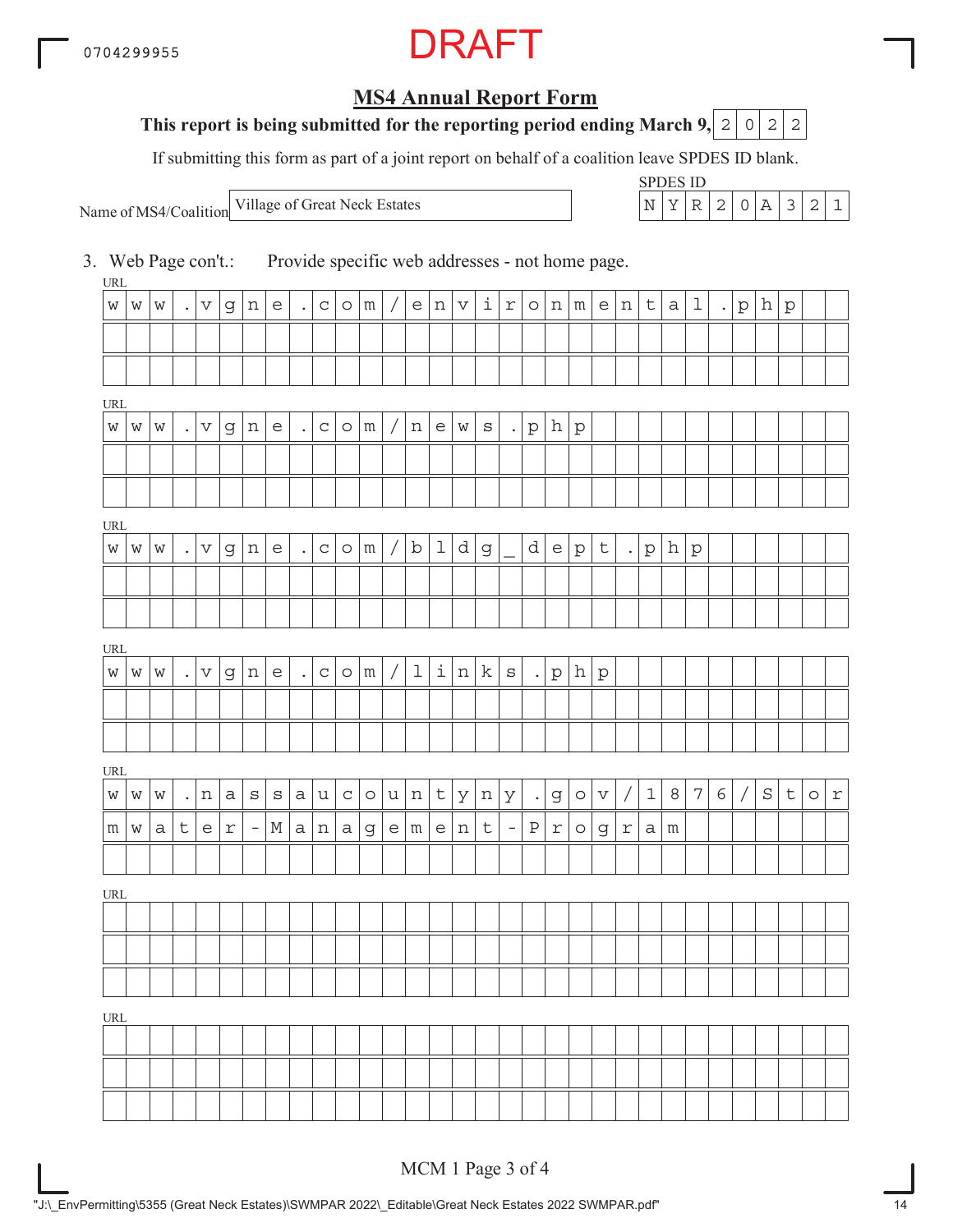## **MS4 Annual Report Form**

### **This report is being submitted for the reporting period ending March 9, 2 0 2 2**

If submitting this form as part of a joint report on behalf of a coalition leave SPDES ID blank.

Name of MS4/Coalition

SPDES ID Village of Great Neck Estates  $\vert N \vert Y \vert R \vert 2 \vert 0 \vert A \vert 3 \vert 2 \vert 1$ 

3. Web Page con't.: Provide specific web addresses - not home page.

URL URL URL **URI** URL URL URL  $w \, | \, w \, | \, \ldots \, | \, v \, | \, g \, | \, n \, | \, e \, | \, \ldots \, | \, c \, | \, o \, | \, m \, | \, v \, | \, i \, | \, r \, | \, o \, | \, n \, | \, m \, | \, e \, | \, n \, | \, t \, | \, a \, | \, 1 \, | \, \ldots \, | \, p \, | \, h \, | \, p$  $w \, | \, w \, | \, w \, |$  .  $| \, v \, | \, g \, | \, n \, | \, e \, | \, \, .$   $| \, c \, | \, o \, | \, m \, | \, / \, | \, n \, | \, e \, | \, w \, | \, s \, | \, \, .$   $| \, p \, | \, h \, | \, p$  $w \, | \, w \, | \, . \, | \, v \, | \, g \, | \, n \, | \, e \, | \, . \, | \, c \, | \, o \, | \, m \, | \, / \, | \, b \, | \, 1 \, | \, d \, | \, g \, | \, \, \, d \, | \, e \, | \, p \, | \, t \, | \, . \, | \, p \, | \, h \, | \, p$  $w \, | \, w \, | \, w \, | \, .$   $| \, v \, | \, g \, | \, n \, | \, e \, | \, .$   $| \, c \, | \, o \, | \, m \, | \, / \, | \, 1 \, | \, i \, | \, n \, | \, k \, | \, s \, | \, .$   $| \, p \, | \, h \, | \, p$ w |w |w | .|n |a |s |s |a |u |c |o |u |n |t |y |n |y | .|g |o |v | / | 1 | 8 | 7 | 6 | / | S | t | o | r  $m \mid w \mid a \mid t \mid e \mid r \mid$  -  $\mid$   $M \mid a \mid n \mid a \mid g \mid e \mid m \mid e \mid n \mid t \mid$  -  $\mid$   $P \mid r \mid o \mid g \mid r \mid a \mid m$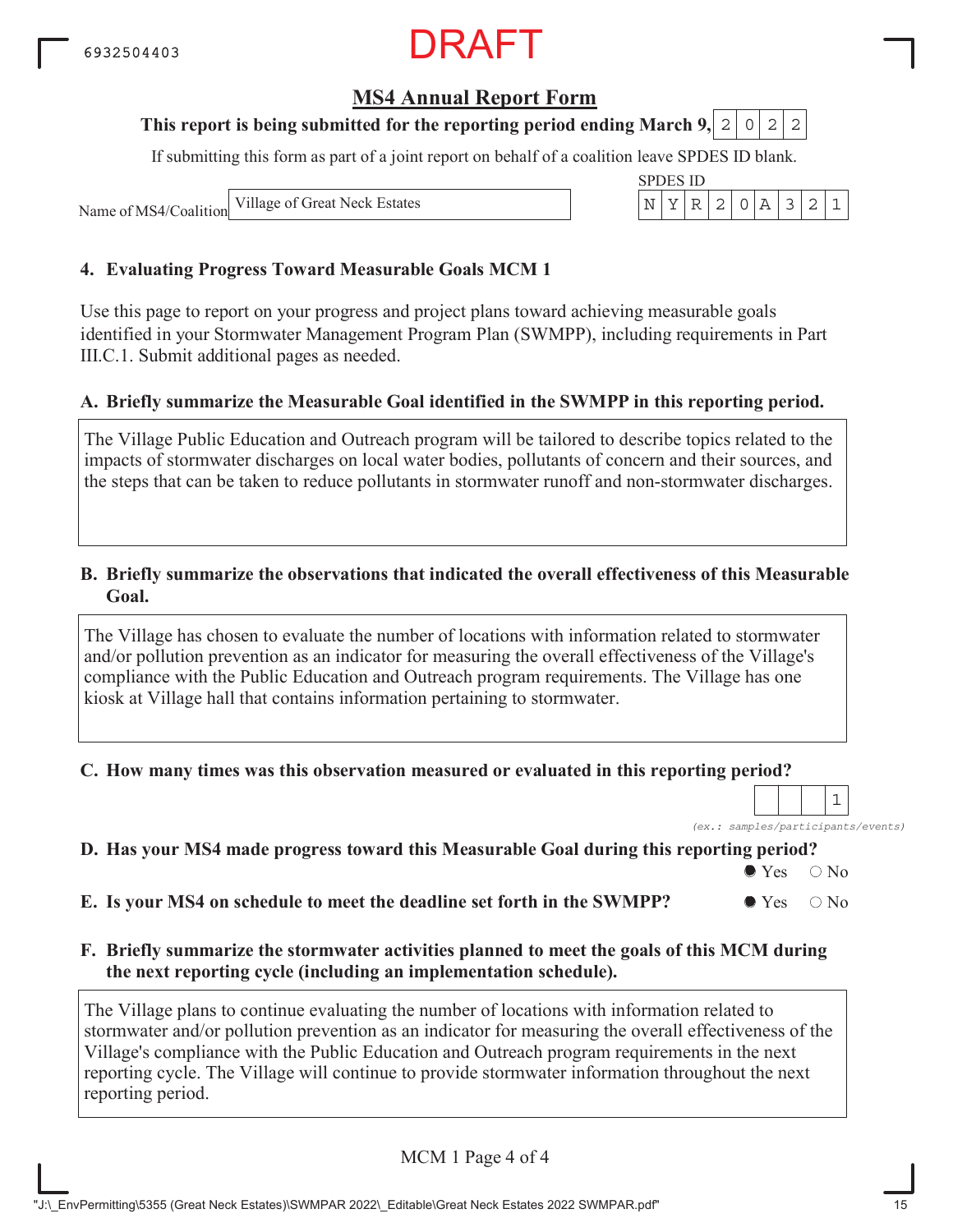### **MS4 Annual Report Form**

### **This report is being submitted for the reporting period ending March 9, 2 0 2 2**

If submitting this form as part of a joint report on behalf of a coalition leave SPDES ID blank.

SPDES ID

Name of MS4/Coalition

Village of Great Neck Estates  $\vert N \vert Y \vert R \vert 2 \vert 0 \vert A \vert 3 \vert 2 \vert 1$ 

#### **4. Evaluating Progress Toward Measurable Goals MCM 1**

Use this page to report on your progress and project plans toward achieving measurable goals identified in your Stormwater Management Program Plan (SWMPP), including requirements in Part III.C.1. Submit additional pages as needed.

#### **A. Briefly summarize the Measurable Goal identified in the SWMPP in this reporting period.**

The Village Public Education and Outreach program will be tailored to describe topics related to the impacts of stormwater discharges on local water bodies, pollutants of concern and their sources, and the steps that can be taken to reduce pollutants in stormwater runoff and non-stormwater discharges.

#### **B. Briefly summarize the observations that indicated the overall effectiveness of this Measurable Goal.**

The Village has chosen to evaluate the number of locations with information related to stormwater and/or pollution prevention as an indicator for measuring the overall effectiveness of the Village's compliance with the Public Education and Outreach program requirements. The Village has one kiosk at Village hall that contains information pertaining to stormwater.

#### **C. How many times was this observation measured or evaluated in this reporting period?**

*(ex.: samples/participants/events)* 1

#### **D. Has your MS4 made progress toward this Measurable Goal during this reporting period?**

 $\bullet$  Yes  $\circ$  No

**E.** Is your MS4 on schedule to meet the deadline set forth in the SWMPP?  $\bullet$  Yes  $\circ$  No

**F. Briefly summarize the stormwater activities planned to meet the goals of this MCM during the next reporting cycle (including an implementation schedule).**

The Village plans to continue evaluating the number of locations with information related to stormwater and/or pollution prevention as an indicator for measuring the overall effectiveness of the Village's compliance with the Public Education and Outreach program requirements in the next reporting cycle. The Village will continue to provide stormwater information throughout the next reporting period.

MCM 1 Page 4 of 4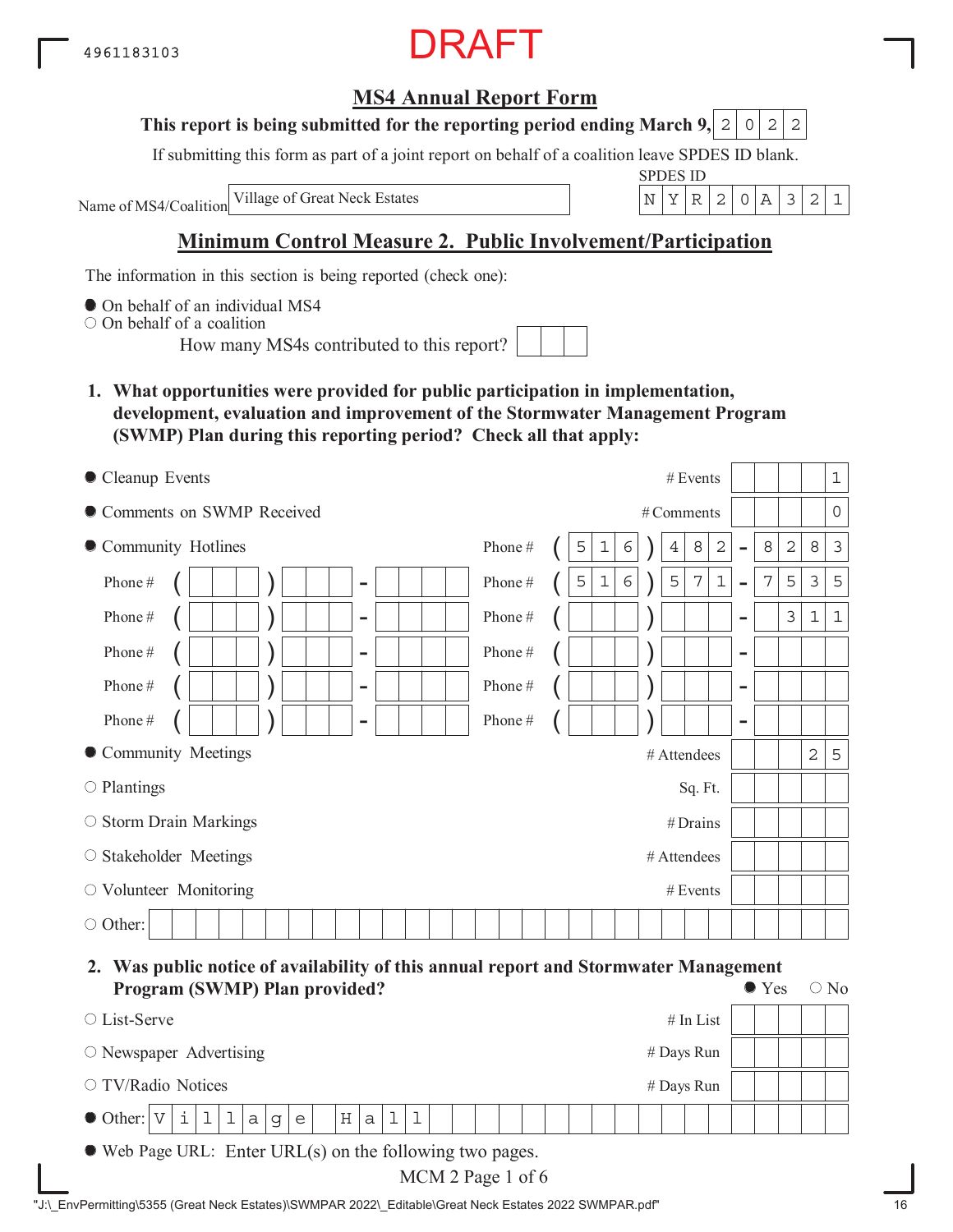## **MS4 Annual Report Form**

#### **This report is being submitted for the reporting period ending March 9,**  $2|0|2|2$

If submitting this form as part of a joint report on behalf of a coalition leave SPDES ID blank.

Name of MS4/Coalition

SPDES ID Village of Great Neck Estates N YR 2 0A 321

## **Minimum Control Measure 2. Public Involvement/Participation**

The information in this section is being reported (check one):

 $\bullet$  On behalf of an individual MS4

On behalf of a coalition

How many MS4s contributed to this report?

**1. What opportunities were provided for public participation in implementation, development, evaluation and improvement of the Stormwater Management Program (SWMP) Plan during this reporting period? Check all that apply:**

| Cleanup Events                     | # Events                                                                                           | $\mathbf 1$                      |
|------------------------------------|----------------------------------------------------------------------------------------------------|----------------------------------|
| Comments on SWMP Received          | # Comments                                                                                         | $\overline{0}$                   |
| • Community Hotlines               | $\sqrt{2}$<br>8<br>Phone#<br>6<br>8<br>5<br>1<br>4<br>$\overline{\phantom{0}}$                     | $\mathbf 2$<br>$\mathbf{3}$<br>8 |
| Phone#<br>$\overline{\phantom{a}}$ | $\epsilon$<br>5<br>$\mathbf 1$<br>7<br>Phone#<br>7<br>5<br>$\mathbf 1$<br>$\overline{\phantom{0}}$ | 5<br>$\mathfrak{Z}$<br>5         |
| Phone#<br>$\overline{\phantom{a}}$ | Phone#<br>$\qquad \qquad \blacksquare$                                                             | 3<br>$\mathbf 1$<br>$\mathbf{1}$ |
| Phone#<br>$\overline{\phantom{a}}$ | Phone $\#$<br>$\overline{\phantom{0}}$                                                             |                                  |
| Phone#<br>$\overline{\phantom{a}}$ | Phone#<br>$\overline{\phantom{0}}$                                                                 |                                  |
| Phone#<br>-                        | Phone#<br>$\qquad \qquad$                                                                          |                                  |
| • Community Meetings               | # Attendees                                                                                        | $\overline{2}$<br>5              |
| $\circ$ Plantings                  | Sq. Ft.                                                                                            |                                  |
| $\circ$ Storm Drain Markings       | $#$ Drains                                                                                         |                                  |
| ○ Stakeholder Meetings             | # Attendees                                                                                        |                                  |
| $\circ$ Volunteer Monitoring       | # Events                                                                                           |                                  |
| $\circ$ Other:                     |                                                                                                    |                                  |

#### **2. Was public notice of availability of this annual report and Stormwater Management Program (SWMP) Plan provided?**  $\bullet$  Yes  $\circ$  No

| Program (SWMP) Plan provided:                                                    | $\cup$ TCS | $\cup$ IND |
|----------------------------------------------------------------------------------|------------|------------|
| $#$ In List<br>$\circ$ List-Serve                                                |            |            |
| $\circ$ Newspaper Advertising<br># Days Run                                      |            |            |
| ○ TV/Radio Notices<br># Days Run                                                 |            |            |
| i 1 1 <br>$\bullet$ Other: $ V $<br>$\mathsf{a}$<br>$\mathsf{a}$<br>g<br>H <br>e |            |            |
| $\bullet$ Web Page URL: Enter URL(s) on the following two pages.                 |            |            |

| MCM 2 Page 1 of 6 |  |  |
|-------------------|--|--|
|-------------------|--|--|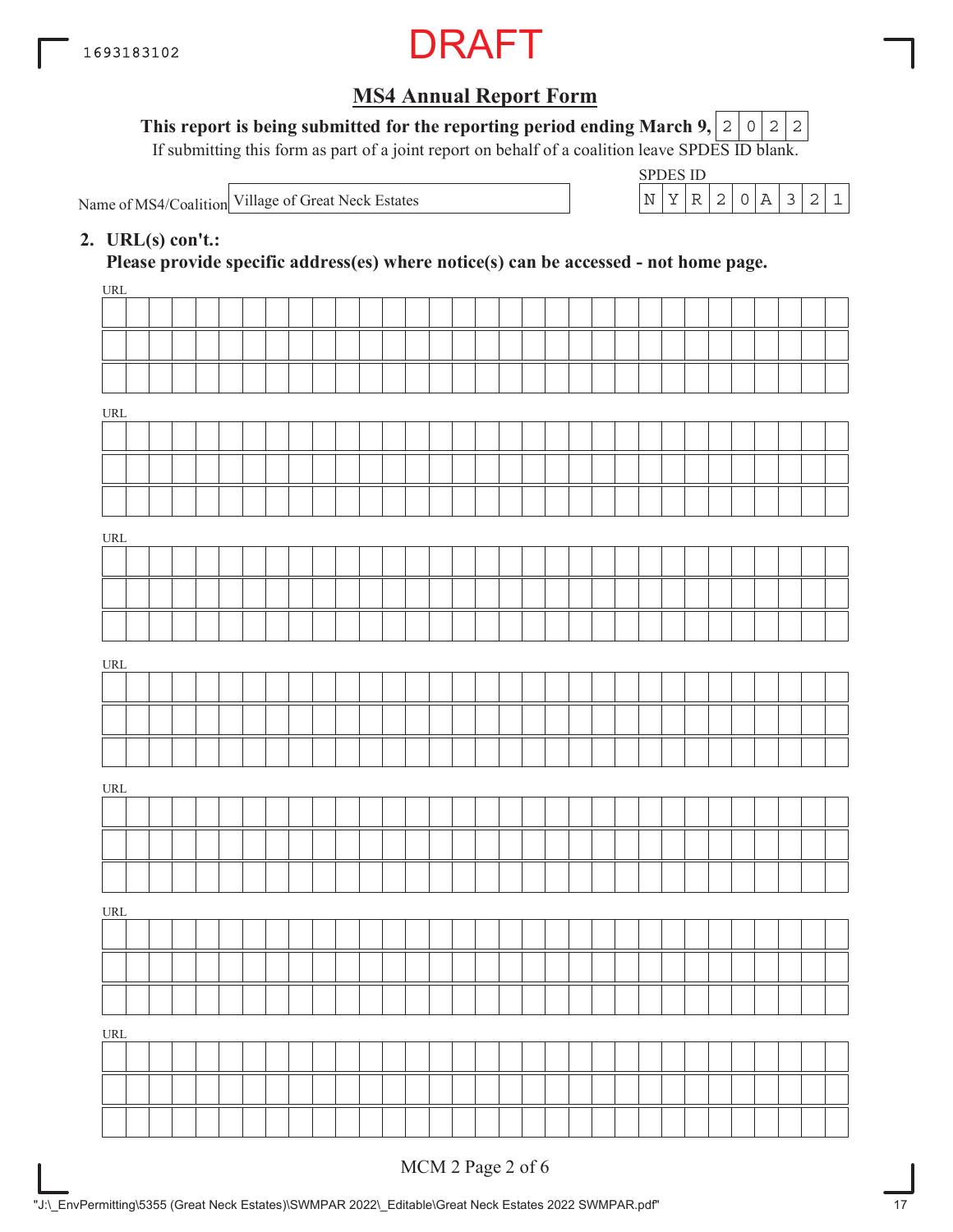

**This report is being submitted for the reporting period ending March 9,**  $0|2|2$ 

If submitting this form as part of a joint report on behalf of a coalition leave SPDES ID blank.

Name of MS4/Coalition

SPDES ID Village of Great Neck Estates  $\vert N \vert Y \vert R \vert 2 \vert 0 \vert A \vert 3 \vert 2 \vert 1$ 

### **2. URL(s) con't.:**

**Please provide specific address(es) where notice(s) can be accessed - not home page.**

| URL                                |              |  |  |  |  |  |  |  |  |  |  |  |  |  |  |  |
|------------------------------------|--------------|--|--|--|--|--|--|--|--|--|--|--|--|--|--|--|
|                                    |              |  |  |  |  |  |  |  |  |  |  |  |  |  |  |  |
|                                    |              |  |  |  |  |  |  |  |  |  |  |  |  |  |  |  |
|                                    |              |  |  |  |  |  |  |  |  |  |  |  |  |  |  |  |
| $\ensuremath{\mathsf{URL}}\xspace$ |              |  |  |  |  |  |  |  |  |  |  |  |  |  |  |  |
|                                    |              |  |  |  |  |  |  |  |  |  |  |  |  |  |  |  |
|                                    |              |  |  |  |  |  |  |  |  |  |  |  |  |  |  |  |
|                                    |              |  |  |  |  |  |  |  |  |  |  |  |  |  |  |  |
|                                    |              |  |  |  |  |  |  |  |  |  |  |  |  |  |  |  |
| URL                                |              |  |  |  |  |  |  |  |  |  |  |  |  |  |  |  |
|                                    |              |  |  |  |  |  |  |  |  |  |  |  |  |  |  |  |
|                                    |              |  |  |  |  |  |  |  |  |  |  |  |  |  |  |  |
|                                    |              |  |  |  |  |  |  |  |  |  |  |  |  |  |  |  |
| URL                                |              |  |  |  |  |  |  |  |  |  |  |  |  |  |  |  |
|                                    |              |  |  |  |  |  |  |  |  |  |  |  |  |  |  |  |
|                                    |              |  |  |  |  |  |  |  |  |  |  |  |  |  |  |  |
|                                    |              |  |  |  |  |  |  |  |  |  |  |  |  |  |  |  |
| URL                                |              |  |  |  |  |  |  |  |  |  |  |  |  |  |  |  |
|                                    |              |  |  |  |  |  |  |  |  |  |  |  |  |  |  |  |
|                                    |              |  |  |  |  |  |  |  |  |  |  |  |  |  |  |  |
|                                    |              |  |  |  |  |  |  |  |  |  |  |  |  |  |  |  |
| URL                                |              |  |  |  |  |  |  |  |  |  |  |  |  |  |  |  |
|                                    |              |  |  |  |  |  |  |  |  |  |  |  |  |  |  |  |
|                                    | $\mathbf{I}$ |  |  |  |  |  |  |  |  |  |  |  |  |  |  |  |
|                                    |              |  |  |  |  |  |  |  |  |  |  |  |  |  |  |  |
| $\ensuremath{\mathsf{URL}}\xspace$ |              |  |  |  |  |  |  |  |  |  |  |  |  |  |  |  |
|                                    |              |  |  |  |  |  |  |  |  |  |  |  |  |  |  |  |
|                                    |              |  |  |  |  |  |  |  |  |  |  |  |  |  |  |  |
|                                    |              |  |  |  |  |  |  |  |  |  |  |  |  |  |  |  |
|                                    |              |  |  |  |  |  |  |  |  |  |  |  |  |  |  |  |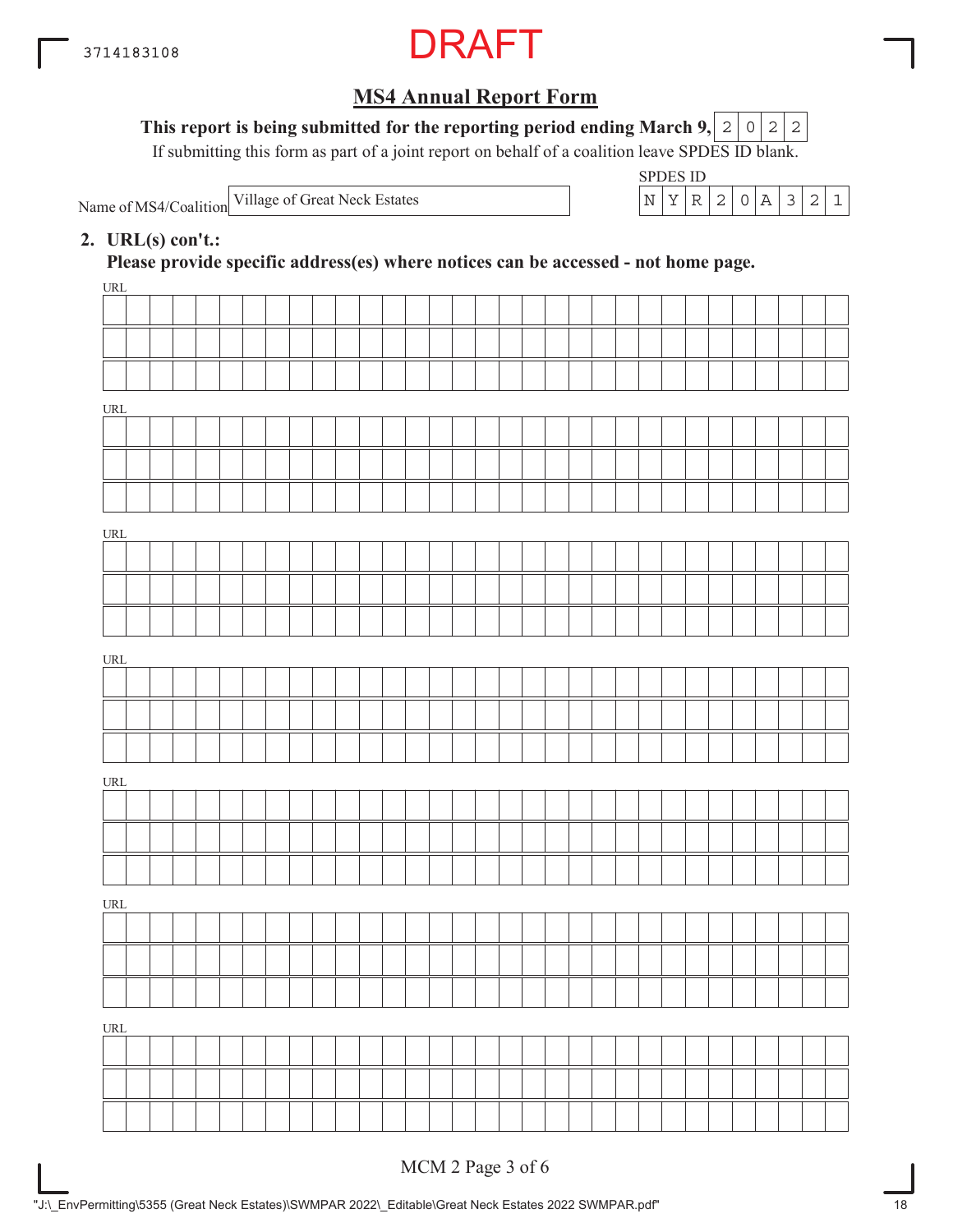

#### This report is being submitted for the reporting period ending March 9,  $|2|0|2|2$

If submitting this form as part of a joint report on behalf of a coalition leave SPDES ID blank.

Name of MS4/Coalition



#### **2. URL(s) con't.:**

**Please provide specific address(es) where notices can be accessed - not home page.**

| $\underline{\text{URL}}$           |  |  |  |  |  |  |  |  |  |  |  |  |  |  |  |  |
|------------------------------------|--|--|--|--|--|--|--|--|--|--|--|--|--|--|--|--|
|                                    |  |  |  |  |  |  |  |  |  |  |  |  |  |  |  |  |
|                                    |  |  |  |  |  |  |  |  |  |  |  |  |  |  |  |  |
|                                    |  |  |  |  |  |  |  |  |  |  |  |  |  |  |  |  |
|                                    |  |  |  |  |  |  |  |  |  |  |  |  |  |  |  |  |
| URL                                |  |  |  |  |  |  |  |  |  |  |  |  |  |  |  |  |
|                                    |  |  |  |  |  |  |  |  |  |  |  |  |  |  |  |  |
|                                    |  |  |  |  |  |  |  |  |  |  |  |  |  |  |  |  |
|                                    |  |  |  |  |  |  |  |  |  |  |  |  |  |  |  |  |
| URL                                |  |  |  |  |  |  |  |  |  |  |  |  |  |  |  |  |
|                                    |  |  |  |  |  |  |  |  |  |  |  |  |  |  |  |  |
|                                    |  |  |  |  |  |  |  |  |  |  |  |  |  |  |  |  |
|                                    |  |  |  |  |  |  |  |  |  |  |  |  |  |  |  |  |
| $\ensuremath{\text{URL}}\xspace$   |  |  |  |  |  |  |  |  |  |  |  |  |  |  |  |  |
|                                    |  |  |  |  |  |  |  |  |  |  |  |  |  |  |  |  |
|                                    |  |  |  |  |  |  |  |  |  |  |  |  |  |  |  |  |
|                                    |  |  |  |  |  |  |  |  |  |  |  |  |  |  |  |  |
|                                    |  |  |  |  |  |  |  |  |  |  |  |  |  |  |  |  |
| URL                                |  |  |  |  |  |  |  |  |  |  |  |  |  |  |  |  |
|                                    |  |  |  |  |  |  |  |  |  |  |  |  |  |  |  |  |
|                                    |  |  |  |  |  |  |  |  |  |  |  |  |  |  |  |  |
|                                    |  |  |  |  |  |  |  |  |  |  |  |  |  |  |  |  |
| $\ensuremath{\mathsf{URL}}\xspace$ |  |  |  |  |  |  |  |  |  |  |  |  |  |  |  |  |
|                                    |  |  |  |  |  |  |  |  |  |  |  |  |  |  |  |  |
|                                    |  |  |  |  |  |  |  |  |  |  |  |  |  |  |  |  |
|                                    |  |  |  |  |  |  |  |  |  |  |  |  |  |  |  |  |
|                                    |  |  |  |  |  |  |  |  |  |  |  |  |  |  |  |  |
| $\underline{\text{URL}}$           |  |  |  |  |  |  |  |  |  |  |  |  |  |  |  |  |
|                                    |  |  |  |  |  |  |  |  |  |  |  |  |  |  |  |  |
|                                    |  |  |  |  |  |  |  |  |  |  |  |  |  |  |  |  |
|                                    |  |  |  |  |  |  |  |  |  |  |  |  |  |  |  |  |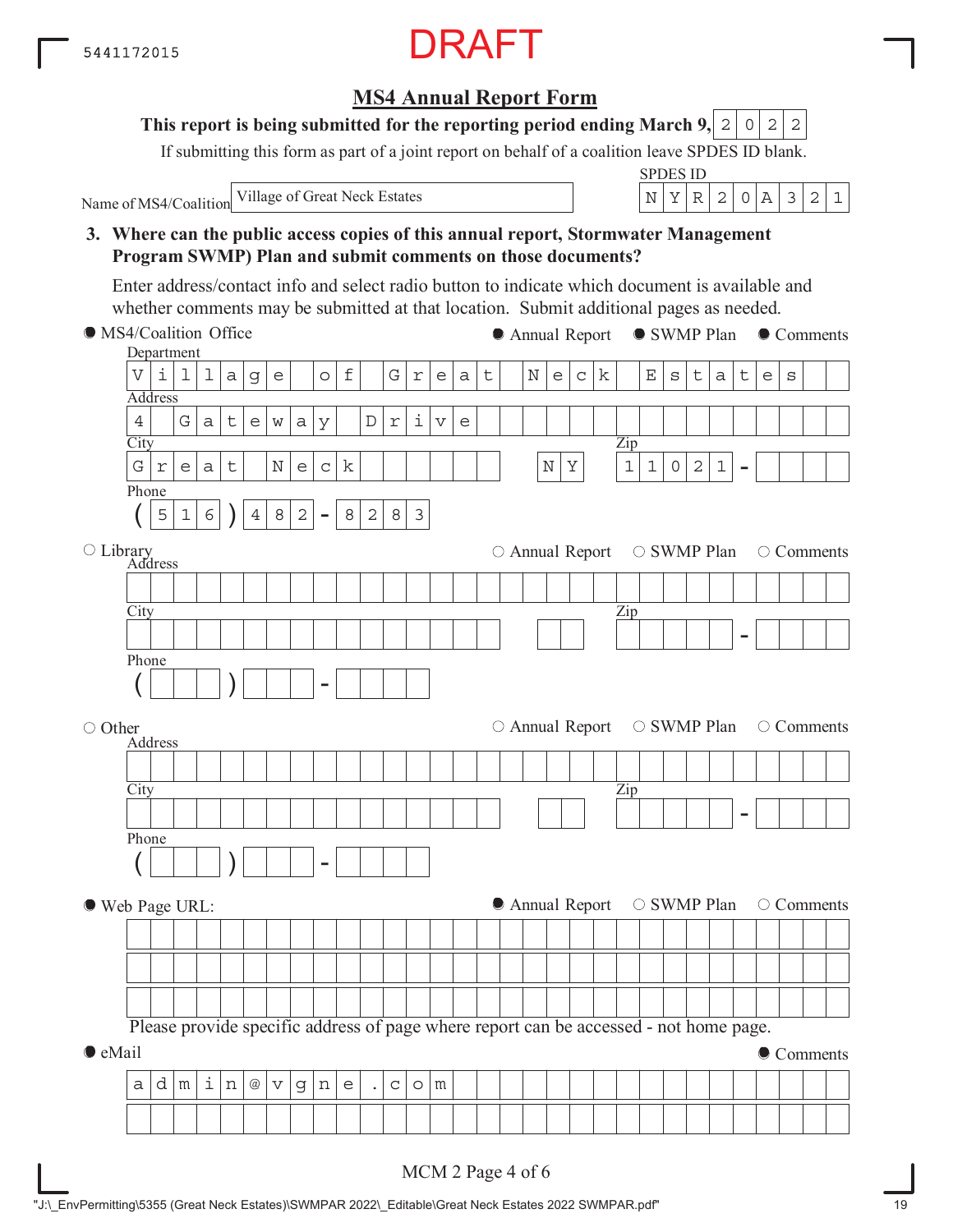**MS4 Annual Report Form**

**This report is being submitted for the reporting period ending March 9, 2 0 2 2** 

If submitting this form as part of a joint report on behalf of a coalition leave SPDES ID blank.

| <b>SPDES ID</b><br>Village of Great Neck Estates<br>2<br>Y<br>2<br>$\circ$<br> A <br>$\mathcal{S}$<br>$\mathbf 1$<br>N<br>$\mathbb R$<br>Name of MS4/Coalition<br>3. Where can the public access copies of this annual report, Stormwater Management<br>Program SWMP) Plan and submit comments on those documents?<br>Enter address/contact info and select radio button to indicate which document is available and<br>whether comments may be submitted at that location. Submit additional pages as needed.<br>• MS4/Coalition Office<br>• SWMP Plan • Comments<br>● Annual Report<br>Department<br>i<br>$\mathbf f$<br>$\overline{V}$<br>G<br>$\mathbf{E}% _{0}$<br>1<br>$\mathbb N$<br>k<br>1<br>t<br>$\mathsf t$<br>$\mathsf t$<br>$\mathsf{e}% _{0}\left( \mathsf{e}\right)$<br>$\mathsf C$<br>$\mathsf{e}% _{0}\left( \mathsf{e}\right)$<br>$\rm s$<br>а<br>$\mathsf g$<br>$\mathop{\rm e}\nolimits$<br>$\circ$<br>$\rm s$<br>a<br>r<br>e<br>a<br><b>Address</b><br>i<br>$\overline{4}$<br>G<br>t.<br>$\mathbb D$<br>$\mathsf{a}$<br>$\epsilon$<br>W<br>$\mbox{a}$<br>У<br>$\Upsilon$<br>$\triangledown$<br>$\mathsf{e}% _{t}\left( t\right)$<br>City<br>Zip<br>G<br>k<br>$\mathbf{1}$<br>$\mathbf{2}$<br>$\mathbf 1$<br>$\mathsf{O}$<br>$\mathbf 1$<br>$\mathsf t$<br>$\rm N$<br>$\mathbb N$<br>Υ<br>$\mathsf C$<br>$\Upsilon$<br>a<br>$\mathop{\rm e}\nolimits$<br>е<br>Phone<br>$\mathbf{2}$<br>5<br>$\epsilon$<br>$\overline{4}$<br>8<br>8<br>2<br>8<br>3<br>$\mathbf 1$<br>$\blacksquare$<br>O Library<br>Address<br>○ Annual Report<br>○ SWMP Plan<br>○ Comments<br>City<br>Zip<br>Phone<br>○ Annual Report<br>○ SWMP Plan<br>$\circ$ Comments<br>○ Other<br><b>Address</b><br>City<br>Zip<br>Phone<br>$\mathcal{V}$<br>● Annual Report<br>○ SWMP Plan<br>○ Comments<br>● Web Page URL:<br>Please provide specific address of page where report can be accessed - not home page. |  |  |  |  |  |  |  |  |  |  |  |  |
|------------------------------------------------------------------------------------------------------------------------------------------------------------------------------------------------------------------------------------------------------------------------------------------------------------------------------------------------------------------------------------------------------------------------------------------------------------------------------------------------------------------------------------------------------------------------------------------------------------------------------------------------------------------------------------------------------------------------------------------------------------------------------------------------------------------------------------------------------------------------------------------------------------------------------------------------------------------------------------------------------------------------------------------------------------------------------------------------------------------------------------------------------------------------------------------------------------------------------------------------------------------------------------------------------------------------------------------------------------------------------------------------------------------------------------------------------------------------------------------------------------------------------------------------------------------------------------------------------------------------------------------------------------------------------------------------------------------------------------------------------------------------------------------------------------------------------------------------------------------------------------------------|--|--|--|--|--|--|--|--|--|--|--|--|
|                                                                                                                                                                                                                                                                                                                                                                                                                                                                                                                                                                                                                                                                                                                                                                                                                                                                                                                                                                                                                                                                                                                                                                                                                                                                                                                                                                                                                                                                                                                                                                                                                                                                                                                                                                                                                                                                                                |  |  |  |  |  |  |  |  |  |  |  |  |
|                                                                                                                                                                                                                                                                                                                                                                                                                                                                                                                                                                                                                                                                                                                                                                                                                                                                                                                                                                                                                                                                                                                                                                                                                                                                                                                                                                                                                                                                                                                                                                                                                                                                                                                                                                                                                                                                                                |  |  |  |  |  |  |  |  |  |  |  |  |
|                                                                                                                                                                                                                                                                                                                                                                                                                                                                                                                                                                                                                                                                                                                                                                                                                                                                                                                                                                                                                                                                                                                                                                                                                                                                                                                                                                                                                                                                                                                                                                                                                                                                                                                                                                                                                                                                                                |  |  |  |  |  |  |  |  |  |  |  |  |
|                                                                                                                                                                                                                                                                                                                                                                                                                                                                                                                                                                                                                                                                                                                                                                                                                                                                                                                                                                                                                                                                                                                                                                                                                                                                                                                                                                                                                                                                                                                                                                                                                                                                                                                                                                                                                                                                                                |  |  |  |  |  |  |  |  |  |  |  |  |
|                                                                                                                                                                                                                                                                                                                                                                                                                                                                                                                                                                                                                                                                                                                                                                                                                                                                                                                                                                                                                                                                                                                                                                                                                                                                                                                                                                                                                                                                                                                                                                                                                                                                                                                                                                                                                                                                                                |  |  |  |  |  |  |  |  |  |  |  |  |
|                                                                                                                                                                                                                                                                                                                                                                                                                                                                                                                                                                                                                                                                                                                                                                                                                                                                                                                                                                                                                                                                                                                                                                                                                                                                                                                                                                                                                                                                                                                                                                                                                                                                                                                                                                                                                                                                                                |  |  |  |  |  |  |  |  |  |  |  |  |
|                                                                                                                                                                                                                                                                                                                                                                                                                                                                                                                                                                                                                                                                                                                                                                                                                                                                                                                                                                                                                                                                                                                                                                                                                                                                                                                                                                                                                                                                                                                                                                                                                                                                                                                                                                                                                                                                                                |  |  |  |  |  |  |  |  |  |  |  |  |
|                                                                                                                                                                                                                                                                                                                                                                                                                                                                                                                                                                                                                                                                                                                                                                                                                                                                                                                                                                                                                                                                                                                                                                                                                                                                                                                                                                                                                                                                                                                                                                                                                                                                                                                                                                                                                                                                                                |  |  |  |  |  |  |  |  |  |  |  |  |
|                                                                                                                                                                                                                                                                                                                                                                                                                                                                                                                                                                                                                                                                                                                                                                                                                                                                                                                                                                                                                                                                                                                                                                                                                                                                                                                                                                                                                                                                                                                                                                                                                                                                                                                                                                                                                                                                                                |  |  |  |  |  |  |  |  |  |  |  |  |
|                                                                                                                                                                                                                                                                                                                                                                                                                                                                                                                                                                                                                                                                                                                                                                                                                                                                                                                                                                                                                                                                                                                                                                                                                                                                                                                                                                                                                                                                                                                                                                                                                                                                                                                                                                                                                                                                                                |  |  |  |  |  |  |  |  |  |  |  |  |
|                                                                                                                                                                                                                                                                                                                                                                                                                                                                                                                                                                                                                                                                                                                                                                                                                                                                                                                                                                                                                                                                                                                                                                                                                                                                                                                                                                                                                                                                                                                                                                                                                                                                                                                                                                                                                                                                                                |  |  |  |  |  |  |  |  |  |  |  |  |
|                                                                                                                                                                                                                                                                                                                                                                                                                                                                                                                                                                                                                                                                                                                                                                                                                                                                                                                                                                                                                                                                                                                                                                                                                                                                                                                                                                                                                                                                                                                                                                                                                                                                                                                                                                                                                                                                                                |  |  |  |  |  |  |  |  |  |  |  |  |
|                                                                                                                                                                                                                                                                                                                                                                                                                                                                                                                                                                                                                                                                                                                                                                                                                                                                                                                                                                                                                                                                                                                                                                                                                                                                                                                                                                                                                                                                                                                                                                                                                                                                                                                                                                                                                                                                                                |  |  |  |  |  |  |  |  |  |  |  |  |
|                                                                                                                                                                                                                                                                                                                                                                                                                                                                                                                                                                                                                                                                                                                                                                                                                                                                                                                                                                                                                                                                                                                                                                                                                                                                                                                                                                                                                                                                                                                                                                                                                                                                                                                                                                                                                                                                                                |  |  |  |  |  |  |  |  |  |  |  |  |
|                                                                                                                                                                                                                                                                                                                                                                                                                                                                                                                                                                                                                                                                                                                                                                                                                                                                                                                                                                                                                                                                                                                                                                                                                                                                                                                                                                                                                                                                                                                                                                                                                                                                                                                                                                                                                                                                                                |  |  |  |  |  |  |  |  |  |  |  |  |
|                                                                                                                                                                                                                                                                                                                                                                                                                                                                                                                                                                                                                                                                                                                                                                                                                                                                                                                                                                                                                                                                                                                                                                                                                                                                                                                                                                                                                                                                                                                                                                                                                                                                                                                                                                                                                                                                                                |  |  |  |  |  |  |  |  |  |  |  |  |
|                                                                                                                                                                                                                                                                                                                                                                                                                                                                                                                                                                                                                                                                                                                                                                                                                                                                                                                                                                                                                                                                                                                                                                                                                                                                                                                                                                                                                                                                                                                                                                                                                                                                                                                                                                                                                                                                                                |  |  |  |  |  |  |  |  |  |  |  |  |
|                                                                                                                                                                                                                                                                                                                                                                                                                                                                                                                                                                                                                                                                                                                                                                                                                                                                                                                                                                                                                                                                                                                                                                                                                                                                                                                                                                                                                                                                                                                                                                                                                                                                                                                                                                                                                                                                                                |  |  |  |  |  |  |  |  |  |  |  |  |
|                                                                                                                                                                                                                                                                                                                                                                                                                                                                                                                                                                                                                                                                                                                                                                                                                                                                                                                                                                                                                                                                                                                                                                                                                                                                                                                                                                                                                                                                                                                                                                                                                                                                                                                                                                                                                                                                                                |  |  |  |  |  |  |  |  |  |  |  |  |
|                                                                                                                                                                                                                                                                                                                                                                                                                                                                                                                                                                                                                                                                                                                                                                                                                                                                                                                                                                                                                                                                                                                                                                                                                                                                                                                                                                                                                                                                                                                                                                                                                                                                                                                                                                                                                                                                                                |  |  |  |  |  |  |  |  |  |  |  |  |
|                                                                                                                                                                                                                                                                                                                                                                                                                                                                                                                                                                                                                                                                                                                                                                                                                                                                                                                                                                                                                                                                                                                                                                                                                                                                                                                                                                                                                                                                                                                                                                                                                                                                                                                                                                                                                                                                                                |  |  |  |  |  |  |  |  |  |  |  |  |
|                                                                                                                                                                                                                                                                                                                                                                                                                                                                                                                                                                                                                                                                                                                                                                                                                                                                                                                                                                                                                                                                                                                                                                                                                                                                                                                                                                                                                                                                                                                                                                                                                                                                                                                                                                                                                                                                                                |  |  |  |  |  |  |  |  |  |  |  |  |
|                                                                                                                                                                                                                                                                                                                                                                                                                                                                                                                                                                                                                                                                                                                                                                                                                                                                                                                                                                                                                                                                                                                                                                                                                                                                                                                                                                                                                                                                                                                                                                                                                                                                                                                                                                                                                                                                                                |  |  |  |  |  |  |  |  |  |  |  |  |
|                                                                                                                                                                                                                                                                                                                                                                                                                                                                                                                                                                                                                                                                                                                                                                                                                                                                                                                                                                                                                                                                                                                                                                                                                                                                                                                                                                                                                                                                                                                                                                                                                                                                                                                                                                                                                                                                                                |  |  |  |  |  |  |  |  |  |  |  |  |
|                                                                                                                                                                                                                                                                                                                                                                                                                                                                                                                                                                                                                                                                                                                                                                                                                                                                                                                                                                                                                                                                                                                                                                                                                                                                                                                                                                                                                                                                                                                                                                                                                                                                                                                                                                                                                                                                                                |  |  |  |  |  |  |  |  |  |  |  |  |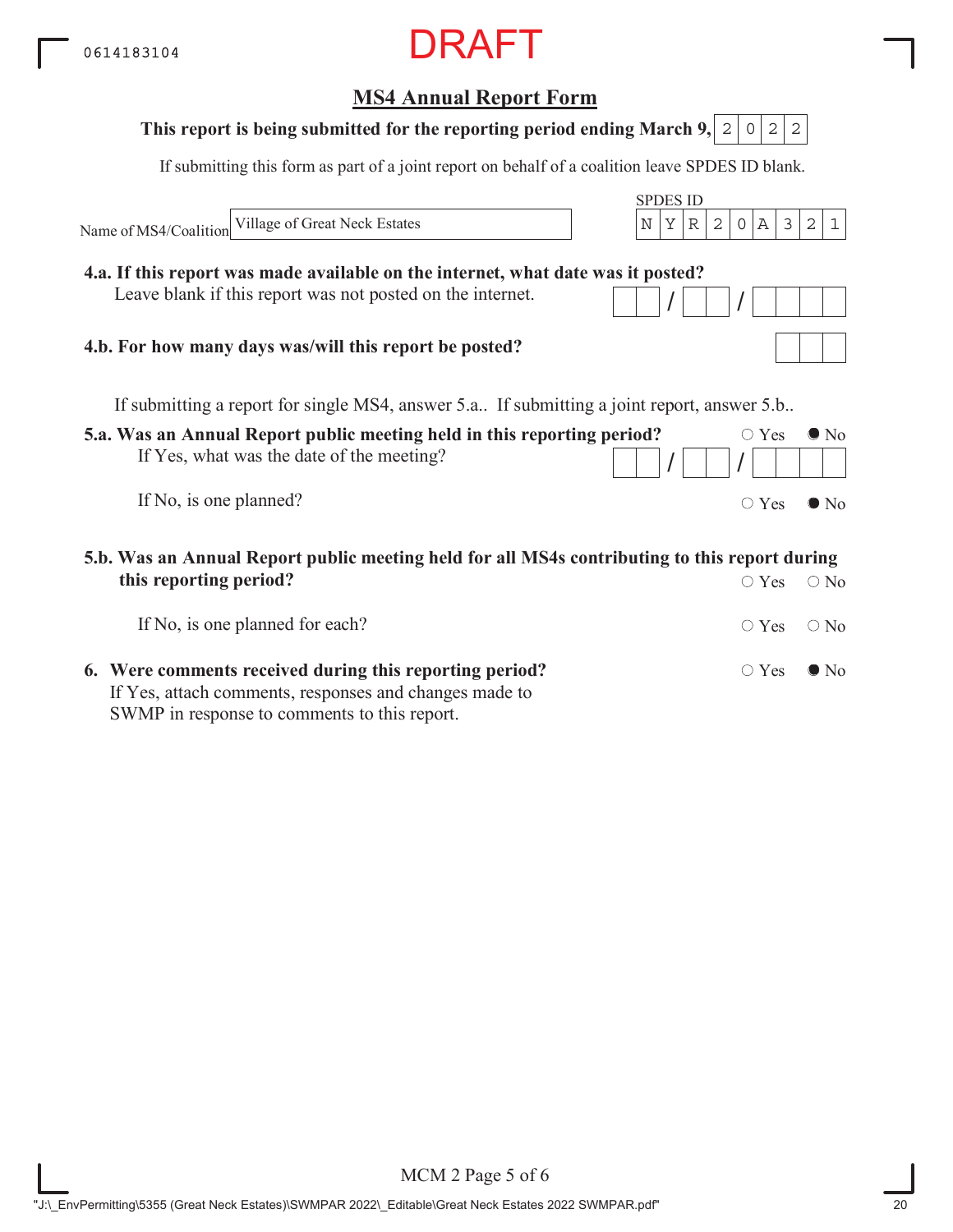## **MS4 Annual Report Form** SPDES ID If submitting this form as part of a joint report on behalf of a coalition leave SPDES ID blank. Name of MS4/Coalition If submitting a report for single MS4, answer 5.a.. If submitting a joint report, answer 5.b.. **This report is being submitted for the reporting period ending March 9, 2 0 2 2 4.a. If this report was made available on the internet, what date was it posted?** Leave blank if this report was not posted on the internet. **4.b. For how many days was/will this report be posted?** Village of Great Neck Estates N YR 2 0A 321

| 5.a. Was an Annual Report public meeting held in this reporting period? |  | $\circ$ Yes $\bullet$ No |  |
|-------------------------------------------------------------------------|--|--------------------------|--|
| If Yes, what was the date of the meeting?                               |  |                          |  |
| If No, is one planned?                                                  |  | $\circ$ Yes $\bullet$ No |  |

**5.b. Was an Annual Report public meeting held for all MS4s contributing to this report during this reporting period?**  $\bigcirc$  Yes  $\bigcirc$  No

| If No, is one planned for each?                                                                                   | $\bigcirc$ Yes $\bigcirc$ No |  |
|-------------------------------------------------------------------------------------------------------------------|------------------------------|--|
| 6. Were comments received during this reporting period?<br>If Yes, attach comments, responses and changes made to | $\bigcirc$ Yes $\bigcirc$ No |  |
| SWMP in response to comments to this report.                                                                      |                              |  |

MCM 2 Page 5 of 6 "J:\\_EnvPermitting\5355 (Great Neck Estates)\SWMPAR 2022\\_Editable\Great Neck Estates 2022 SWMPAR.pdf" 20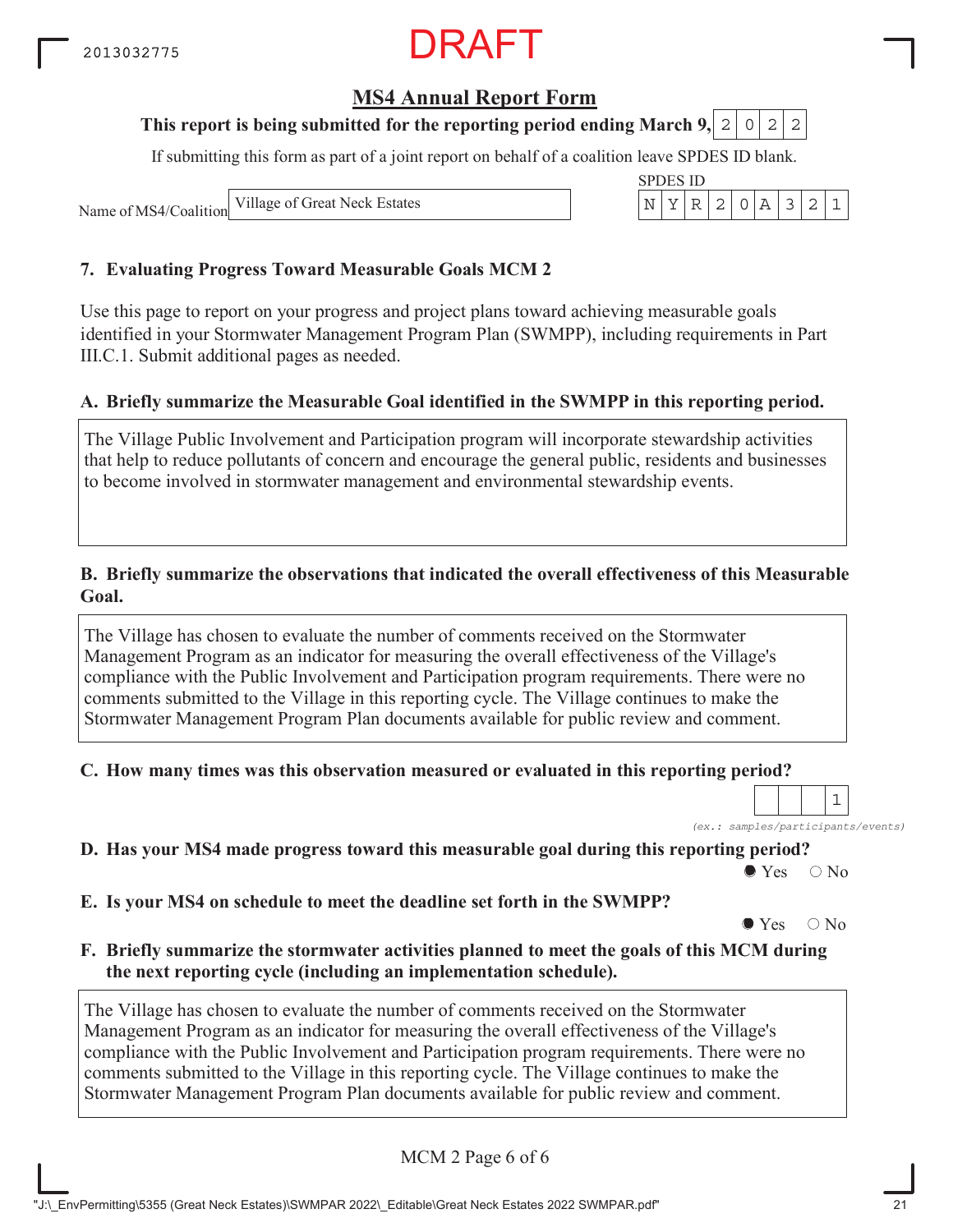## **MS4 Annual Report Form**

### **This report is being submitted for the reporting period ending March 9, 2 0 2 2**

If submitting this form as part of a joint report on behalf of a coalition leave SPDES ID blank.

SPDES ID

Name of MS4/Coalition Village of Great Neck Estates  $\vert N \vert Y \vert R \vert 2 \vert 0 \vert A \vert 3 \vert 2 \vert 1$ 

#### **7. Evaluating Progress Toward Measurable Goals MCM 2**

Use this page to report on your progress and project plans toward achieving measurable goals identified in your Stormwater Management Program Plan (SWMPP), including requirements in Part III.C.1. Submit additional pages as needed.

#### **A. Briefly summarize the Measurable Goal identified in the SWMPP in this reporting period.**

The Village Public Involvement and Participation program will incorporate stewardship activities that help to reduce pollutants of concern and encourage the general public, residents and businesses to become involved in stormwater management and environmental stewardship events.

#### **B. Briefly summarize the observations that indicated the overall effectiveness of this Measurable Goal.**

The Village has chosen to evaluate the number of comments received on the Stormwater Management Program as an indicator for measuring the overall effectiveness of the Village's compliance with the Public Involvement and Participation program requirements. There were no comments submitted to the Village in this reporting cycle. The Village continues to make the Stormwater Management Program Plan documents available for public review and comment.

#### **C. How many times was this observation measured or evaluated in this reporting period?**

*(ex.: samples/participants/events)* 1

**D. Has your MS4 made progress toward this measurable goal during this reporting period?**

 $\bullet$  Yes  $\circ$  No

**E. Is your MS4 on schedule to meet the deadline set forth in the SWMPP?**

 $\bullet$  Yes  $\circ$  No

#### **F. Briefly summarize the stormwater activities planned to meet the goals of this MCM during the next reporting cycle (including an implementation schedule).**

The Village has chosen to evaluate the number of comments received on the Stormwater Management Program as an indicator for measuring the overall effectiveness of the Village's compliance with the Public Involvement and Participation program requirements. There were no comments submitted to the Village in this reporting cycle. The Village continues to make the Stormwater Management Program Plan documents available for public review and comment.

MCM 2 Page 6 of 6

"J:\\_EnvPermitting\5355 (Great Neck Estates)\SWMPAR 2022\\_Editable\Great Neck Estates 2022 SWMPAR.pdf" 21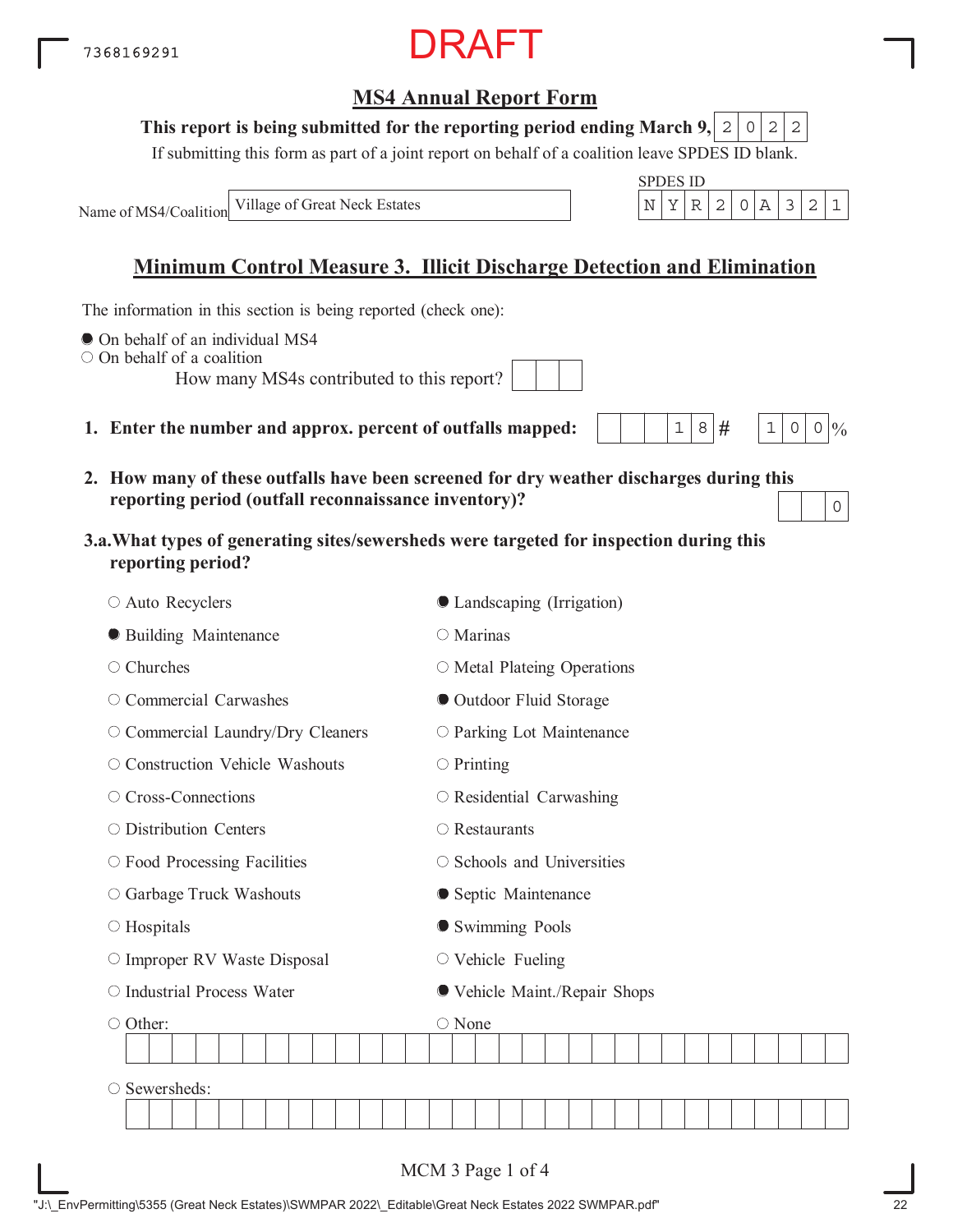| "J:\ EnvPermitting\5355 (Great Neck Estates)\SWMPAR 2022\ Editable\Great Neck Estates 2022 SWMPAR.pdf" |  |  |
|--------------------------------------------------------------------------------------------------------|--|--|
|                                                                                                        |  |  |

DRAFT

#### This report is being submitted for the reporting period ending March 9,  $|2|0|2|2$

If submitting this form as part of a joint report on behalf of a coalition leave SPDES ID blank.

SPDES ID

 $1|8|#$ 

 $1 \, | \, 0 \, | \, 0 \, | \, 0$ 

0

Name of MS4/Coalition Village of Great Neck Estates  $\vert N \vert Y \vert R \vert 2 \vert 0 \vert A \vert 3 \vert 2 \vert 1$ 

### **Minimum Control Measure 3. Illicit Discharge Detection and Elimination**

The information in this section is being reported (check one):

- $\bullet$  On behalf of an individual MS4
- On behalf of a coalition

How many MS4s contributed to this report?

- **1. Enter the number and approx. percent of outfalls mapped:**
- **2. How many of these outfalls have been screened for dry weather discharges during this reporting period (outfall reconnaissance inventory)?**
- **3.a.What types of generating sites/sewersheds were targeted for inspection during this reporting period?**

| ○ Auto Recyclers                   | ● Landscaping (Irrigation)        |
|------------------------------------|-----------------------------------|
| <b>• Building Maintenance</b>      | $\bigcirc$ Marinas                |
| ○ Churches                         | $\circ$ Metal Plateing Operations |
| ○ Commercial Carwashes             | Outdoor Fluid Storage             |
| O Commercial Laundry/Dry Cleaners  | O Parking Lot Maintenance         |
| O Construction Vehicle Washouts    | $\bigcirc$ Printing               |
| ○ Cross-Connections                | $\circ$ Residential Carwashing    |
| ○ Distribution Centers             | $\bigcirc$ Restaurants            |
| $\circ$ Food Processing Facilities | ○ Schools and Universities        |
| O Garbage Truck Washouts           | • Septic Maintenance              |
| $\circ$ Hospitals                  | Swimming Pools                    |
| O Improper RV Waste Disposal       | $\circ$ Vehicle Fueling           |
| O Industrial Process Water         | ● Vehicle Maint./Repair Shops     |
| ○ Other:                           | ○ None                            |
|                                    |                                   |
| Sewersheds:<br>O                   |                                   |
|                                    |                                   |
|                                    | MCM 3 Page 1 of 4                 |

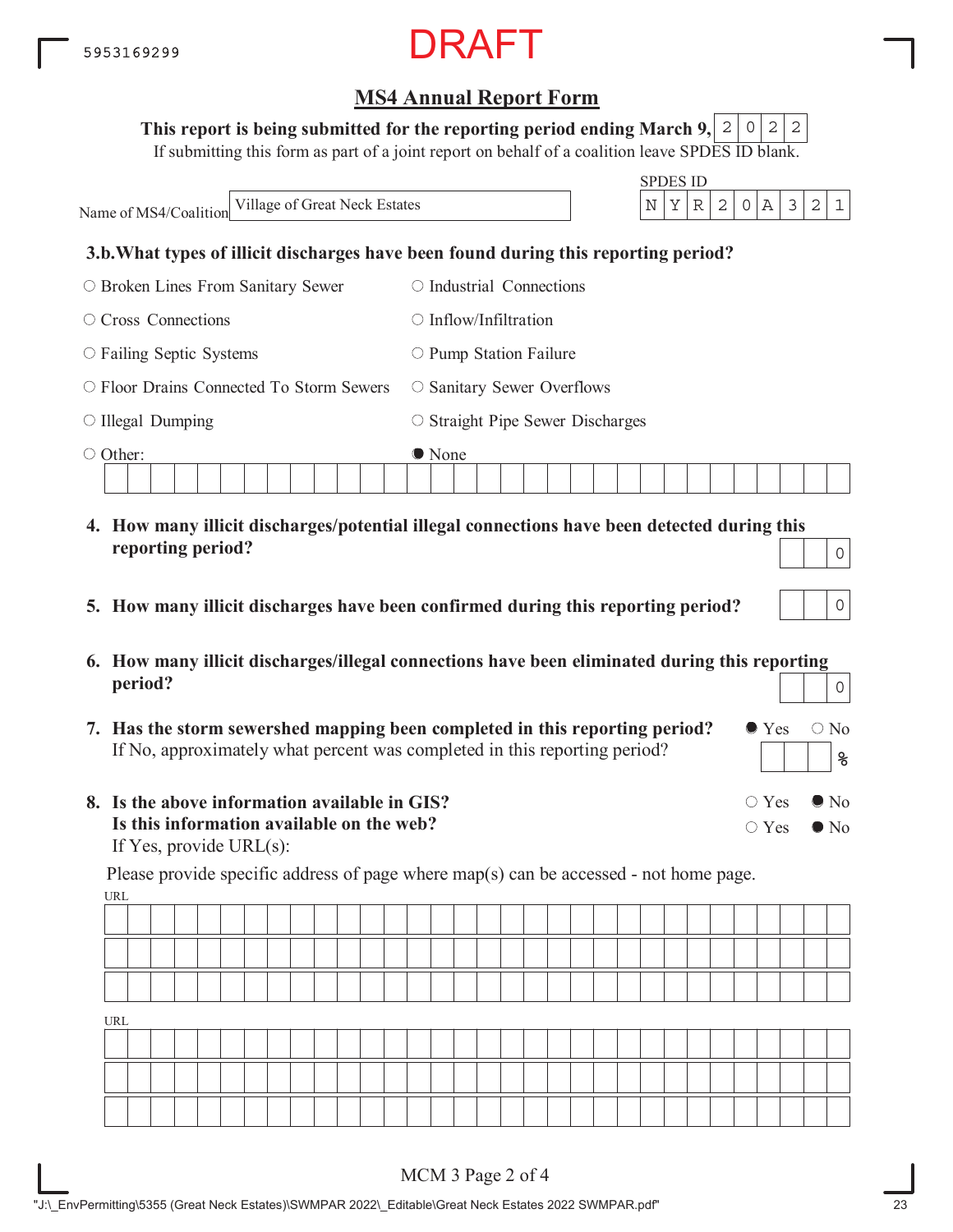#### This report is being submitted for the reporting period ending March 9,  $\mid$  2  $\mid$  0  $\mid$  2  $\mid$  2

If submitting this form as part of a joint report on behalf of a coalition leave SPDES ID blank.

SPDES ID Name of MS4/Coalition **3.b.What types of illicit discharges have been found during this reporting period?** Broken Lines From Sanitary Sewer O Cross Connections  $\circ$  Failing Septic Systems Floor Drains Connected To Storm Sewers  $\circ$  Illegal Dumping Other:  $\circ$  Industrial Connections  $\bigcirc$  Inflow/Infiltration  $\circ$  Pump Station Failure O Sanitary Sewer Overflows  $\circ$  Straight Pipe Sewer Discharges ● None Village of Great Neck Estates  $\vert N \vert Y \vert R \vert 2 \vert 0 \vert A \vert 3 \vert 2 \vert 1$ 

- **4. How many illicit discharges/potential illegal connections have been detected during this reporting period?**
- **5. How many illicit discharges have been confirmed during this reporting period?**
- **6. How many illicit discharges/illegal connections have been eliminated during this reporting period?** 0
- **7. Has the storm sewershed mapping been completed in this reporting period?** If No, approximately what percent was completed in this reporting period?
- **8. Is the above information available in GIS? Is this information available on the web?** If Yes, provide URL(s):

URL Please provide specific address of page where map(s) can be accessed - not home page.

| URL |  |  |  |  |  |  |  |  |  |  |  |  |  |  |  |  |
|-----|--|--|--|--|--|--|--|--|--|--|--|--|--|--|--|--|
|     |  |  |  |  |  |  |  |  |  |  |  |  |  |  |  |  |
|     |  |  |  |  |  |  |  |  |  |  |  |  |  |  |  |  |
|     |  |  |  |  |  |  |  |  |  |  |  |  |  |  |  |  |

 $\bullet$  Yes  $\circ$  No

 $\circ$  Yes  $\bullet$  No

 $\circ$  Yes  $\bullet$  No

**%**

0

0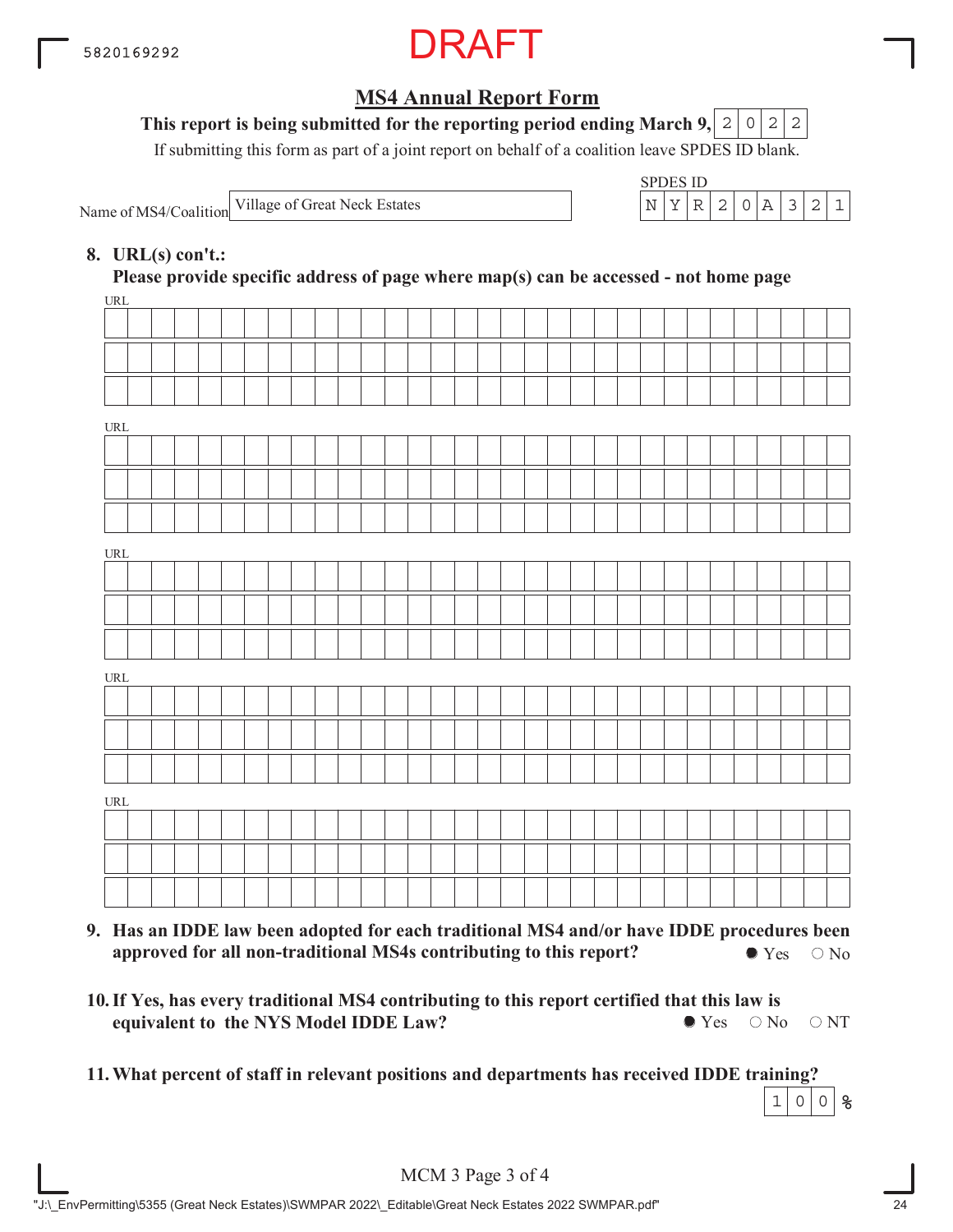

### This report is being submitted for the reporting period ending March 9,  $\mid$  2  $\mid$  0  $\mid$  2  $\mid$  2

If submitting this form as part of a joint report on behalf of a coalition leave SPDES ID blank.

Name of MS4/Coalition

SPDES ID Village of Great Neck Estates  $\vert N \vert Y \vert R \vert 2 \vert 0 \vert A \vert 3 \vert 2 \vert 1$ 

### **8. URL(s) con't.:**

 $\overline{I}$ **Please provide specific address of page where map(s) can be accessed - not home page**

| UKL                              |  |  |  |  |  |  |  |  |  |  |  |  |  |  |  |  |
|----------------------------------|--|--|--|--|--|--|--|--|--|--|--|--|--|--|--|--|
|                                  |  |  |  |  |  |  |  |  |  |  |  |  |  |  |  |  |
|                                  |  |  |  |  |  |  |  |  |  |  |  |  |  |  |  |  |
|                                  |  |  |  |  |  |  |  |  |  |  |  |  |  |  |  |  |
| URL                              |  |  |  |  |  |  |  |  |  |  |  |  |  |  |  |  |
|                                  |  |  |  |  |  |  |  |  |  |  |  |  |  |  |  |  |
|                                  |  |  |  |  |  |  |  |  |  |  |  |  |  |  |  |  |
|                                  |  |  |  |  |  |  |  |  |  |  |  |  |  |  |  |  |
|                                  |  |  |  |  |  |  |  |  |  |  |  |  |  |  |  |  |
| $\underline{\text{URL}}$         |  |  |  |  |  |  |  |  |  |  |  |  |  |  |  |  |
|                                  |  |  |  |  |  |  |  |  |  |  |  |  |  |  |  |  |
|                                  |  |  |  |  |  |  |  |  |  |  |  |  |  |  |  |  |
|                                  |  |  |  |  |  |  |  |  |  |  |  |  |  |  |  |  |
| $\ensuremath{\text{URL}}\xspace$ |  |  |  |  |  |  |  |  |  |  |  |  |  |  |  |  |
|                                  |  |  |  |  |  |  |  |  |  |  |  |  |  |  |  |  |
|                                  |  |  |  |  |  |  |  |  |  |  |  |  |  |  |  |  |
|                                  |  |  |  |  |  |  |  |  |  |  |  |  |  |  |  |  |
| URL                              |  |  |  |  |  |  |  |  |  |  |  |  |  |  |  |  |
|                                  |  |  |  |  |  |  |  |  |  |  |  |  |  |  |  |  |
|                                  |  |  |  |  |  |  |  |  |  |  |  |  |  |  |  |  |
|                                  |  |  |  |  |  |  |  |  |  |  |  |  |  |  |  |  |
|                                  |  |  |  |  |  |  |  |  |  |  |  |  |  |  |  |  |

- **9. Has an IDDE law been adopted for each traditional MS4 and/or have IDDE procedures been approved for all non-traditional MS4s contributing to this report?**  $\bullet$  Yes  $\circ$  No
- **10. If Yes, has every traditional MS4 contributing to this report certified that this law is equivalent to the NYS Model IDDE Law?**  $\bullet$  Yes  $\circ$  No  $\circ$  NT
- **11.What percent of staff in relevant positions and departments has received IDDE training?**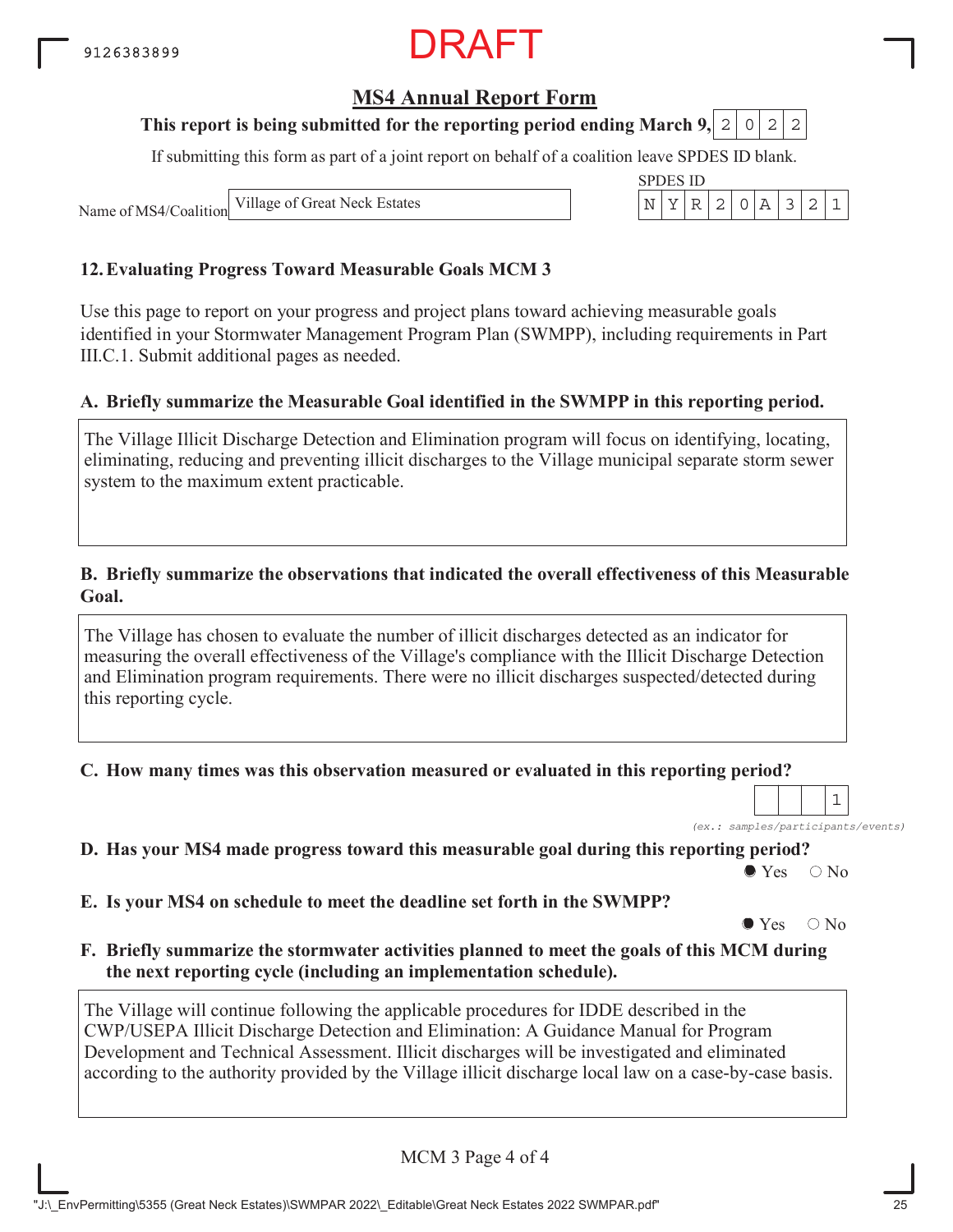## RAFT

## **MS4 Annual Report Form**

#### **This report is being submitted for the reporting period ending March 9, 2 0 2 2**

If submitting this form as part of a joint report on behalf of a coalition leave SPDES ID blank.

SPDES ID

Name of MS4/Coalition Village of Great Neck Estates  $\begin{array}{c|c|c|c|c|c|c|c|c} & & & & \text{N} & \text{Y} & \text{R} & \text{2} & \text{0} & \text{A} & \text{3} & \text{2} & \text{1} \end{array}$ 

#### **12.Evaluating Progress Toward Measurable Goals MCM 3**

Use this page to report on your progress and project plans toward achieving measurable goals identified in your Stormwater Management Program Plan (SWMPP), including requirements in Part III.C.1. Submit additional pages as needed.

#### **A. Briefly summarize the Measurable Goal identified in the SWMPP in this reporting period.**

The Village Illicit Discharge Detection and Elimination program will focus on identifying, locating, eliminating, reducing and preventing illicit discharges to the Village municipal separate storm sewer system to the maximum extent practicable.

#### **B. Briefly summarize the observations that indicated the overall effectiveness of this Measurable Goal.**

The Village has chosen to evaluate the number of illicit discharges detected as an indicator for measuring the overall effectiveness of the Village's compliance with the Illicit Discharge Detection and Elimination program requirements. There were no illicit discharges suspected/detected during this reporting cycle.

**C. How many times was this observation measured or evaluated in this reporting period?**

*(ex.: samples/participants/events)* 1

**D. Has your MS4 made progress toward this measurable goal during this reporting period?**

 $\bullet$  Yes  $\circ$  No

**E. Is your MS4 on schedule to meet the deadline set forth in the SWMPP?**

 $\bullet$  Yes  $\circ$  No

**F. Briefly summarize the stormwater activities planned to meet the goals of this MCM during the next reporting cycle (including an implementation schedule).**

The Village will continue following the applicable procedures for IDDE described in the CWP/USEPA Illicit Discharge Detection and Elimination: A Guidance Manual for Program Development and Technical Assessment. Illicit discharges will be investigated and eliminated according to the authority provided by the Village illicit discharge local law on a case-by-case basis.

MCM 3 Page 4 of 4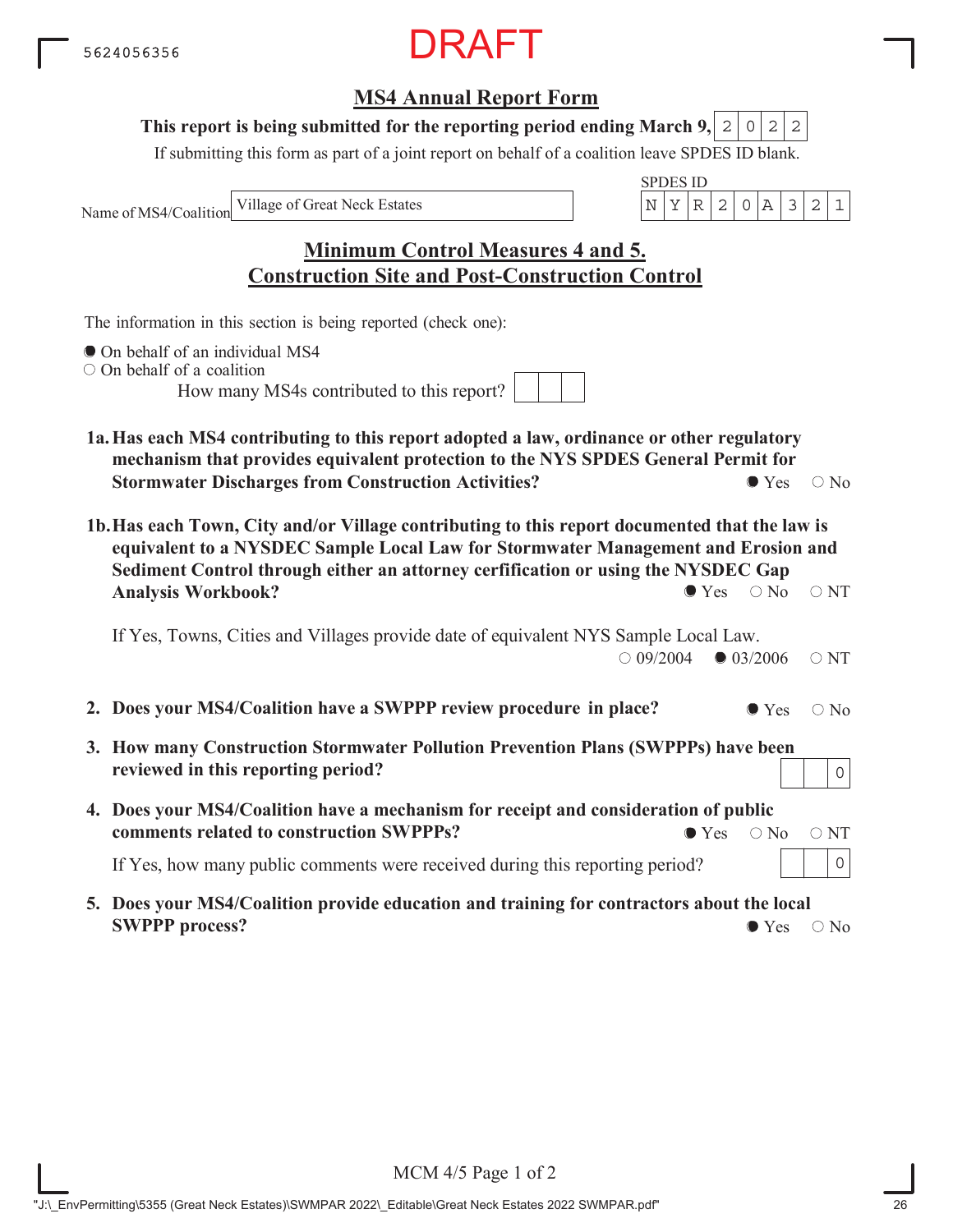## **MS4 Annual Report Form**

#### This report is being submitted for the reporting period ending March 9,  $|2|0|2|2$

If submitting this form as part of a joint report on behalf of a coalition leave SPDES ID blank.

Name of MS4/Coalition



## **Minimum Control Measures 4 and 5. Construction Site and Post-Construction Control**

The information in this section is being reported (check one):

- $\bullet$  On behalf of an individual MS4
- O On behalf of a coalition

How many MS4s contributed to this report?

- **1a.Has each MS4 contributing to this report adopted a law, ordinance or other regulatory mechanism that provides equivalent protection to the NYS SPDES General Permit for Stormwater Discharges from Construction Activities?**  $\bullet$  Yes  $\circ$  No
- **1b.Has each Town, City and/or Village contributing to this report documented that the law is equivalent to a NYSDEC Sample Local Law for Stormwater Management and Erosion and Sediment Control through either an attorney cerfification or using the NYSDEC Gap Analysis Workbook?**  $\bullet$  Yes  $\circ$  No  $\circ$  NT

If Yes, Towns, Cities and Villages provide date of equivalent NYS Sample Local Law.  $\bigcirc$  09/2004  $\bigcirc$  03/2006  $\bigcirc$  NT

- **2. Does your MS4/Coalition have a SWPPP review procedure in place?**  $\bullet$  Yes  $\circ$  No
- **3. How many Construction Stormwater Pollution Prevention Plans (SWPPPs) have been reviewed in this reporting period?**
- **4. Does your MS4/Coalition have a mechanism for receipt and consideration of public comments related to construction SWPPPs?**  $\bullet$  Yes  $\circ$  No  $\circ$  NT

If Yes, how many public comments were received during this reporting period?

**5. Does your MS4/Coalition provide education and training for contractors about the local SWPPP process?**  $\bullet$  Yes  $\circ$  No

0

0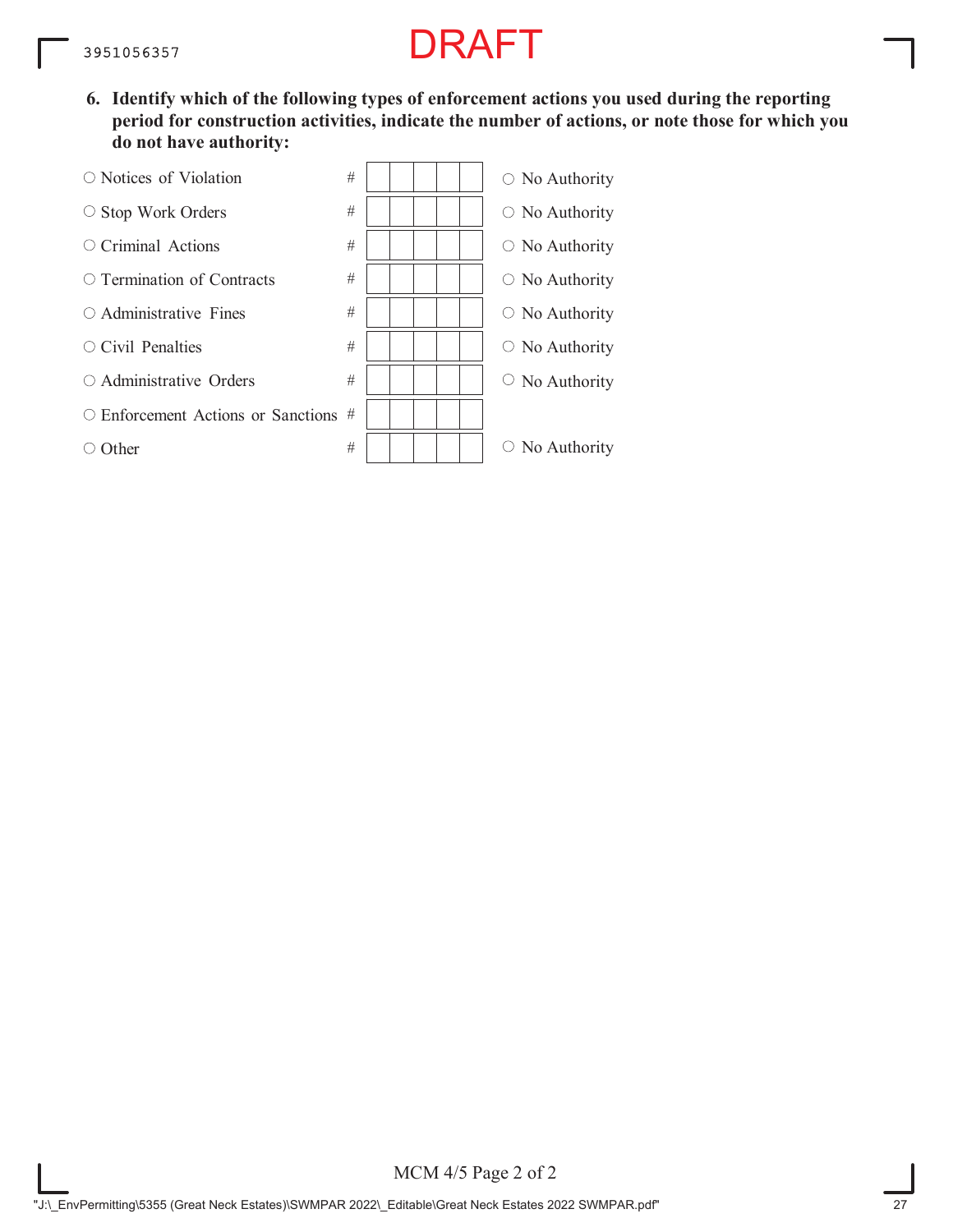**6. Identify which of the following types of enforcement actions you used during the reporting period for construction activities, indicate the number of actions, or note those for which you do not have authority:**

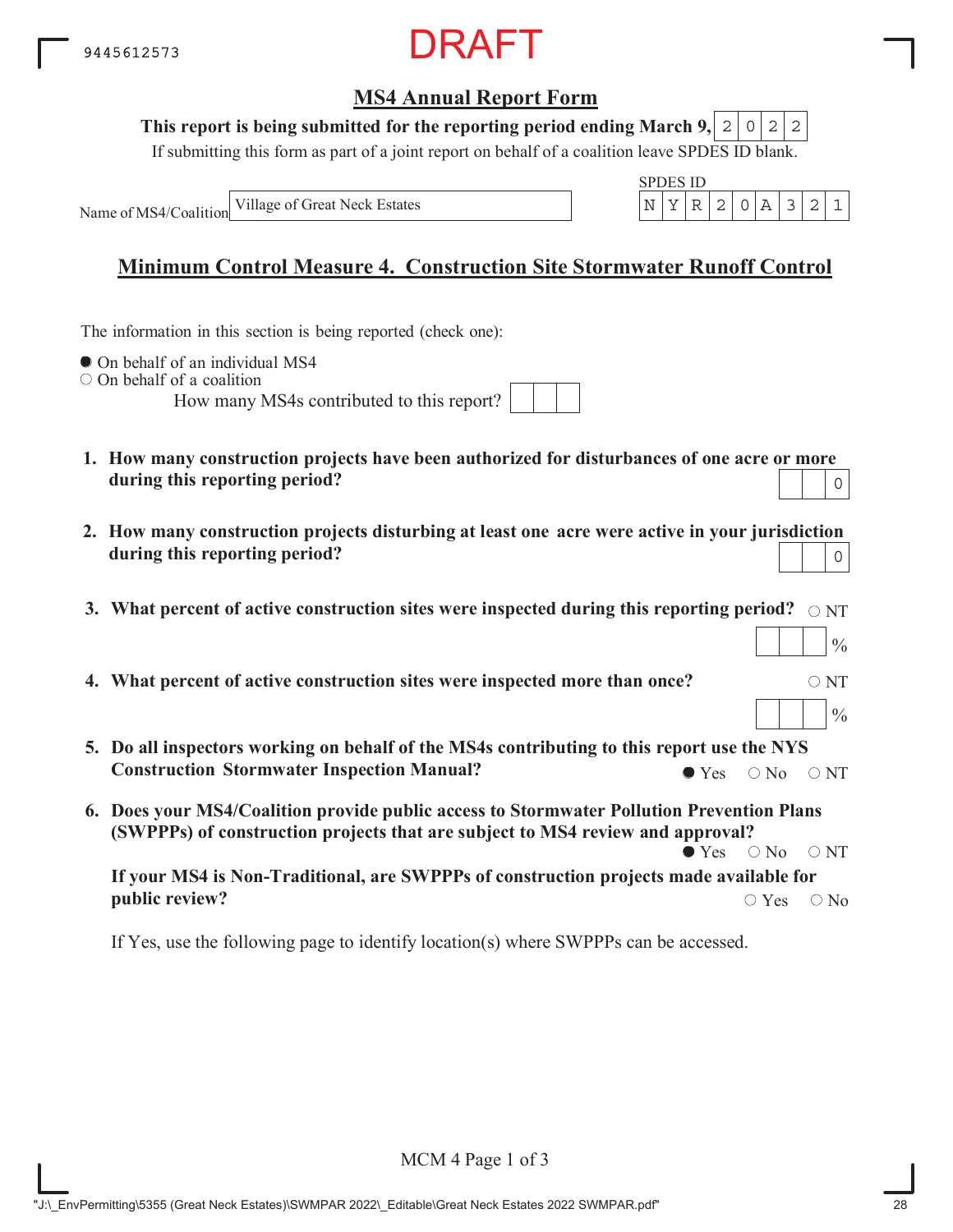

#### This report is being submitted for the reporting period ending March 9,  $|2|0|2|2$

If submitting this form as part of a joint report on behalf of a coalition leave SPDES ID blank.

Name of MS4/Coalition

SPDES ID Village of Great Neck Estates  $\begin{bmatrix} N & Y & R & 2 & 0 & A & 3 & 2 & 1 \end{bmatrix}$ 

## **Minimum Control Measure 4. Construction Site Stormwater Runoff Control**

The information in this section is being reported (check one):

 $\bullet$  On behalf of an individual MS4

 $\circ$  On behalf of a coalition

How many MS4s contributed to this report?

| / MS4s contributed to this report? |  |  |  |
|------------------------------------|--|--|--|
|                                    |  |  |  |

- **1. How many construction projects have been authorized for disturbances of one acre or more during this reporting period?** 0
- **2. How many construction projects disturbing at least one acre were active in your jurisdiction during this reporting period?** 0
- 3. What percent of active construction sites were inspected during this reporting period?  $\,\circ$   $_{\rm NT}$
- **4. What percent of active construction sites were inspected more than once?**  $\circ$  NT
- **5. Do all inspectors working on behalf of the MS4s contributing to this report use the NYS Construction Stormwater Inspection Manual?**  $\bullet$  Yes  $\circ$  No  $\circ$  NT
- **6. Does your MS4/Coalition provide public access to Stormwater Pollution Prevention Plans (SWPPPs) of construction projects that are subject to MS4 review and approval?**  $\bullet$  Yes  $\circ$  No  $\circ$  NT

**If your MS4 is Non-Traditional, are SWPPPs of construction projects made available for public review?**  $\bigcirc$  Yes  $\bigcirc$  No

If Yes, use the following page to identify location(s) where SWPPPs can be accessed.

 $\frac{0}{0}$ 

 $\frac{0}{0}$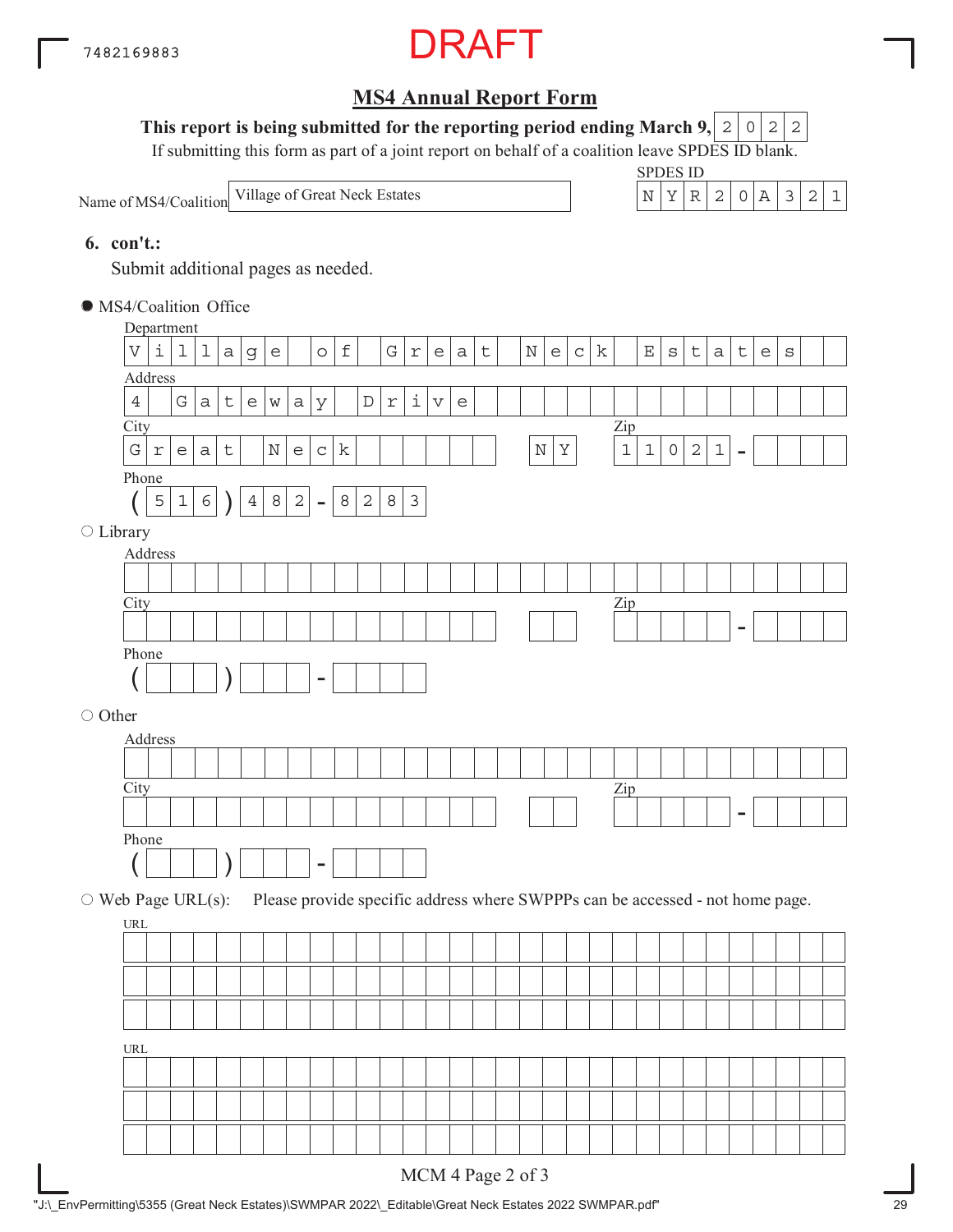

### This report is being submitted for the reporting period ending March 9,  $|2|0|2|2$

If submitting this form as part of a joint report on behalf of a coalition leave SPDES ID blank.

Name of MS4/Coalition Village of Great Neck Estates

| SPDES ID |  |    |  |  |  |
|----------|--|----|--|--|--|
|          |  | 2. |  |  |  |

#### **6. con't.:**

Submit additional pages as needed.

MS4/Coalition Office

|                          | Department                         |            |                                   |             |             |                |                                                                                                            |                                   |                     |                           |              |            |                   |                       |                                          |                   |             |                                   |             |                                                                               |                |                             |              |                |             |                          |                                   |         |  |
|--------------------------|------------------------------------|------------|-----------------------------------|-------------|-------------|----------------|------------------------------------------------------------------------------------------------------------|-----------------------------------|---------------------|---------------------------|--------------|------------|-------------------|-----------------------|------------------------------------------|-------------------|-------------|-----------------------------------|-------------|-------------------------------------------------------------------------------|----------------|-----------------------------|--------------|----------------|-------------|--------------------------|-----------------------------------|---------|--|
|                          | V                                  | i          | 1                                 | $\mathbf 1$ | a           | g              | $\mathsf{e}% _{t}\!\left( t\right) \mathsf{e}_{t}\!\left( t\right)$                                        |                                   | $\circ$             | $\ensuremath{\mathsf{f}}$ |              | G          | $\Upsilon$        | $\mathsf{e}$          | $\mathsf a$                              | $\sf t$           | $\mathbf N$ | $\mathsf{e}% _{t}\left( t\right)$ | $\mathsf C$ | k                                                                             |                | $\mathop{}\!\textnormal{E}$ | $\rm S$      | $\sf t$        | $\mbox{a}$  | $\sf t$                  | $\mathsf{e}% _{t}\left( t\right)$ | $\rm s$ |  |
|                          | Address                            |            |                                   |             |             |                |                                                                                                            |                                   |                     |                           |              |            |                   |                       |                                          |                   |             |                                   |             |                                                                               |                |                             |              |                |             |                          |                                   |         |  |
|                          | $\,4$                              |            | G                                 | $\mathsf a$ | $\mathsf t$ | $\epsilon$     | $\mathsf{W}% _{T}=\mathsf{W}_{T}\!\left( a,b\right) ,\ \mathsf{W}_{T}=\mathsf{W}_{T}\!\left( a,b\right) ,$ | $\rm{a}$                          | У                   |                           | $\mathbb D$  | $\Upsilon$ | $\dot{\mathtt l}$ | $\boldsymbol{\nabla}$ | $\mathrel{\mathop{\mathrm{e}}\nolimits}$ |                   |             |                                   |             |                                                                               |                |                             |              |                |             |                          |                                   |         |  |
|                          | City                               |            |                                   |             |             |                |                                                                                                            |                                   |                     |                           |              |            |                   |                       |                                          |                   |             |                                   |             |                                                                               | $\mathbf{Zip}$ |                             |              |                |             |                          |                                   |         |  |
|                          | G                                  | $\Upsilon$ | $\mathsf{e}% _{t}\left( t\right)$ | a           | $\mathsf t$ |                | $\mathbb N$                                                                                                | $\mathsf{e}% _{t}\left( t\right)$ | $\mathsf C$         | $\mathbf k$               |              |            |                   |                       |                                          |                   | $\mathbb N$ | $\rm Y$                           |             |                                                                               | $\mathbf 1$    | $\mathbf 1$                 | $\mathsf{O}$ | $\overline{c}$ | $\mathbf 1$ | $\overline{\phantom{a}}$ |                                   |         |  |
|                          | Phone                              |            |                                   |             |             |                |                                                                                                            |                                   |                     |                           |              |            |                   |                       |                                          |                   |             |                                   |             |                                                                               |                |                             |              |                |             |                          |                                   |         |  |
|                          |                                    | 5          | $\mathbbm{1}$                     | $\epsilon$  |             | $\overline{4}$ | $\,8\,$                                                                                                    | $\overline{a}$                    | $\bar{\phantom{a}}$ | 8                         | $\mathbf{2}$ | 8          | $\mathsf 3$       |                       |                                          |                   |             |                                   |             |                                                                               |                |                             |              |                |             |                          |                                   |         |  |
| $\bigcirc$ Library       |                                    |            |                                   |             |             |                |                                                                                                            |                                   |                     |                           |              |            |                   |                       |                                          |                   |             |                                   |             |                                                                               |                |                             |              |                |             |                          |                                   |         |  |
|                          | Address                            |            |                                   |             |             |                |                                                                                                            |                                   |                     |                           |              |            |                   |                       |                                          |                   |             |                                   |             |                                                                               |                |                             |              |                |             |                          |                                   |         |  |
|                          |                                    |            |                                   |             |             |                |                                                                                                            |                                   |                     |                           |              |            |                   |                       |                                          |                   |             |                                   |             |                                                                               |                |                             |              |                |             |                          |                                   |         |  |
|                          | City                               |            |                                   |             |             |                |                                                                                                            |                                   |                     |                           |              |            |                   |                       |                                          |                   |             |                                   |             |                                                                               | $\mathbf{Zip}$ |                             |              |                |             |                          |                                   |         |  |
|                          |                                    |            |                                   |             |             |                |                                                                                                            |                                   |                     |                           |              |            |                   |                       |                                          |                   |             |                                   |             |                                                                               |                |                             |              |                |             |                          |                                   |         |  |
|                          | Phone                              |            |                                   |             |             |                |                                                                                                            |                                   |                     |                           |              |            |                   |                       |                                          |                   |             |                                   |             |                                                                               |                |                             |              |                |             |                          |                                   |         |  |
|                          |                                    |            |                                   |             |             |                |                                                                                                            |                                   |                     |                           |              |            |                   |                       |                                          |                   |             |                                   |             |                                                                               |                |                             |              |                |             |                          |                                   |         |  |
|                          |                                    |            |                                   |             |             |                |                                                                                                            |                                   |                     |                           |              |            |                   |                       |                                          |                   |             |                                   |             |                                                                               |                |                             |              |                |             |                          |                                   |         |  |
| ○ Other                  |                                    |            |                                   |             |             |                |                                                                                                            |                                   |                     |                           |              |            |                   |                       |                                          |                   |             |                                   |             |                                                                               |                |                             |              |                |             |                          |                                   |         |  |
|                          | Address                            |            |                                   |             |             |                |                                                                                                            |                                   |                     |                           |              |            |                   |                       |                                          |                   |             |                                   |             |                                                                               |                |                             |              |                |             |                          |                                   |         |  |
|                          | City                               |            |                                   |             |             |                |                                                                                                            |                                   |                     |                           |              |            |                   |                       |                                          |                   |             |                                   |             |                                                                               |                |                             |              |                |             |                          |                                   |         |  |
|                          |                                    |            |                                   |             |             |                |                                                                                                            |                                   |                     |                           |              |            |                   |                       |                                          |                   |             |                                   |             |                                                                               | $\mathbf{Zip}$ |                             |              |                |             |                          |                                   |         |  |
|                          | Phone                              |            |                                   |             |             |                |                                                                                                            |                                   |                     |                           |              |            |                   |                       |                                          |                   |             |                                   |             |                                                                               |                |                             |              |                |             |                          |                                   |         |  |
|                          |                                    |            |                                   |             |             |                |                                                                                                            |                                   |                     |                           |              |            |                   |                       |                                          |                   |             |                                   |             |                                                                               |                |                             |              |                |             |                          |                                   |         |  |
|                          |                                    |            |                                   |             |             |                |                                                                                                            |                                   |                     |                           |              |            |                   |                       |                                          |                   |             |                                   |             |                                                                               |                |                             |              |                |             |                          |                                   |         |  |
| $\circ$ Web Page URL(s): |                                    |            |                                   |             |             |                |                                                                                                            |                                   |                     |                           |              |            |                   |                       |                                          |                   |             |                                   |             | Please provide specific address where SWPPPs can be accessed - not home page. |                |                             |              |                |             |                          |                                   |         |  |
|                          | URL                                |            |                                   |             |             |                |                                                                                                            |                                   |                     |                           |              |            |                   |                       |                                          |                   |             |                                   |             |                                                                               |                |                             |              |                |             |                          |                                   |         |  |
|                          |                                    |            |                                   |             |             |                |                                                                                                            |                                   |                     |                           |              |            |                   |                       |                                          |                   |             |                                   |             |                                                                               |                |                             |              |                |             |                          |                                   |         |  |
|                          |                                    |            |                                   |             |             |                |                                                                                                            |                                   |                     |                           |              |            |                   |                       |                                          |                   |             |                                   |             |                                                                               |                |                             |              |                |             |                          |                                   |         |  |
|                          |                                    |            |                                   |             |             |                |                                                                                                            |                                   |                     |                           |              |            |                   |                       |                                          |                   |             |                                   |             |                                                                               |                |                             |              |                |             |                          |                                   |         |  |
|                          |                                    |            |                                   |             |             |                |                                                                                                            |                                   |                     |                           |              |            |                   |                       |                                          |                   |             |                                   |             |                                                                               |                |                             |              |                |             |                          |                                   |         |  |
|                          | $\ensuremath{\mathsf{URL}}\xspace$ |            |                                   |             |             |                |                                                                                                            |                                   |                     |                           |              |            |                   |                       |                                          |                   |             |                                   |             |                                                                               |                |                             |              |                |             |                          |                                   |         |  |
|                          |                                    |            |                                   |             |             |                |                                                                                                            |                                   |                     |                           |              |            |                   |                       |                                          |                   |             |                                   |             |                                                                               |                |                             |              |                |             |                          |                                   |         |  |
|                          |                                    |            |                                   |             |             |                |                                                                                                            |                                   |                     |                           |              |            |                   |                       |                                          |                   |             |                                   |             |                                                                               |                |                             |              |                |             |                          |                                   |         |  |
|                          |                                    |            |                                   |             |             |                |                                                                                                            |                                   |                     |                           |              |            |                   |                       |                                          |                   |             |                                   |             |                                                                               |                |                             |              |                |             |                          |                                   |         |  |
|                          |                                    |            |                                   |             |             |                |                                                                                                            |                                   |                     |                           |              |            |                   |                       |                                          |                   |             |                                   |             |                                                                               |                |                             |              |                |             |                          |                                   |         |  |
|                          |                                    |            |                                   |             |             |                |                                                                                                            |                                   |                     |                           |              |            |                   |                       |                                          | MCM 4 Page 2 of 3 |             |                                   |             |                                                                               |                |                             |              |                |             |                          |                                   |         |  |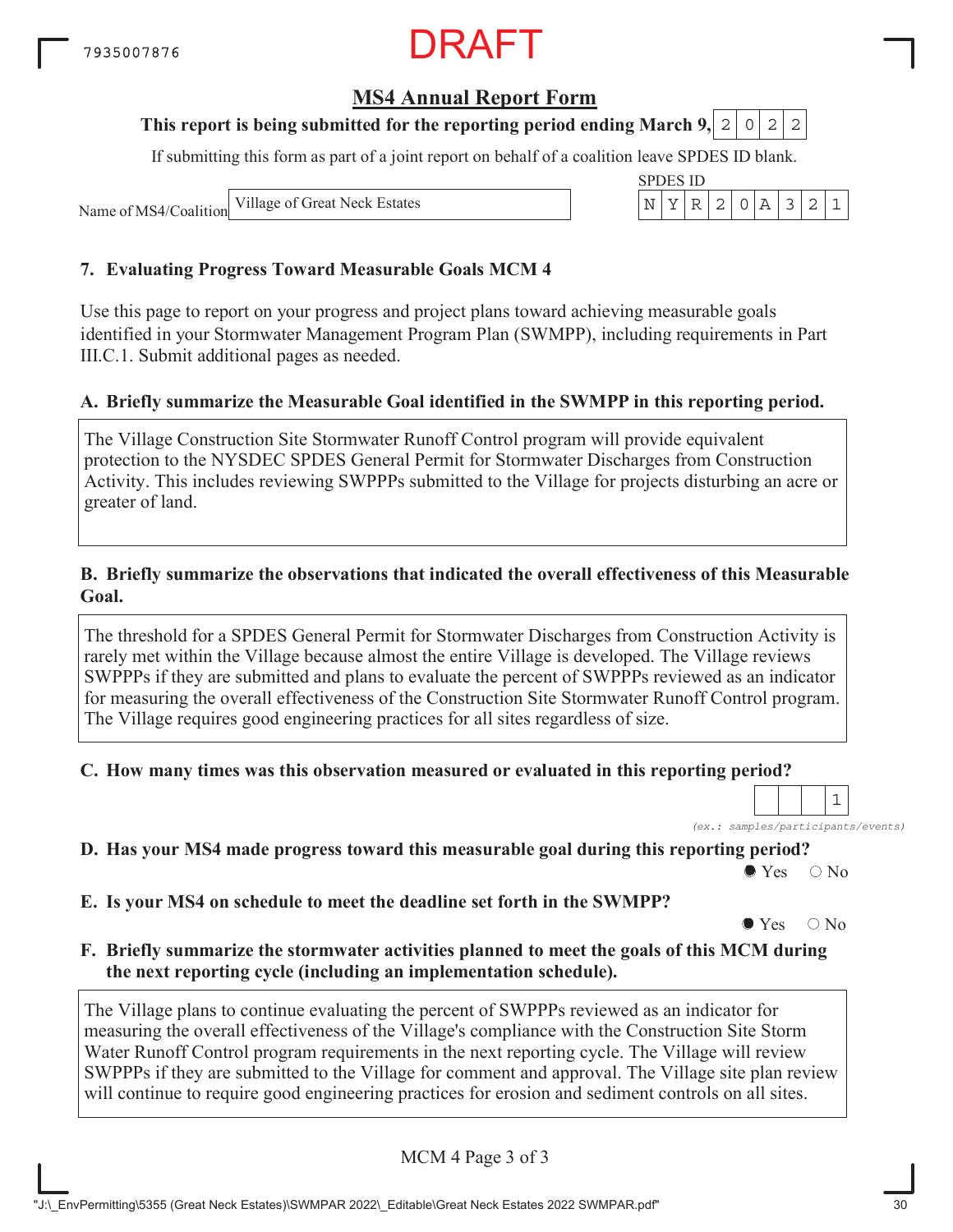### **MS4 Annual Report Form**

### **This report is being submitted for the reporting period ending March 9, 2 0 2 2**

If submitting this form as part of a joint report on behalf of a coalition leave SPDES ID blank.

SPDES ID

Name of MS4/Coalition

Village of Great Neck Estates  $\vert N \vert Y \vert R \vert 2 \vert 0 \vert A \vert 3 \vert 2 \vert 1$ 

#### **7. Evaluating Progress Toward Measurable Goals MCM 4**

Use this page to report on your progress and project plans toward achieving measurable goals identified in your Stormwater Management Program Plan (SWMPP), including requirements in Part III.C.1. Submit additional pages as needed.

#### **A. Briefly summarize the Measurable Goal identified in the SWMPP in this reporting period.**

The Village Construction Site Stormwater Runoff Control program will provide equivalent protection to the NYSDEC SPDES General Permit for Stormwater Discharges from Construction Activity. This includes reviewing SWPPPs submitted to the Village for projects disturbing an acre or greater of land.

#### **B. Briefly summarize the observations that indicated the overall effectiveness of this Measurable Goal.**

The threshold for a SPDES General Permit for Stormwater Discharges from Construction Activity is rarely met within the Village because almost the entire Village is developed. The Village reviews SWPPPs if they are submitted and plans to evaluate the percent of SWPPPs reviewed as an indicator for measuring the overall effectiveness of the Construction Site Stormwater Runoff Control program. The Village requires good engineering practices for all sites regardless of size.

#### **C. How many times was this observation measured or evaluated in this reporting period?**

*(ex.: samples/participants/events)* 1

**D. Has your MS4 made progress toward this measurable goal during this reporting period?**

 $\bullet$  Yes  $\circ$  No

**E. Is your MS4 on schedule to meet the deadline set forth in the SWMPP?**

 $\bullet$  Yes  $\circ$  No

**F. Briefly summarize the stormwater activities planned to meet the goals of this MCM during the next reporting cycle (including an implementation schedule).**

The Village plans to continue evaluating the percent of SWPPPs reviewed as an indicator for measuring the overall effectiveness of the Village's compliance with the Construction Site Storm Water Runoff Control program requirements in the next reporting cycle. The Village will review SWPPPs if they are submitted to the Village for comment and approval. The Village site plan review will continue to require good engineering practices for erosion and sediment controls on all sites.

MCM 4 Page 3 of 3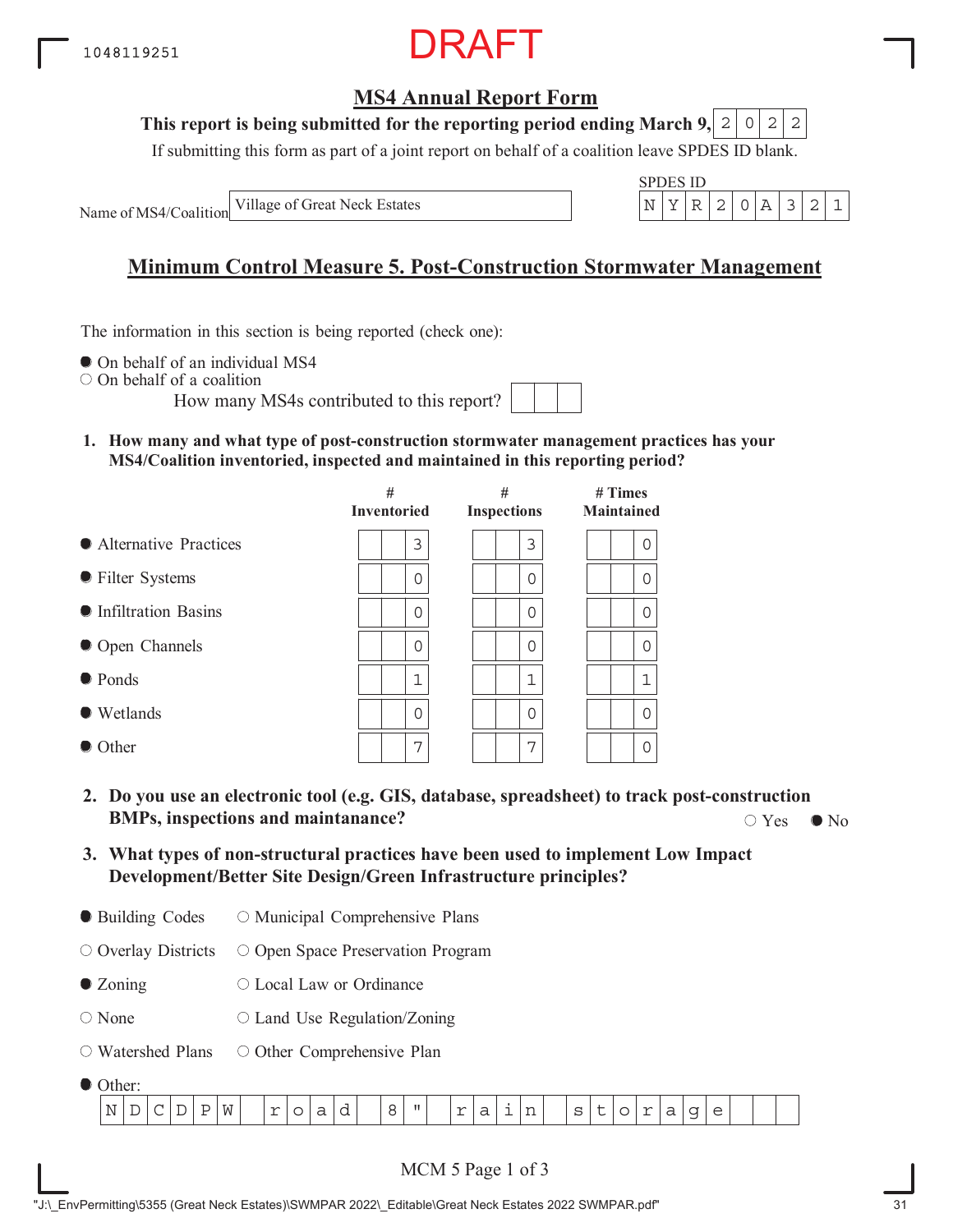

#### **This report is being submitted for the reporting period ending March 9,**  $2|0|2|2$

If submitting this form as part of a joint report on behalf of a coalition leave SPDES ID blank.

Name of MS4/Coalition

Village of Great Neck Estates

$$
\frac{\text{SPDES ID}}{\left|N\right|\left|Y\right|\left|R\right|\left|2\right|\left|0\right|\left|A\right|\left|3\right|\left|2\right|\left|1\right|}
$$

## **Minimum Control Measure 5. Post-Construction Stormwater Management**

The information in this section is being reported (check one):

 $\bullet$  On behalf of an individual MS4

On behalf of a coalition

How many MS4s contributed to this report?

**1. How many and what type of post-construction stormwater management practices has your MS4/Coalition inventoried, inspected and maintained in this reporting period?**

|                         | #<br><b>Inventoried</b> | #<br><b>Inspections</b> | $#$ Times<br><b>Maintained</b> |  |  |  |  |
|-------------------------|-------------------------|-------------------------|--------------------------------|--|--|--|--|
| • Alternative Practices | 3                       | 3                       | 0                              |  |  |  |  |
| ● Filter Systems        | 0                       | 0                       | 0                              |  |  |  |  |
| • Infiltration Basins   | 0                       | 0                       | 0                              |  |  |  |  |
| • Open Channels         | 0                       | 0                       | 0                              |  |  |  |  |
| $\bullet$ Ponds         | $\mathbf 1$             | 1                       | 1                              |  |  |  |  |
| $\bullet$ Wetlands      | $\Omega$                | 0                       | $\Omega$                       |  |  |  |  |
| • Other                 | 7                       | 7                       | $\Omega$                       |  |  |  |  |

- **2. Do you use an electronic tool (e.g. GIS, database, spreadsheet) to track post-construction BMPs, inspections and maintanance?**  $\bigcirc$  Yes  $\bigcirc$  No  $\bigcirc$  Yes  $\bigcirc$  No
- **3. What types of non-structural practices have been used to implement Low Impact Development/Better Site Design/Green Infrastructure principles?**
- Building Codes O Municipal Comprehensive Plans

 $\circ$  Overlay Districts O Open Space Preservation Program

- Zoning Local Law or Ordinance
- None  $\circ$  Land Use Regulation/Zoning
- Watershed Plans O Other Comprehensive Plan
- Other:

| $\sim$  |   |   |   |                      |        |  |   |  |              |             |                  |         |   |     |             |   |                          |   |  |  |
|---------|---|---|---|----------------------|--------|--|---|--|--------------|-------------|------------------|---------|---|-----|-------------|---|--------------------------|---|--|--|
| N.<br>. | - | ∼ | - | $\tau$ $\tau$<br>۱۸I | $\sim$ |  | ີ |  | $\mathbf{H}$ | $\sim$<br>- | ╭<br>ີ<br>$\sim$ | --<br>. | ~ | . . | $\sim$<br>- | ີ | $\overline{\phantom{0}}$ | ∽ |  |  |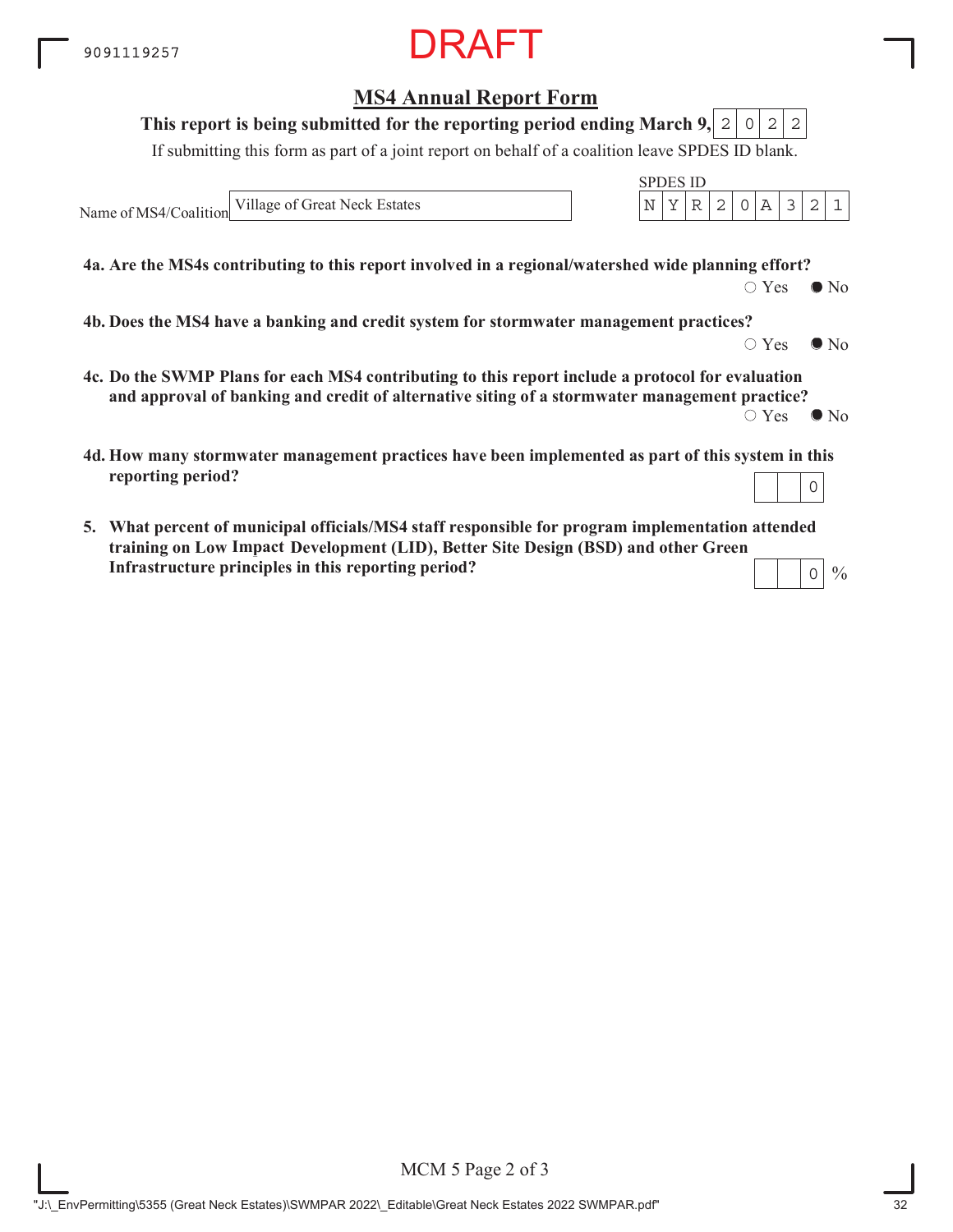**MS4 Annual Report Form**

## **4a. Are the MS4s contributing to this report involved in a regional/watershed wide planning effort?** If submitting this form as part of a joint report on behalf of a coalition leave SPDES ID blank. Name of MS4/Coalition SPDES ID **This report is being submitted for the reporting period ending March 9,**  $\bigcirc$  Yes  $\bigcirc$  No **4b. Does the MS4 have a banking and credit system for stormwater management practices?**  $\circ$  Yes  $\bullet$  No **4c. Do the SWMP Plans for each MS4 contributing to this report include a protocol for evaluation and approval of banking and credit of alternative siting of a stormwater management practice?**  $\circ$  Yes  $\bullet$  No **4d. How many stormwater management practices have been implemented as part of this system in this reporting period?**  $2|0|2|2$ Village of Great Neck Estates  $\begin{bmatrix} N & Y & R & 2 & 0 & A & 3 & 2 & 1 \end{bmatrix}$ 0

**5. What percent of municipal officials/MS4 staff responsible for program implementation attended training on Low Impace Development (LID), Better Site Design (BSD) and other Green ImpactInfrastructure principles in this reporting period?** 0

 $\frac{0}{0}$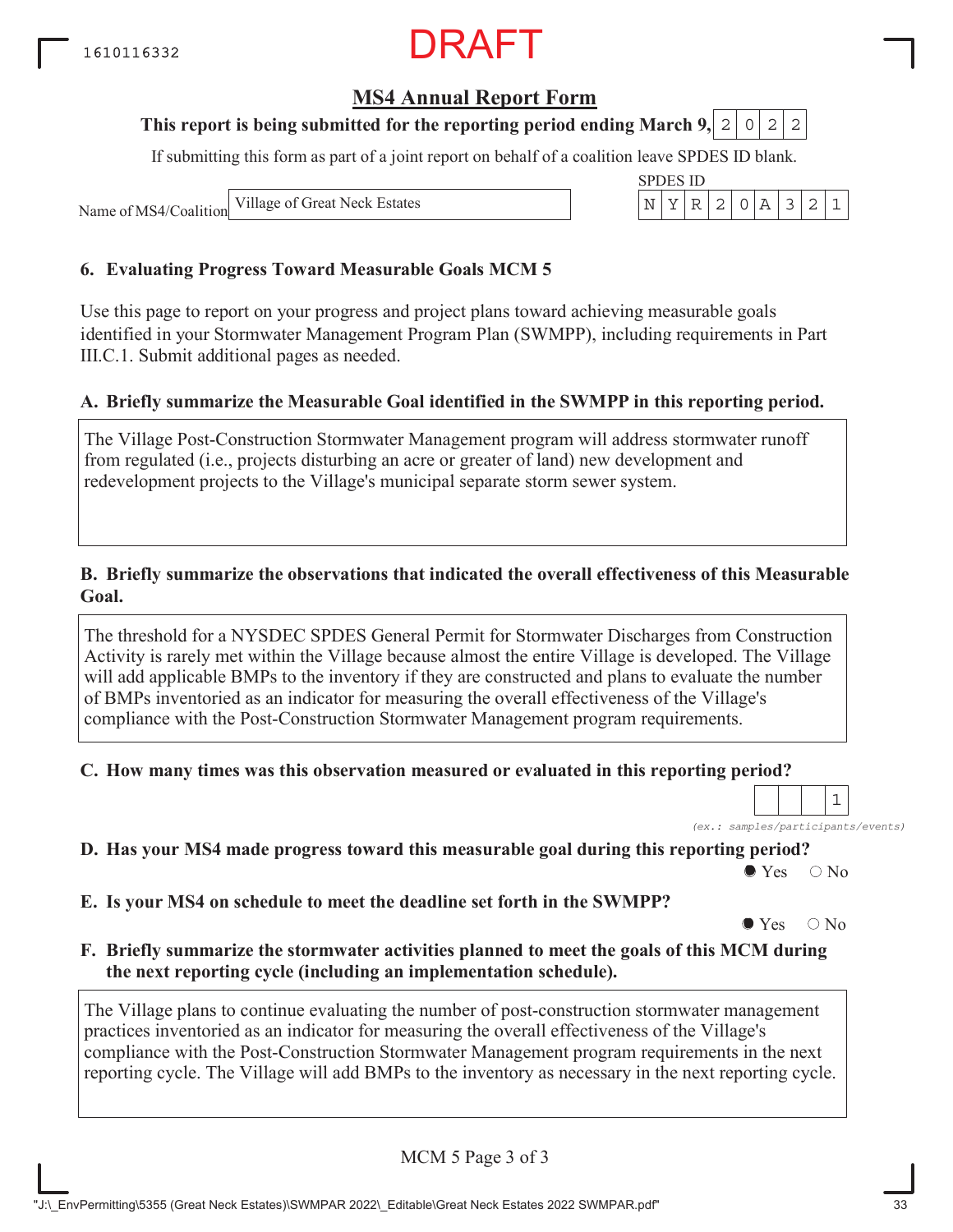### **MS4 Annual Report Form**

### **This report is being submitted for the reporting period ending March 9, 2 0 2 2**

If submitting this form as part of a joint report on behalf of a coalition leave SPDES ID blank.

SPDES ID

Name of MS4/Coalition

Village of Great Neck Estates  $\vert N \vert Y \vert R \vert 2 \vert 0 \vert A \vert 3 \vert 2 \vert 1$ 

#### **6. Evaluating Progress Toward Measurable Goals MCM 5**

Use this page to report on your progress and project plans toward achieving measurable goals identified in your Stormwater Management Program Plan (SWMPP), including requirements in Part III.C.1. Submit additional pages as needed.

#### **A. Briefly summarize the Measurable Goal identified in the SWMPP in this reporting period.**

The Village Post-Construction Stormwater Management program will address stormwater runoff from regulated (i.e., projects disturbing an acre or greater of land) new development and redevelopment projects to the Village's municipal separate storm sewer system.

#### **B. Briefly summarize the observations that indicated the overall effectiveness of this Measurable Goal.**

The threshold for a NYSDEC SPDES General Permit for Stormwater Discharges from Construction Activity is rarely met within the Village because almost the entire Village is developed. The Village will add applicable BMPs to the inventory if they are constructed and plans to evaluate the number of BMPs inventoried as an indicator for measuring the overall effectiveness of the Village's compliance with the Post-Construction Stormwater Management program requirements.

#### **C. How many times was this observation measured or evaluated in this reporting period?**

*(ex.: samples/participants/events)* 1

**D. Has your MS4 made progress toward this measurable goal during this reporting period?**

 $\bullet$  Yes  $\circ$  No

**E. Is your MS4 on schedule to meet the deadline set forth in the SWMPP?**

 $\bullet$  Yes  $\circ$  No

#### **F. Briefly summarize the stormwater activities planned to meet the goals of this MCM during the next reporting cycle (including an implementation schedule).**

The Village plans to continue evaluating the number of post-construction stormwater management practices inventoried as an indicator for measuring the overall effectiveness of the Village's compliance with the Post-Construction Stormwater Management program requirements in the next reporting cycle. The Village will add BMPs to the inventory as necessary in the next reporting cycle.

MCM 5 Page 3 of 3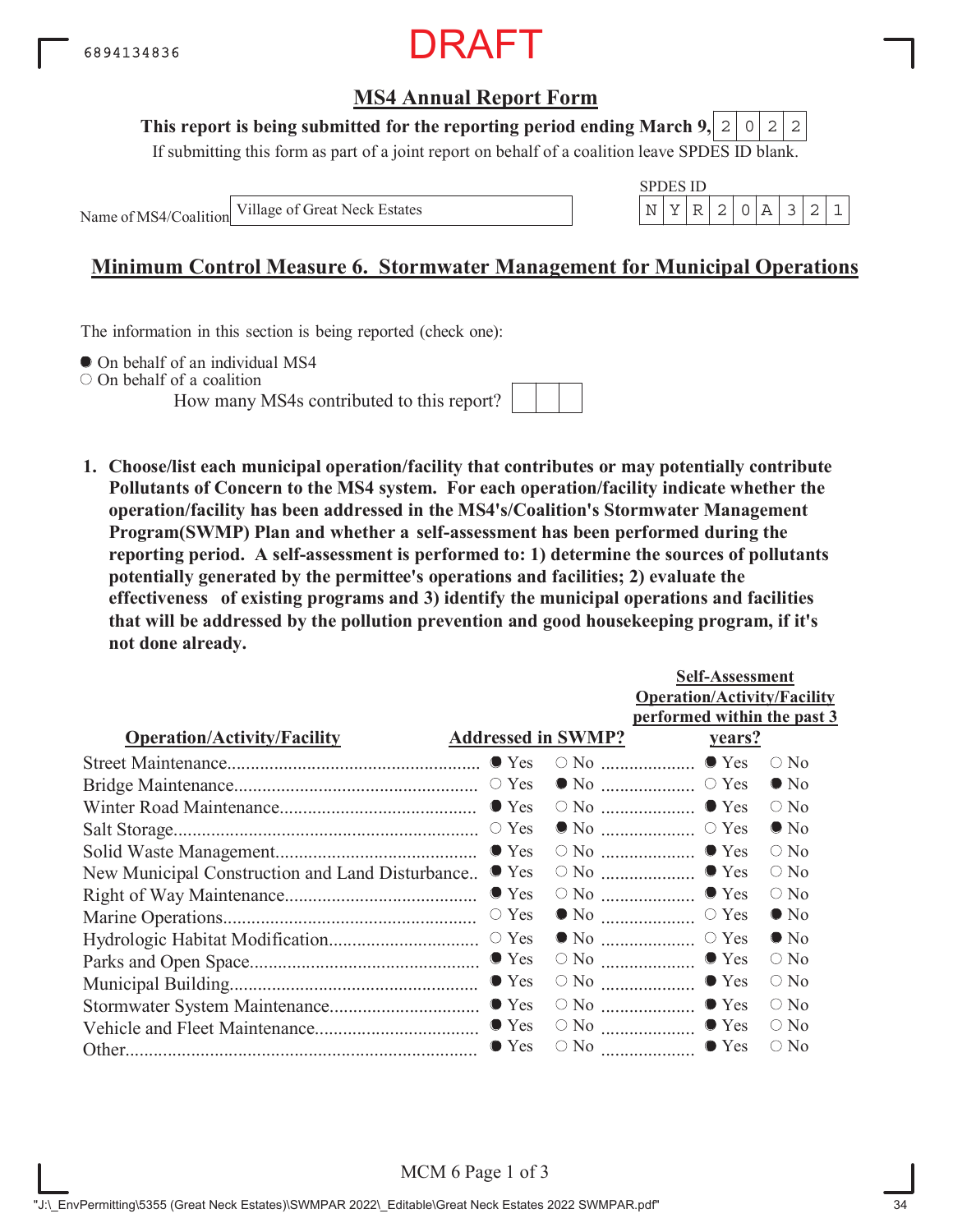

#### **This report is being submitted for the reporting period ending March 9,**  $2|0|2|2$

If submitting this form as part of a joint report on behalf of a coalition leave SPDES ID blank.

Name of MS4/Coalition



## **Minimum Control Measure 6. Stormwater Management for Municipal Operations**

The information in this section is being reported (check one):

 $\bullet$  On behalf of an individual MS4

On behalf of a coalition

How many MS4s contributed to this report?



**1. Choose/list each municipal operation/facility that contributes or may potentially contribute Pollutants of Concern to the MS4 system. For each operation/facility indicate whether the operation/facility has been addressed in the MS4's/Coalition's Stormwater Management Program(SWMP) Plan and whether a self-assessment has been performed during the reporting period. A self-assessment is performed to: 1) determine the sources of pollutants potentially generated by the permittee's operations and facilities; 2) evaluate the effectiveness of existing programs and 3) identify the municipal operations and facilities that will be addressed by the pollution prevention and good housekeeping program, if it's not done already.**

|                                                 |                           |                                                | <b>Self-Assessment</b>             |               |  |  |  |  |
|-------------------------------------------------|---------------------------|------------------------------------------------|------------------------------------|---------------|--|--|--|--|
|                                                 |                           |                                                | <b>Operation/Activity/Facility</b> |               |  |  |  |  |
|                                                 |                           |                                                | performed within the past 3        |               |  |  |  |  |
| <b>Operation/Activity/Facility</b>              | <b>Addressed in SWMP?</b> |                                                | <u>vears?</u>                      |               |  |  |  |  |
|                                                 |                           |                                                |                                    | $\bigcirc$ No |  |  |  |  |
|                                                 |                           |                                                |                                    | $\bullet$ No  |  |  |  |  |
|                                                 |                           |                                                |                                    | $\circ$ No    |  |  |  |  |
|                                                 |                           |                                                |                                    | $\bullet$ No  |  |  |  |  |
|                                                 |                           |                                                |                                    | $\bigcirc$ No |  |  |  |  |
| New Municipal Construction and Land Disturbance | $\bullet$ Yes             |                                                | $\circ$ No $\ldots$ $\bullet$ Yes  | $\circ$ No    |  |  |  |  |
|                                                 | $\bullet$ Yes             |                                                | $\circ$ No $\ldots$ $\bullet$ Yes  | $\circ$ No    |  |  |  |  |
|                                                 | $\circ$ Yes               |                                                |                                    | $\bullet$ No  |  |  |  |  |
|                                                 |                           |                                                |                                    | $\bullet$ No  |  |  |  |  |
|                                                 |                           | $\circ$ No $\ldots$ $\ldots$ $\ldots$ $\ldots$ | $\bullet$ Yes                      | $\bigcirc$ No |  |  |  |  |
|                                                 |                           |                                                | $\bullet$ Yes                      | $\circ$ No    |  |  |  |  |
|                                                 |                           |                                                | $\circ$ No $\ldots$ $\bullet$ Yes  | $\bigcirc$ No |  |  |  |  |
|                                                 |                           |                                                | $\circ$ No $\ldots$ $\bullet$ Yes  | $\circ$ No    |  |  |  |  |
|                                                 | $\bullet$ Yes             | $\circ$ No $\ldots$                            | $\bullet$ Yes                      | $\bigcirc$ No |  |  |  |  |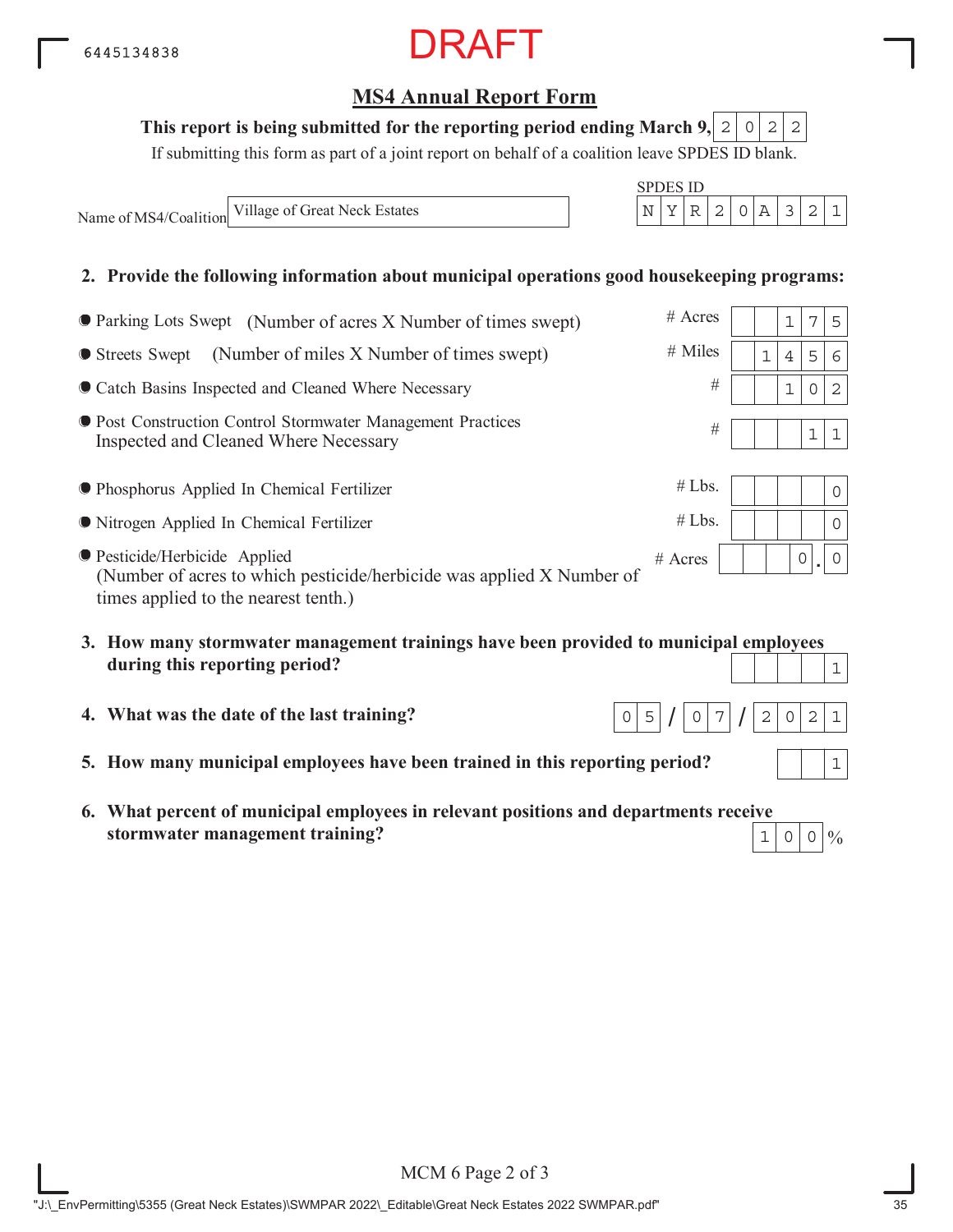## **MS4 Annual Report Form**

#### This report is being submitted for the reporting period ending March 9,  $\mid 2 \mid 0 \mid 2 \mid 2$

If submitting this form as part of a joint report on behalf of a coalition leave SPDES ID blank.

Name of MS4/Coalition Village of Great Neck Estates N YR 2 0A 321

SPDES ID

#### **2. Provide the following information about municipal operations good housekeeping programs:**

| ● Parking Lots Swept (Number of acres X Number of times swept)                                                                                 | $#$ Acres |   |   | 7 | 5        |
|------------------------------------------------------------------------------------------------------------------------------------------------|-----------|---|---|---|----------|
| (Number of miles X Number of times swept)<br>● Streets Swept                                                                                   | $#$ Miles | 1 | 4 | 5 | 6        |
| • Catch Basins Inspected and Cleaned Where Necessary                                                                                           | #         |   |   | 0 | 2        |
| <b>• Post Construction Control Stormwater Management Practices</b><br>Inspected and Cleaned Where Necessary                                    | #         |   |   | 1 | 1        |
| <b>• Phosphorus Applied In Chemical Fertilizer</b>                                                                                             | #Lbs.     |   |   |   | 0        |
| • Nitrogen Applied In Chemical Fertilizer                                                                                                      | #Lbs.     |   |   |   | $\Omega$ |
| ● Pesticide/Herbicide Applied<br>(Number of acres to which pesticide/herbicide was applied X Number of<br>times applied to the nearest tenth.) | $#$ Acres |   | 0 |   | $\Omega$ |

- **3. How many stormwater management trainings have been provided to municipal employees during this reporting period?** 1
- **4. What was the date of the last training?**
- **5. How many municipal employees have been trained in this reporting period?**
- **6. What percent of municipal employees in relevant positions and departments receive stormwater management training?**

 $\frac{0}{0}$  $1|0|0|$ 

 $0 \mid 7$ 

 $0|5|/|0|7|/|2|0|2|1$ 

1